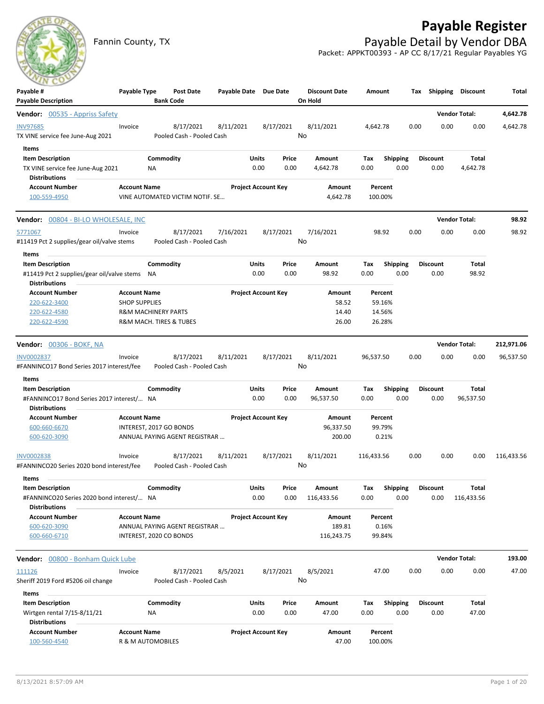# **Payable Register**



Fannin County, TX **Payable Detail by Vendor DBA** Packet: APPKT00393 - AP CC 8/17/21 Regular Payables YG

| $-1$<br>Payable #                                                 | Payable Type                                | <b>Post Date</b>                       | Payable Date Due Date |                            |           | <b>Discount Date</b> | Amount     |                   | Тах  | Shipping        | <b>Discount</b>      | Total      |
|-------------------------------------------------------------------|---------------------------------------------|----------------------------------------|-----------------------|----------------------------|-----------|----------------------|------------|-------------------|------|-----------------|----------------------|------------|
| <b>Payable Description</b>                                        |                                             | <b>Bank Code</b>                       |                       |                            |           | On Hold              |            |                   |      |                 |                      |            |
| <b>Vendor:</b> 00535 - Appriss Safety                             |                                             |                                        |                       |                            |           |                      |            |                   |      |                 | <b>Vendor Total:</b> | 4,642.78   |
| <b>INV97685</b><br>TX VINE service fee June-Aug 2021              | Invoice                                     | 8/17/2021<br>Pooled Cash - Pooled Cash | 8/11/2021             |                            | 8/17/2021 | 8/11/2021<br>No      | 4,642.78   |                   | 0.00 | 0.00            | 0.00                 | 4,642.78   |
| Items                                                             |                                             |                                        |                       |                            |           |                      |            |                   |      |                 |                      |            |
| <b>Item Description</b>                                           |                                             | Commodity                              |                       | Units                      | Price     | Amount               | Tax        | <b>Shipping</b>   |      | <b>Discount</b> | Total                |            |
| TX VINE service fee June-Aug 2021                                 |                                             | ΝA                                     |                       | 0.00                       | 0.00      | 4,642.78             | 0.00       | 0.00              |      | 0.00            | 4,642.78             |            |
| Distributions                                                     |                                             |                                        |                       |                            |           |                      |            |                   |      |                 |                      |            |
| <b>Account Number</b>                                             | <b>Account Name</b>                         |                                        |                       | <b>Project Account Key</b> |           | Amount               |            | Percent           |      |                 |                      |            |
| 100-559-4950                                                      |                                             | VINE AUTOMATED VICTIM NOTIF. SE        |                       |                            |           | 4,642.78             |            | 100.00%           |      |                 |                      |            |
| Vendor: 00804 - BI-LO WHOLESALE, INC                              |                                             |                                        |                       |                            |           |                      |            |                   |      |                 | <b>Vendor Total:</b> | 98.92      |
| 5771067                                                           | Invoice                                     | 8/17/2021                              | 7/16/2021             |                            | 8/17/2021 | 7/16/2021            |            | 98.92             | 0.00 | 0.00            | 0.00                 | 98.92      |
| #11419 Pct 2 supplies/gear oil/valve stems                        |                                             | Pooled Cash - Pooled Cash              |                       |                            |           | No                   |            |                   |      |                 |                      |            |
| Items                                                             |                                             |                                        |                       |                            |           |                      |            |                   |      |                 |                      |            |
| <b>Item Description</b>                                           |                                             | Commodity                              |                       | Units                      | Price     | Amount               | Tax        | <b>Shipping</b>   |      | <b>Discount</b> | Total                |            |
| #11419 Pct 2 supplies/gear oil/valve stems NA                     |                                             |                                        |                       | 0.00                       | 0.00      | 98.92                | 0.00       | 0.00              |      | 0.00            | 98.92                |            |
| <b>Distributions</b><br><b>Account Number</b>                     |                                             |                                        |                       | <b>Project Account Key</b> |           | Amount               |            |                   |      |                 |                      |            |
| 220-622-3400                                                      | <b>Account Name</b><br><b>SHOP SUPPLIES</b> |                                        |                       |                            |           | 58.52                |            | Percent<br>59.16% |      |                 |                      |            |
| 220-622-4580                                                      |                                             | <b>R&amp;M MACHINERY PARTS</b>         |                       |                            |           | 14.40                |            | 14.56%            |      |                 |                      |            |
| 220-622-4590                                                      |                                             | R&M MACH. TIRES & TUBES                |                       |                            |           | 26.00                |            | 26.28%            |      |                 |                      |            |
|                                                                   |                                             |                                        |                       |                            |           |                      |            |                   |      |                 |                      |            |
| <b>Vendor: 00306 - BOKF, NA</b>                                   |                                             |                                        |                       |                            |           |                      |            |                   |      |                 | <b>Vendor Total:</b> | 212,971.06 |
| INV0002837                                                        | Invoice                                     | 8/17/2021                              | 8/11/2021             |                            | 8/17/2021 | 8/11/2021            | 96,537.50  |                   | 0.00 | 0.00            | 0.00                 | 96,537.50  |
| #FANNINCO17 Bond Series 2017 interest/fee                         |                                             | Pooled Cash - Pooled Cash              |                       |                            |           | No                   |            |                   |      |                 |                      |            |
| Items                                                             |                                             |                                        |                       |                            |           |                      |            |                   |      |                 |                      |            |
| <b>Item Description</b>                                           |                                             | Commodity                              |                       | Units                      | Price     | Amount               | Tax        | <b>Shipping</b>   |      | <b>Discount</b> | <b>Total</b>         |            |
| #FANNINCO17 Bond Series 2017 interest/ NA<br><b>Distributions</b> |                                             |                                        |                       | 0.00                       | 0.00      | 96,537.50            | 0.00       | 0.00              |      | 0.00            | 96,537.50            |            |
| <b>Account Number</b>                                             | <b>Account Name</b>                         |                                        |                       | <b>Project Account Key</b> |           | Amount               |            | Percent           |      |                 |                      |            |
| 600-660-6670                                                      |                                             | INTEREST, 2017 GO BONDS                |                       |                            |           | 96,337.50            |            | 99.79%            |      |                 |                      |            |
| 600-620-3090                                                      |                                             | ANNUAL PAYING AGENT REGISTRAR          |                       |                            |           | 200.00               |            | 0.21%             |      |                 |                      |            |
|                                                                   |                                             |                                        |                       |                            |           |                      |            |                   |      |                 |                      |            |
| <b>INV0002838</b>                                                 | Invoice                                     | 8/17/2021                              | 8/11/2021             |                            | 8/17/2021 | 8/11/2021            | 116,433.56 |                   | 0.00 | 0.00            | 0.00                 | 116,433.56 |
| #FANNINCO20 Series 2020 bond interest/fee                         |                                             | Pooled Cash - Pooled Cash              |                       |                            |           | No                   |            |                   |      |                 |                      |            |
| Items                                                             |                                             |                                        |                       |                            |           |                      |            |                   |      |                 |                      |            |
| <b>Item Description</b>                                           |                                             | Commodity                              |                       | Units                      | Price     | Amount               | Tax        | Shipping          |      | <b>Discount</b> | <b>Total</b>         |            |
| #FANNINCO20 Series 2020 bond interest/ NA<br><b>Distributions</b> |                                             |                                        |                       | 0.00                       | 0.00      | 116,433.56           | 0.00       | 0.00              |      | 0.00            | 116,433.56           |            |
| <b>Account Number</b>                                             | <b>Account Name</b>                         |                                        |                       | <b>Project Account Key</b> |           | Amount               |            | Percent           |      |                 |                      |            |
| 600-620-3090                                                      |                                             | ANNUAL PAYING AGENT REGISTRAR          |                       |                            |           | 189.81               |            | 0.16%             |      |                 |                      |            |
| 600-660-6710                                                      |                                             | INTEREST, 2020 CO BONDS                |                       |                            |           | 116,243.75           |            | 99.84%            |      |                 |                      |            |
|                                                                   |                                             |                                        |                       |                            |           |                      |            |                   |      |                 |                      |            |
| Vendor: 00800 - Bonham Quick Lube                                 |                                             |                                        |                       |                            |           |                      |            |                   |      |                 | <b>Vendor Total:</b> | 193.00     |
| 111126                                                            | Invoice                                     | 8/17/2021                              | 8/5/2021              |                            | 8/17/2021 | 8/5/2021             |            | 47.00             | 0.00 | 0.00            | 0.00                 | 47.00      |
| Sheriff 2019 Ford #5206 oil change                                |                                             | Pooled Cash - Pooled Cash              |                       |                            |           | No                   |            |                   |      |                 |                      |            |
| Items                                                             |                                             |                                        |                       |                            |           |                      |            |                   |      |                 |                      |            |
| <b>Item Description</b>                                           |                                             | Commodity                              |                       | Units                      | Price     | Amount               | Tax        | <b>Shipping</b>   |      | <b>Discount</b> | Total                |            |
| Wirtgen rental 7/15-8/11/21<br><b>Distributions</b>               |                                             | ΝA                                     |                       | 0.00                       | 0.00      | 47.00                | 0.00       | 0.00              |      | 0.00            | 47.00                |            |
| <b>Account Number</b>                                             | <b>Account Name</b>                         |                                        |                       | <b>Project Account Key</b> |           | Amount               |            | Percent           |      |                 |                      |            |
| 100-560-4540                                                      | R & M AUTOMOBILES                           |                                        |                       |                            |           | 47.00                |            | 100.00%           |      |                 |                      |            |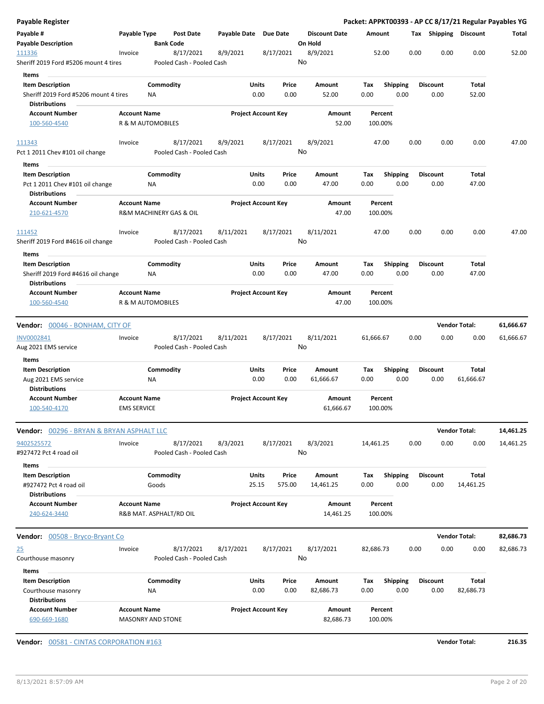|         |                                                                                                                                                                                                                         | Post Date                                                                                                                                                                                                   |                                                                                                                                                                                                                          |                                                                                                                                                                                                     |                                                             | <b>Discount Date</b>                                                                                                                                                                                                                                                                  |                                                                                                                                     |                           |                                                                                                                                                                                        |                                                                                                                                                                                |                                                                                                                                        | Total                                                                                                                                                                                                           |
|---------|-------------------------------------------------------------------------------------------------------------------------------------------------------------------------------------------------------------------------|-------------------------------------------------------------------------------------------------------------------------------------------------------------------------------------------------------------|--------------------------------------------------------------------------------------------------------------------------------------------------------------------------------------------------------------------------|-----------------------------------------------------------------------------------------------------------------------------------------------------------------------------------------------------|-------------------------------------------------------------|---------------------------------------------------------------------------------------------------------------------------------------------------------------------------------------------------------------------------------------------------------------------------------------|-------------------------------------------------------------------------------------------------------------------------------------|---------------------------|----------------------------------------------------------------------------------------------------------------------------------------------------------------------------------------|--------------------------------------------------------------------------------------------------------------------------------------------------------------------------------|----------------------------------------------------------------------------------------------------------------------------------------|-----------------------------------------------------------------------------------------------------------------------------------------------------------------------------------------------------------------|
| Invoice |                                                                                                                                                                                                                         | 8/17/2021                                                                                                                                                                                                   | 8/9/2021                                                                                                                                                                                                                 |                                                                                                                                                                                                     |                                                             | 8/9/2021                                                                                                                                                                                                                                                                              |                                                                                                                                     |                           | 0.00                                                                                                                                                                                   | 0.00                                                                                                                                                                           | 0.00                                                                                                                                   | 52.00                                                                                                                                                                                                           |
|         |                                                                                                                                                                                                                         |                                                                                                                                                                                                             |                                                                                                                                                                                                                          |                                                                                                                                                                                                     |                                                             |                                                                                                                                                                                                                                                                                       |                                                                                                                                     |                           |                                                                                                                                                                                        |                                                                                                                                                                                |                                                                                                                                        |                                                                                                                                                                                                                 |
|         | ΝA                                                                                                                                                                                                                      |                                                                                                                                                                                                             |                                                                                                                                                                                                                          | 0.00                                                                                                                                                                                                | Price<br>0.00                                               | Amount<br>52.00                                                                                                                                                                                                                                                                       | Tax<br>0.00                                                                                                                         |                           |                                                                                                                                                                                        | 0.00                                                                                                                                                                           | Total<br>52.00                                                                                                                         |                                                                                                                                                                                                                 |
|         |                                                                                                                                                                                                                         |                                                                                                                                                                                                             |                                                                                                                                                                                                                          |                                                                                                                                                                                                     |                                                             |                                                                                                                                                                                                                                                                                       |                                                                                                                                     |                           |                                                                                                                                                                                        |                                                                                                                                                                                |                                                                                                                                        |                                                                                                                                                                                                                 |
|         |                                                                                                                                                                                                                         |                                                                                                                                                                                                             |                                                                                                                                                                                                                          |                                                                                                                                                                                                     |                                                             | 52.00                                                                                                                                                                                                                                                                                 |                                                                                                                                     |                           |                                                                                                                                                                                        |                                                                                                                                                                                |                                                                                                                                        |                                                                                                                                                                                                                 |
| Invoice |                                                                                                                                                                                                                         | 8/17/2021                                                                                                                                                                                                   | 8/9/2021                                                                                                                                                                                                                 |                                                                                                                                                                                                     |                                                             | 8/9/2021                                                                                                                                                                                                                                                                              |                                                                                                                                     |                           | 0.00                                                                                                                                                                                   | 0.00                                                                                                                                                                           | 0.00                                                                                                                                   | 47.00                                                                                                                                                                                                           |
|         |                                                                                                                                                                                                                         |                                                                                                                                                                                                             |                                                                                                                                                                                                                          |                                                                                                                                                                                                     |                                                             |                                                                                                                                                                                                                                                                                       |                                                                                                                                     |                           |                                                                                                                                                                                        |                                                                                                                                                                                |                                                                                                                                        |                                                                                                                                                                                                                 |
|         |                                                                                                                                                                                                                         |                                                                                                                                                                                                             |                                                                                                                                                                                                                          |                                                                                                                                                                                                     |                                                             |                                                                                                                                                                                                                                                                                       |                                                                                                                                     |                           |                                                                                                                                                                                        |                                                                                                                                                                                |                                                                                                                                        |                                                                                                                                                                                                                 |
|         |                                                                                                                                                                                                                         |                                                                                                                                                                                                             |                                                                                                                                                                                                                          |                                                                                                                                                                                                     | Price                                                       |                                                                                                                                                                                                                                                                                       |                                                                                                                                     |                           |                                                                                                                                                                                        |                                                                                                                                                                                |                                                                                                                                        |                                                                                                                                                                                                                 |
|         | <b>NA</b>                                                                                                                                                                                                               |                                                                                                                                                                                                             |                                                                                                                                                                                                                          | 0.00                                                                                                                                                                                                | 0.00                                                        | 47.00                                                                                                                                                                                                                                                                                 | 0.00                                                                                                                                |                           |                                                                                                                                                                                        | 0.00                                                                                                                                                                           | 47.00                                                                                                                                  |                                                                                                                                                                                                                 |
|         |                                                                                                                                                                                                                         |                                                                                                                                                                                                             |                                                                                                                                                                                                                          |                                                                                                                                                                                                     |                                                             | Amount<br>47.00                                                                                                                                                                                                                                                                       |                                                                                                                                     |                           |                                                                                                                                                                                        |                                                                                                                                                                                |                                                                                                                                        |                                                                                                                                                                                                                 |
|         |                                                                                                                                                                                                                         |                                                                                                                                                                                                             |                                                                                                                                                                                                                          |                                                                                                                                                                                                     |                                                             |                                                                                                                                                                                                                                                                                       |                                                                                                                                     |                           |                                                                                                                                                                                        |                                                                                                                                                                                |                                                                                                                                        |                                                                                                                                                                                                                 |
| Invoice |                                                                                                                                                                                                                         | 8/17/2021                                                                                                                                                                                                   | 8/11/2021                                                                                                                                                                                                                |                                                                                                                                                                                                     |                                                             | 8/11/2021                                                                                                                                                                                                                                                                             |                                                                                                                                     |                           | 0.00                                                                                                                                                                                   | 0.00                                                                                                                                                                           | 0.00                                                                                                                                   | 47.00                                                                                                                                                                                                           |
|         |                                                                                                                                                                                                                         |                                                                                                                                                                                                             |                                                                                                                                                                                                                          |                                                                                                                                                                                                     |                                                             |                                                                                                                                                                                                                                                                                       |                                                                                                                                     |                           |                                                                                                                                                                                        |                                                                                                                                                                                |                                                                                                                                        |                                                                                                                                                                                                                 |
|         | ΝA                                                                                                                                                                                                                      |                                                                                                                                                                                                             |                                                                                                                                                                                                                          | 0.00                                                                                                                                                                                                | Price<br>0.00                                               | Amount<br>47.00                                                                                                                                                                                                                                                                       | Tax<br>0.00                                                                                                                         |                           |                                                                                                                                                                                        | 0.00                                                                                                                                                                           | Total<br>47.00                                                                                                                         |                                                                                                                                                                                                                 |
|         |                                                                                                                                                                                                                         |                                                                                                                                                                                                             |                                                                                                                                                                                                                          |                                                                                                                                                                                                     |                                                             | Amount<br>47.00                                                                                                                                                                                                                                                                       |                                                                                                                                     |                           |                                                                                                                                                                                        |                                                                                                                                                                                |                                                                                                                                        |                                                                                                                                                                                                                 |
|         |                                                                                                                                                                                                                         |                                                                                                                                                                                                             |                                                                                                                                                                                                                          |                                                                                                                                                                                                     |                                                             |                                                                                                                                                                                                                                                                                       |                                                                                                                                     |                           |                                                                                                                                                                                        |                                                                                                                                                                                |                                                                                                                                        | 61,666.67                                                                                                                                                                                                       |
|         |                                                                                                                                                                                                                         |                                                                                                                                                                                                             |                                                                                                                                                                                                                          |                                                                                                                                                                                                     |                                                             |                                                                                                                                                                                                                                                                                       |                                                                                                                                     |                           |                                                                                                                                                                                        |                                                                                                                                                                                |                                                                                                                                        | 61,666.67                                                                                                                                                                                                       |
|         |                                                                                                                                                                                                                         |                                                                                                                                                                                                             |                                                                                                                                                                                                                          |                                                                                                                                                                                                     |                                                             |                                                                                                                                                                                                                                                                                       |                                                                                                                                     |                           |                                                                                                                                                                                        |                                                                                                                                                                                |                                                                                                                                        |                                                                                                                                                                                                                 |
|         |                                                                                                                                                                                                                         |                                                                                                                                                                                                             |                                                                                                                                                                                                                          |                                                                                                                                                                                                     |                                                             |                                                                                                                                                                                                                                                                                       |                                                                                                                                     |                           |                                                                                                                                                                                        |                                                                                                                                                                                |                                                                                                                                        |                                                                                                                                                                                                                 |
|         | ΝA                                                                                                                                                                                                                      |                                                                                                                                                                                                             |                                                                                                                                                                                                                          | 0.00                                                                                                                                                                                                | 0.00                                                        | 61,666.67                                                                                                                                                                                                                                                                             | 0.00                                                                                                                                |                           |                                                                                                                                                                                        | 0.00                                                                                                                                                                           | 61,666.67                                                                                                                              |                                                                                                                                                                                                                 |
|         |                                                                                                                                                                                                                         |                                                                                                                                                                                                             |                                                                                                                                                                                                                          |                                                                                                                                                                                                     |                                                             | Amount<br>61,666.67                                                                                                                                                                                                                                                                   |                                                                                                                                     |                           |                                                                                                                                                                                        |                                                                                                                                                                                |                                                                                                                                        |                                                                                                                                                                                                                 |
|         |                                                                                                                                                                                                                         |                                                                                                                                                                                                             |                                                                                                                                                                                                                          |                                                                                                                                                                                                     |                                                             |                                                                                                                                                                                                                                                                                       |                                                                                                                                     |                           |                                                                                                                                                                                        |                                                                                                                                                                                |                                                                                                                                        | 14,461.25                                                                                                                                                                                                       |
|         |                                                                                                                                                                                                                         |                                                                                                                                                                                                             |                                                                                                                                                                                                                          |                                                                                                                                                                                                     |                                                             |                                                                                                                                                                                                                                                                                       |                                                                                                                                     |                           |                                                                                                                                                                                        |                                                                                                                                                                                |                                                                                                                                        | 14,461.25                                                                                                                                                                                                       |
|         |                                                                                                                                                                                                                         |                                                                                                                                                                                                             |                                                                                                                                                                                                                          |                                                                                                                                                                                                     |                                                             |                                                                                                                                                                                                                                                                                       |                                                                                                                                     |                           |                                                                                                                                                                                        |                                                                                                                                                                                |                                                                                                                                        |                                                                                                                                                                                                                 |
|         |                                                                                                                                                                                                                         |                                                                                                                                                                                                             |                                                                                                                                                                                                                          |                                                                                                                                                                                                     |                                                             |                                                                                                                                                                                                                                                                                       |                                                                                                                                     |                           |                                                                                                                                                                                        |                                                                                                                                                                                |                                                                                                                                        |                                                                                                                                                                                                                 |
|         |                                                                                                                                                                                                                         |                                                                                                                                                                                                             |                                                                                                                                                                                                                          |                                                                                                                                                                                                     |                                                             |                                                                                                                                                                                                                                                                                       |                                                                                                                                     |                           |                                                                                                                                                                                        |                                                                                                                                                                                |                                                                                                                                        |                                                                                                                                                                                                                 |
|         |                                                                                                                                                                                                                         |                                                                                                                                                                                                             |                                                                                                                                                                                                                          |                                                                                                                                                                                                     |                                                             |                                                                                                                                                                                                                                                                                       |                                                                                                                                     |                           |                                                                                                                                                                                        |                                                                                                                                                                                |                                                                                                                                        |                                                                                                                                                                                                                 |
|         |                                                                                                                                                                                                                         |                                                                                                                                                                                                             |                                                                                                                                                                                                                          |                                                                                                                                                                                                     |                                                             |                                                                                                                                                                                                                                                                                       |                                                                                                                                     |                           |                                                                                                                                                                                        |                                                                                                                                                                                |                                                                                                                                        |                                                                                                                                                                                                                 |
|         |                                                                                                                                                                                                                         |                                                                                                                                                                                                             |                                                                                                                                                                                                                          |                                                                                                                                                                                                     |                                                             | 14,461.25                                                                                                                                                                                                                                                                             |                                                                                                                                     |                           |                                                                                                                                                                                        |                                                                                                                                                                                |                                                                                                                                        |                                                                                                                                                                                                                 |
|         |                                                                                                                                                                                                                         |                                                                                                                                                                                                             |                                                                                                                                                                                                                          |                                                                                                                                                                                                     |                                                             |                                                                                                                                                                                                                                                                                       |                                                                                                                                     |                           |                                                                                                                                                                                        |                                                                                                                                                                                |                                                                                                                                        | 82,686.73                                                                                                                                                                                                       |
| Invoice |                                                                                                                                                                                                                         | 8/17/2021                                                                                                                                                                                                   | 8/17/2021                                                                                                                                                                                                                |                                                                                                                                                                                                     |                                                             | 8/17/2021                                                                                                                                                                                                                                                                             |                                                                                                                                     |                           | 0.00                                                                                                                                                                                   | 0.00                                                                                                                                                                           | 0.00                                                                                                                                   | 82,686.73                                                                                                                                                                                                       |
|         |                                                                                                                                                                                                                         |                                                                                                                                                                                                             |                                                                                                                                                                                                                          |                                                                                                                                                                                                     |                                                             |                                                                                                                                                                                                                                                                                       |                                                                                                                                     |                           |                                                                                                                                                                                        |                                                                                                                                                                                |                                                                                                                                        |                                                                                                                                                                                                                 |
|         |                                                                                                                                                                                                                         |                                                                                                                                                                                                             |                                                                                                                                                                                                                          |                                                                                                                                                                                                     | Price                                                       | Amount                                                                                                                                                                                                                                                                                | Tax                                                                                                                                 |                           |                                                                                                                                                                                        |                                                                                                                                                                                | <b>Total</b>                                                                                                                           |                                                                                                                                                                                                                 |
|         | ΝA                                                                                                                                                                                                                      |                                                                                                                                                                                                             |                                                                                                                                                                                                                          | 0.00                                                                                                                                                                                                | 0.00                                                        | 82,686.73                                                                                                                                                                                                                                                                             | 0.00                                                                                                                                |                           |                                                                                                                                                                                        | 0.00                                                                                                                                                                           | 82,686.73                                                                                                                              |                                                                                                                                                                                                                 |
|         |                                                                                                                                                                                                                         |                                                                                                                                                                                                             |                                                                                                                                                                                                                          |                                                                                                                                                                                                     |                                                             |                                                                                                                                                                                                                                                                                       |                                                                                                                                     |                           |                                                                                                                                                                                        |                                                                                                                                                                                |                                                                                                                                        |                                                                                                                                                                                                                 |
|         | Sheriff 2019 Ford #5206 mount 4 tires<br>Sheriff 2019 Ford #5206 mount 4 tires<br>Sheriff 2019 Ford #4616 oil change<br><b>Vendor:</b> 00046 - BONHAM, CITY OF<br>Invoice<br>Invoice<br>Vendor: 00508 - Bryco-Bryant Co | Payable Type<br><b>Account Name</b><br><b>Account Name</b><br><b>Account Name</b><br><b>Account Name</b><br><b>EMS SERVICE</b><br>Vendor: 00296 - BRYAN & BRYAN ASPHALT LLC<br>Goods<br><b>Account Name</b> | <b>Bank Code</b><br>Commodity<br>R & M AUTOMOBILES<br>Commodity<br>R&M MACHINERY GAS & OIL<br>Commodity<br>R & M AUTOMOBILES<br>8/17/2021<br>Commodity<br>8/17/2021<br>Commodity<br>R&B MAT. ASPHALT/RD OIL<br>Commodity | Pooled Cash - Pooled Cash<br>Pooled Cash - Pooled Cash<br>Pooled Cash - Pooled Cash<br>8/11/2021<br>Pooled Cash - Pooled Cash<br>8/3/2021<br>Pooled Cash - Pooled Cash<br>Pooled Cash - Pooled Cash | Units<br>Units<br>Units<br>Units<br>Units<br>25.15<br>Units | Payable Date Due Date<br>8/17/2021<br><b>Project Account Key</b><br>8/17/2021<br><b>Project Account Key</b><br>8/17/2021<br><b>Project Account Key</b><br>8/17/2021<br>Price<br><b>Project Account Key</b><br>8/17/2021<br>Price<br>575.00<br><b>Project Account Key</b><br>8/17/2021 | On Hold<br>No<br>Amount<br>No<br>Amount<br>No<br>8/11/2021<br>No<br>Amount<br>8/3/2021<br>No<br>Amount<br>14,461.25<br>Amount<br>No | Tax<br>Тах<br>Tax<br>0.00 | Amount<br>52.00<br>Percent<br>100.00%<br>47.00<br>Percent<br>100.00%<br>47.00<br>Percent<br>100.00%<br>61,666.67<br>Percent<br>100.00%<br>14,461.25<br>Percent<br>100.00%<br>82,686.73 | <b>Shipping</b><br>0.00<br><b>Shipping</b><br>0.00<br><b>Shipping</b><br>0.00<br>0.00<br><b>Shipping</b><br>0.00<br>0.00<br><b>Shipping</b><br>0.00<br><b>Shipping</b><br>0.00 | <b>Discount</b><br><b>Discount</b><br><b>Discount</b><br>0.00<br><b>Discount</b><br>0.00<br><b>Discount</b><br>0.00<br><b>Discount</b> | Packet: APPKT00393 - AP CC 8/17/21 Regular Payables YG<br>Tax Shipping Discount<br>Total<br><b>Vendor Total:</b><br>0.00<br>Total<br><b>Vendor Total:</b><br>0.00<br>Total<br>14,461.25<br><b>Vendor Total:</b> |

**Vendor:** 00581 - CINTAS CORPORATION #163 **Vendor Total: 216.35**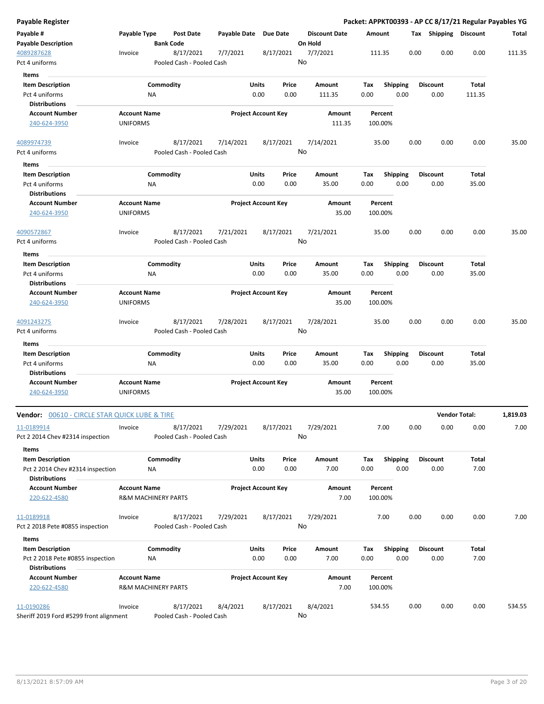| <b>Payable Register</b>                                     |                                                       |                  |                                        |                       |                            |               |         |                      |             |                    |      |      |                         |               | Packet: APPKT00393 - AP CC 8/17/21 Regular Payables YG |
|-------------------------------------------------------------|-------------------------------------------------------|------------------|----------------------------------------|-----------------------|----------------------------|---------------|---------|----------------------|-------------|--------------------|------|------|-------------------------|---------------|--------------------------------------------------------|
| Payable #                                                   | Payable Type                                          |                  | <b>Post Date</b>                       | Payable Date Due Date |                            |               |         | <b>Discount Date</b> | Amount      |                    |      |      | Tax Shipping Discount   |               | Total                                                  |
| <b>Payable Description</b>                                  |                                                       | <b>Bank Code</b> |                                        |                       |                            |               | On Hold |                      |             |                    |      |      |                         |               |                                                        |
| 4089287628                                                  | Invoice                                               |                  | 8/17/2021                              | 7/7/2021              |                            | 8/17/2021     |         | 7/7/2021             |             | 111.35             |      | 0.00 | 0.00                    | 0.00          | 111.35                                                 |
| Pct 4 uniforms                                              |                                                       |                  | Pooled Cash - Pooled Cash              |                       |                            |               | No      |                      |             |                    |      |      |                         |               |                                                        |
| Items                                                       |                                                       |                  |                                        |                       |                            |               |         |                      |             |                    |      |      |                         |               |                                                        |
| <b>Item Description</b>                                     |                                                       | Commodity        |                                        |                       | Units                      | Price         |         | Amount               | Tax         | <b>Shipping</b>    |      |      | <b>Discount</b>         | Total         |                                                        |
| Pct 4 uniforms                                              |                                                       | ΝA               |                                        |                       | 0.00                       | 0.00          |         | 111.35               | 0.00        |                    | 0.00 |      | 0.00                    | 111.35        |                                                        |
| <b>Distributions</b>                                        |                                                       |                  |                                        |                       |                            |               |         |                      |             |                    |      |      |                         |               |                                                        |
| <b>Account Number</b>                                       | <b>Account Name</b>                                   |                  |                                        |                       | <b>Project Account Key</b> |               |         | Amount               |             | Percent            |      |      |                         |               |                                                        |
| 240-624-3950                                                | <b>UNIFORMS</b>                                       |                  |                                        |                       |                            |               |         | 111.35               |             | 100.00%            |      |      |                         |               |                                                        |
| 4089974739                                                  | Invoice                                               |                  | 8/17/2021                              | 7/14/2021             |                            | 8/17/2021     |         | 7/14/2021            |             | 35.00              |      | 0.00 | 0.00                    | 0.00          | 35.00                                                  |
| Pct 4 uniforms                                              |                                                       |                  | Pooled Cash - Pooled Cash              |                       |                            |               | No      |                      |             |                    |      |      |                         |               |                                                        |
| Items                                                       |                                                       |                  |                                        |                       |                            |               |         |                      |             |                    |      |      |                         |               |                                                        |
| <b>Item Description</b>                                     |                                                       | Commodity        |                                        |                       | Units                      | Price         |         | Amount               | Tax         | <b>Shipping</b>    |      |      | <b>Discount</b>         | Total         |                                                        |
| Pct 4 uniforms                                              |                                                       | NA               |                                        |                       | 0.00                       | 0.00          |         | 35.00                | 0.00        |                    | 0.00 |      | 0.00                    | 35.00         |                                                        |
| <b>Distributions</b>                                        |                                                       |                  |                                        |                       |                            |               |         |                      |             |                    |      |      |                         |               |                                                        |
| <b>Account Number</b>                                       | <b>Account Name</b>                                   |                  |                                        |                       | <b>Project Account Key</b> |               |         | Amount               |             | Percent            |      |      |                         |               |                                                        |
| 240-624-3950                                                | <b>UNIFORMS</b>                                       |                  |                                        |                       |                            |               |         | 35.00                |             | 100.00%            |      |      |                         |               |                                                        |
| 4090572867                                                  | Invoice                                               |                  | 8/17/2021                              | 7/21/2021             |                            | 8/17/2021     |         | 7/21/2021            |             | 35.00              |      | 0.00 | 0.00                    | 0.00          | 35.00                                                  |
| Pct 4 uniforms                                              |                                                       |                  | Pooled Cash - Pooled Cash              |                       |                            |               | No      |                      |             |                    |      |      |                         |               |                                                        |
| Items                                                       |                                                       |                  |                                        |                       |                            |               |         |                      |             |                    |      |      |                         |               |                                                        |
| <b>Item Description</b>                                     |                                                       | Commodity        |                                        |                       | Units                      | Price         |         | Amount               | Tax         | <b>Shipping</b>    |      |      | <b>Discount</b>         | Total         |                                                        |
| Pct 4 uniforms                                              |                                                       | NA               |                                        |                       | 0.00                       | 0.00          |         | 35.00                | 0.00        |                    | 0.00 |      | 0.00                    | 35.00         |                                                        |
| <b>Distributions</b>                                        |                                                       |                  |                                        |                       |                            |               |         |                      |             |                    |      |      |                         |               |                                                        |
| <b>Account Number</b>                                       | <b>Account Name</b>                                   |                  |                                        |                       | <b>Project Account Key</b> |               |         | Amount               |             | Percent            |      |      |                         |               |                                                        |
| 240-624-3950                                                | <b>UNIFORMS</b>                                       |                  |                                        |                       |                            |               |         | 35.00                |             | 100.00%            |      |      |                         |               |                                                        |
| 4091243275                                                  | Invoice                                               |                  | 8/17/2021                              | 7/28/2021             |                            | 8/17/2021     |         | 7/28/2021            |             | 35.00              |      | 0.00 | 0.00                    | 0.00          | 35.00                                                  |
| Pct 4 uniforms                                              |                                                       |                  | Pooled Cash - Pooled Cash              |                       |                            |               | No      |                      |             |                    |      |      |                         |               |                                                        |
| Items                                                       |                                                       |                  |                                        |                       |                            |               |         |                      |             |                    |      |      |                         |               |                                                        |
| <b>Item Description</b>                                     |                                                       | Commodity        |                                        |                       | Units                      | Price         |         | Amount               | Tax         | <b>Shipping</b>    |      |      | <b>Discount</b>         | Total         |                                                        |
| Pct 4 uniforms                                              |                                                       | NA               |                                        |                       | 0.00                       | 0.00          |         | 35.00                | 0.00        |                    | 0.00 |      | 0.00                    | 35.00         |                                                        |
| <b>Distributions</b>                                        |                                                       |                  |                                        |                       |                            |               |         |                      |             |                    |      |      |                         |               |                                                        |
| <b>Account Number</b>                                       | <b>Account Name</b>                                   |                  |                                        |                       | <b>Project Account Key</b> |               |         | Amount               |             | Percent            |      |      |                         |               |                                                        |
| 240-624-3950                                                | <b>UNIFORMS</b>                                       |                  |                                        |                       |                            |               |         | 35.00                |             | 100.00%            |      |      |                         |               |                                                        |
|                                                             |                                                       |                  |                                        |                       |                            |               |         |                      |             |                    |      |      |                         |               |                                                        |
| Vendor: 00610 - CIRCLE STAR QUICK LUBE & TIRE               |                                                       |                  |                                        |                       |                            |               |         |                      |             |                    |      |      | <b>Vendor Total:</b>    |               | 1,819.03                                               |
| 11-0189914                                                  | Invoice                                               |                  | 8/17/2021<br>Pooled Cash - Pooled Cash | 7/29/2021             |                            | 8/17/2021     | No      | 7/29/2021            |             | 7.00               |      | 0.00 | 0.00                    | 0.00          | 7.00                                                   |
| Pct 2 2014 Chev #2314 inspection                            |                                                       |                  |                                        |                       |                            |               |         |                      |             |                    |      |      |                         |               |                                                        |
| Items                                                       |                                                       |                  |                                        |                       |                            |               |         |                      |             |                    |      |      |                         |               |                                                        |
| <b>Item Description</b>                                     |                                                       | Commodity        |                                        |                       | <b>Units</b>               | Price         |         | Amount               | Tax         | <b>Shipping</b>    |      |      | <b>Discount</b>         | Total         |                                                        |
| Pct 2 2014 Chev #2314 inspection                            |                                                       | NA               |                                        |                       | 0.00                       | 0.00          |         | 7.00                 | 0.00        |                    | 0.00 |      | 0.00                    | 7.00          |                                                        |
| <b>Distributions</b>                                        |                                                       |                  |                                        |                       |                            |               |         |                      |             |                    |      |      |                         |               |                                                        |
| <b>Account Number</b><br>220-622-4580                       | <b>Account Name</b><br><b>R&amp;M MACHINERY PARTS</b> |                  |                                        |                       | <b>Project Account Key</b> |               |         | Amount<br>7.00       |             | Percent<br>100.00% |      |      |                         |               |                                                        |
|                                                             |                                                       |                  |                                        |                       |                            |               |         |                      |             |                    |      |      |                         |               |                                                        |
| 11-0189918                                                  | Invoice                                               |                  | 8/17/2021                              | 7/29/2021             |                            | 8/17/2021     |         | 7/29/2021            |             | 7.00               |      | 0.00 | 0.00                    | 0.00          | 7.00                                                   |
| Pct 2 2018 Pete #0855 inspection                            |                                                       |                  | Pooled Cash - Pooled Cash              |                       |                            |               | No      |                      |             |                    |      |      |                         |               |                                                        |
|                                                             |                                                       |                  |                                        |                       |                            |               |         |                      |             |                    |      |      |                         |               |                                                        |
| Items                                                       |                                                       |                  |                                        |                       |                            |               |         |                      |             |                    |      |      |                         |               |                                                        |
| <b>Item Description</b><br>Pct 2 2018 Pete #0855 inspection |                                                       | Commodity<br>NA  |                                        |                       | Units<br>0.00              | Price<br>0.00 |         | Amount<br>7.00       | Tax<br>0.00 | <b>Shipping</b>    | 0.00 |      | <b>Discount</b><br>0.00 | Total<br>7.00 |                                                        |
| Distributions                                               |                                                       |                  |                                        |                       |                            |               |         |                      |             |                    |      |      |                         |               |                                                        |
| <b>Account Number</b><br>220-622-4580                       | <b>Account Name</b><br><b>R&amp;M MACHINERY PARTS</b> |                  |                                        |                       | <b>Project Account Key</b> |               |         | Amount<br>7.00       |             | Percent<br>100.00% |      |      |                         |               |                                                        |
|                                                             |                                                       |                  |                                        |                       |                            |               |         |                      |             |                    |      |      |                         |               |                                                        |
| 11-0190286                                                  | Invoice                                               |                  | 8/17/2021                              | 8/4/2021              |                            | 8/17/2021     |         | 8/4/2021             |             | 534.55             |      | 0.00 | 0.00                    | 0.00          | 534.55                                                 |
| Sheriff 2019 Ford #5299 front alignment                     |                                                       |                  | Pooled Cash - Pooled Cash              |                       |                            |               | No      |                      |             |                    |      |      |                         |               |                                                        |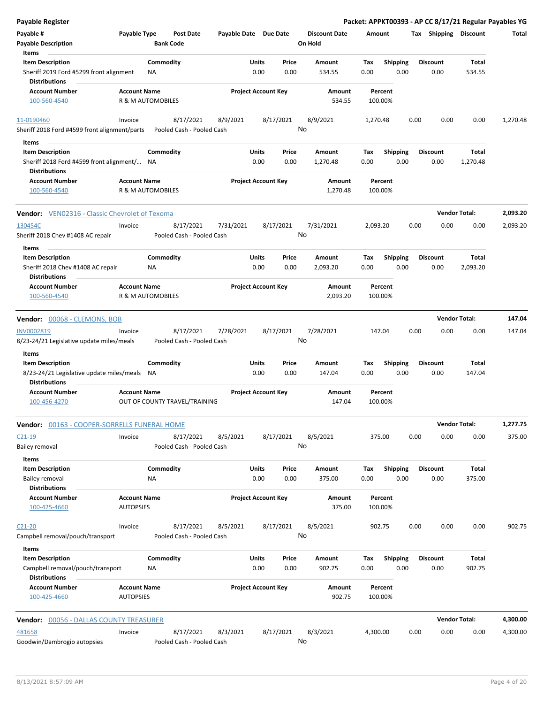| <b>Payable Register</b>                                              |                                         |                        |                                        |                       |                            |                 |                                 |             |                         |      |                         |                 | Packet: APPKT00393 - AP CC 8/17/21 Regular Payables YG |
|----------------------------------------------------------------------|-----------------------------------------|------------------------|----------------------------------------|-----------------------|----------------------------|-----------------|---------------------------------|-------------|-------------------------|------|-------------------------|-----------------|--------------------------------------------------------|
| Payable #<br><b>Payable Description</b>                              | Payable Type                            | <b>Bank Code</b>       | <b>Post Date</b>                       | Payable Date Due Date |                            |                 | <b>Discount Date</b><br>On Hold | Amount      |                         |      | Tax Shipping Discount   |                 | Total                                                  |
| Items                                                                |                                         |                        |                                        |                       |                            |                 |                                 |             |                         |      |                         |                 |                                                        |
| <b>Item Description</b><br>Sheriff 2019 Ford #5299 front alignment   |                                         | Commodity<br><b>NA</b> |                                        |                       | Units<br>0.00              | Price<br>0.00   | Amount<br>534.55                | Tax<br>0.00 | <b>Shipping</b><br>0.00 |      | <b>Discount</b><br>0.00 | Total<br>534.55 |                                                        |
| <b>Distributions</b>                                                 |                                         |                        |                                        |                       |                            |                 |                                 |             |                         |      |                         |                 |                                                        |
| <b>Account Number</b><br>100-560-4540                                | <b>Account Name</b>                     | R & M AUTOMOBILES      |                                        |                       | <b>Project Account Key</b> |                 | Amount<br>534.55                |             | Percent<br>100.00%      |      |                         |                 |                                                        |
| 11-0190460                                                           | Invoice                                 |                        | 8/17/2021                              | 8/9/2021              |                            | 8/17/2021       | 8/9/2021                        | 1,270.48    |                         | 0.00 | 0.00                    | 0.00            | 1,270.48                                               |
| Sheriff 2018 Ford #4599 front alignment/parts                        |                                         |                        | Pooled Cash - Pooled Cash              |                       |                            | No              |                                 |             |                         |      |                         |                 |                                                        |
|                                                                      |                                         |                        |                                        |                       |                            |                 |                                 |             |                         |      |                         |                 |                                                        |
| Items<br><b>Item Description</b>                                     |                                         | Commodity              |                                        |                       | Units                      | Price           | Amount                          | Tax         | <b>Shipping</b>         |      | <b>Discount</b>         | Total           |                                                        |
| Sheriff 2018 Ford #4599 front alignment/ NA                          |                                         |                        |                                        |                       | 0.00                       | 0.00            | 1,270.48                        | 0.00        | 0.00                    |      | 0.00                    | 1,270.48        |                                                        |
| <b>Distributions</b>                                                 |                                         |                        |                                        |                       |                            |                 |                                 |             |                         |      |                         |                 |                                                        |
| <b>Account Number</b>                                                | <b>Account Name</b>                     |                        |                                        |                       | <b>Project Account Key</b> |                 | Amount                          |             | Percent                 |      |                         |                 |                                                        |
| 100-560-4540                                                         |                                         | R & M AUTOMOBILES      |                                        |                       |                            |                 | 1,270.48                        |             | 100.00%                 |      |                         |                 |                                                        |
| <b>Vendor:</b> VEN02316 - Classic Chevrolet of Texoma                |                                         |                        |                                        |                       |                            |                 |                                 |             |                         |      | <b>Vendor Total:</b>    |                 | 2,093.20                                               |
| 130454C                                                              | Invoice                                 |                        | 8/17/2021                              | 7/31/2021             |                            | 8/17/2021       | 7/31/2021                       | 2,093.20    |                         | 0.00 | 0.00                    | 0.00            | 2,093.20                                               |
| Sheriff 2018 Chev #1408 AC repair                                    |                                         |                        | Pooled Cash - Pooled Cash              |                       |                            | No              |                                 |             |                         |      |                         |                 |                                                        |
| Items<br><b>Item Description</b>                                     |                                         | Commodity              |                                        |                       | Units                      | Price           | Amount                          | Tax         | Shipping                |      | <b>Discount</b>         | Total           |                                                        |
| Sheriff 2018 Chev #1408 AC repair<br><b>Distributions</b>            |                                         | NA                     |                                        |                       | 0.00                       | 0.00            | 2,093.20                        | 0.00        | 0.00                    |      | 0.00                    | 2,093.20        |                                                        |
| <b>Account Number</b><br>100-560-4540                                | <b>Account Name</b>                     | R & M AUTOMOBILES      |                                        |                       | <b>Project Account Key</b> |                 | Amount<br>2,093.20              |             | Percent<br>100.00%      |      |                         |                 |                                                        |
|                                                                      |                                         |                        |                                        |                       |                            |                 |                                 |             |                         |      |                         |                 |                                                        |
| Vendor: 00068 - CLEMONS, BOB                                         |                                         |                        |                                        |                       |                            |                 |                                 |             |                         |      | <b>Vendor Total:</b>    |                 | 147.04                                                 |
| INV0002819<br>8/23-24/21 Legislative update miles/meals              | Invoice                                 |                        | 8/17/2021<br>Pooled Cash - Pooled Cash | 7/28/2021             |                            | 8/17/2021<br>No | 7/28/2021                       |             | 147.04                  | 0.00 | 0.00                    | 0.00            | 147.04                                                 |
| Items                                                                |                                         |                        |                                        |                       |                            |                 |                                 |             |                         |      |                         |                 |                                                        |
| <b>Item Description</b>                                              |                                         | Commodity              |                                        |                       | Units                      | Price           | Amount                          | Tax         | Shipping                |      | <b>Discount</b>         | Total           |                                                        |
| 8/23-24/21 Legislative update miles/meals NA<br><b>Distributions</b> |                                         |                        |                                        |                       | 0.00                       | 0.00            | 147.04                          | 0.00        | 0.00                    |      | 0.00                    | 147.04          |                                                        |
| <b>Account Number</b>                                                | <b>Account Name</b>                     |                        |                                        |                       | <b>Project Account Key</b> |                 | Amount                          |             | Percent                 |      |                         |                 |                                                        |
| 100-456-4270                                                         |                                         |                        | OUT OF COUNTY TRAVEL/TRAINING          |                       |                            |                 | 147.04                          |             | 100.00%                 |      |                         |                 |                                                        |
| Vendor: 00163 - COOPER-SORRELLS FUNERAL HOME                         |                                         |                        |                                        |                       |                            |                 |                                 |             |                         |      | <b>Vendor Total:</b>    |                 | 1,277.75                                               |
| $C21-19$                                                             | Invoice                                 |                        | 8/17/2021                              | 8/5/2021              |                            | 8/17/2021       | 8/5/2021                        |             | 375.00                  | 0.00 | 0.00                    | 0.00            | 375.00                                                 |
| <b>Bailey removal</b>                                                |                                         |                        | Pooled Cash - Pooled Cash              |                       |                            | No              |                                 |             |                         |      |                         |                 |                                                        |
| Items                                                                |                                         |                        |                                        |                       |                            |                 |                                 |             |                         |      |                         |                 |                                                        |
| <b>Item Description</b>                                              |                                         | Commodity              |                                        |                       | <b>Units</b>               | Price           | Amount                          | Tax         | <b>Shipping</b>         |      | <b>Discount</b>         | Total           |                                                        |
| <b>Bailey removal</b>                                                |                                         | ΝA                     |                                        |                       | 0.00                       | 0.00            | 375.00                          | 0.00        | 0.00                    |      | 0.00                    | 375.00          |                                                        |
| <b>Distributions</b>                                                 |                                         |                        |                                        |                       | <b>Project Account Key</b> |                 |                                 |             |                         |      |                         |                 |                                                        |
| <b>Account Number</b><br>100-425-4660                                | <b>Account Name</b><br><b>AUTOPSIES</b> |                        |                                        |                       |                            |                 | Amount<br>375.00                |             | Percent<br>100.00%      |      |                         |                 |                                                        |
| $C21-20$                                                             | Invoice                                 |                        | 8/17/2021                              | 8/5/2021              |                            | 8/17/2021       | 8/5/2021                        |             | 902.75                  | 0.00 | 0.00                    | 0.00            | 902.75                                                 |
| Campbell removal/pouch/transport                                     |                                         |                        | Pooled Cash - Pooled Cash              |                       |                            | No              |                                 |             |                         |      |                         |                 |                                                        |
| Items<br><b>Item Description</b>                                     |                                         |                        |                                        |                       | <b>Units</b>               | Price           |                                 |             |                         |      | <b>Discount</b>         | Total           |                                                        |
| Campbell removal/pouch/transport<br><b>Distributions</b>             |                                         | Commodity<br>NA        |                                        |                       | 0.00                       | 0.00            | Amount<br>902.75                | Tax<br>0.00 | <b>Shipping</b><br>0.00 |      | 0.00                    | 902.75          |                                                        |
| <b>Account Number</b>                                                | <b>Account Name</b>                     |                        |                                        |                       | <b>Project Account Key</b> |                 | Amount                          |             | Percent                 |      |                         |                 |                                                        |
| 100-425-4660                                                         | <b>AUTOPSIES</b>                        |                        |                                        |                       |                            |                 | 902.75                          |             | 100.00%                 |      |                         |                 |                                                        |
| <b>Vendor: 00056 - DALLAS COUNTY TREASURER</b>                       |                                         |                        |                                        |                       |                            |                 |                                 |             |                         |      | <b>Vendor Total:</b>    |                 | 4,300.00                                               |
| 481658                                                               | Invoice                                 |                        | 8/17/2021                              | 8/3/2021              |                            | 8/17/2021       | 8/3/2021                        | 4,300.00    |                         | 0.00 | 0.00                    | 0.00            | 4,300.00                                               |
| Goodwin/Dambrogio autopsies                                          |                                         |                        | Pooled Cash - Pooled Cash              |                       |                            | No              |                                 |             |                         |      |                         |                 |                                                        |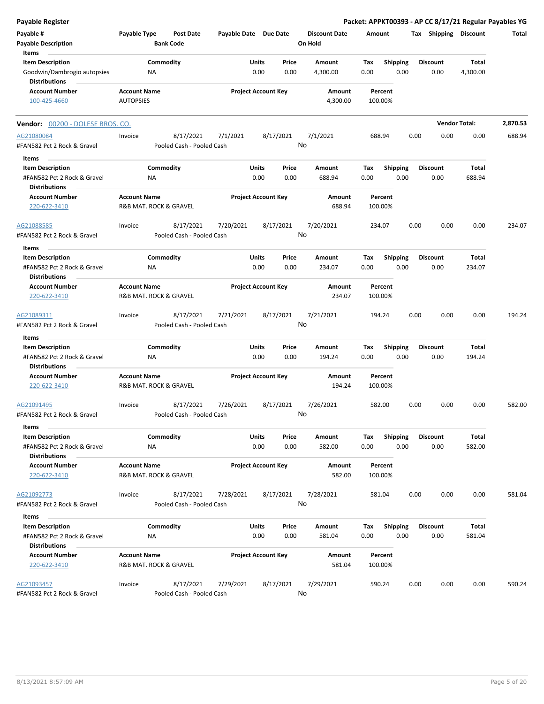| <b>Payable Register</b>                                                        |                                               |                                        |                       |                            |               |                                 |             |                         |      |                         |                          | Packet: APPKT00393 - AP CC 8/17/21 Regular Payables YG |
|--------------------------------------------------------------------------------|-----------------------------------------------|----------------------------------------|-----------------------|----------------------------|---------------|---------------------------------|-------------|-------------------------|------|-------------------------|--------------------------|--------------------------------------------------------|
| Payable #<br><b>Payable Description</b>                                        | Payable Type                                  | <b>Post Date</b><br><b>Bank Code</b>   | Payable Date Due Date |                            |               | <b>Discount Date</b><br>On Hold | Amount      |                         |      | Tax Shipping Discount   |                          | Total                                                  |
| Items                                                                          |                                               |                                        |                       |                            |               |                                 |             |                         |      |                         |                          |                                                        |
| <b>Item Description</b><br>Goodwin/Dambrogio autopsies                         | NA                                            | Commodity                              |                       | Units<br>0.00              | Price<br>0.00 | Amount<br>4,300.00              | Tax<br>0.00 | Shipping<br>0.00        |      | <b>Discount</b><br>0.00 | <b>Total</b><br>4,300.00 |                                                        |
| <b>Distributions</b>                                                           |                                               |                                        |                       |                            |               |                                 |             |                         |      |                         |                          |                                                        |
| <b>Account Number</b><br>100-425-4660                                          | <b>Account Name</b><br><b>AUTOPSIES</b>       |                                        |                       | <b>Project Account Key</b> |               | Amount<br>4,300.00              |             | Percent<br>100.00%      |      |                         |                          |                                                        |
| Vendor: 00200 - DOLESE BROS. CO.                                               |                                               |                                        |                       |                            |               |                                 |             |                         |      |                         | <b>Vendor Total:</b>     | 2,870.53                                               |
| AG21080084<br>#FAN582 Pct 2 Rock & Gravel                                      | Invoice                                       | 8/17/2021<br>Pooled Cash - Pooled Cash | 7/1/2021              | 8/17/2021                  | No            | 7/1/2021                        |             | 688.94                  | 0.00 | 0.00                    | 0.00                     | 688.94                                                 |
| Items                                                                          |                                               |                                        |                       |                            |               |                                 |             |                         |      |                         |                          |                                                        |
| <b>Item Description</b>                                                        |                                               | Commodity                              |                       | Units                      | Price         | Amount                          | Tax         | <b>Shipping</b>         |      | <b>Discount</b>         | Total                    |                                                        |
| #FAN582 Pct 2 Rock & Gravel<br><b>Distributions</b>                            | ΝA                                            |                                        |                       | 0.00                       | 0.00          | 688.94                          | 0.00        | 0.00                    |      | 0.00                    | 688.94                   |                                                        |
| <b>Account Number</b><br>220-622-3410                                          | <b>Account Name</b><br>R&B MAT. ROCK & GRAVEL |                                        |                       | <b>Project Account Key</b> |               | Amount<br>688.94                |             | Percent<br>100.00%      |      |                         |                          |                                                        |
| AG21088585<br>#FAN582 Pct 2 Rock & Gravel                                      | Invoice                                       | 8/17/2021<br>Pooled Cash - Pooled Cash | 7/20/2021             | 8/17/2021                  | No            | 7/20/2021                       |             | 234.07                  | 0.00 | 0.00                    | 0.00                     | 234.07                                                 |
| Items                                                                          |                                               |                                        |                       |                            |               |                                 |             |                         |      |                         |                          |                                                        |
| <b>Item Description</b>                                                        |                                               | Commodity                              |                       | Units                      | Price         | Amount                          | Tax         | <b>Shipping</b>         |      | <b>Discount</b>         | Total                    |                                                        |
| #FAN582 Pct 2 Rock & Gravel<br><b>Distributions</b>                            | ΝA                                            |                                        |                       | 0.00                       | 0.00          | 234.07                          | 0.00        | 0.00                    |      | 0.00                    | 234.07                   |                                                        |
| <b>Account Number</b>                                                          | <b>Account Name</b>                           |                                        |                       | <b>Project Account Key</b> |               | Amount                          |             | Percent                 |      |                         |                          |                                                        |
| 220-622-3410                                                                   | R&B MAT. ROCK & GRAVEL                        |                                        |                       |                            |               | 234.07                          |             | 100.00%                 |      |                         |                          |                                                        |
| AG21089311<br>#FAN582 Pct 2 Rock & Gravel                                      | Invoice                                       | 8/17/2021<br>Pooled Cash - Pooled Cash | 7/21/2021             | 8/17/2021                  |               | 7/21/2021<br>No                 |             | 194.24                  | 0.00 | 0.00                    | 0.00                     | 194.24                                                 |
| Items                                                                          |                                               |                                        |                       |                            |               |                                 |             |                         |      |                         |                          |                                                        |
| <b>Item Description</b><br>#FAN582 Pct 2 Rock & Gravel<br><b>Distributions</b> | ΝA                                            | Commodity                              |                       | Units<br>0.00              | Price<br>0.00 | Amount<br>194.24                | Tax<br>0.00 | <b>Shipping</b><br>0.00 |      | <b>Discount</b><br>0.00 | Total<br>194.24          |                                                        |
| <b>Account Number</b><br>220-622-3410                                          | <b>Account Name</b><br>R&B MAT. ROCK & GRAVEL |                                        |                       | <b>Project Account Key</b> |               | Amount<br>194.24                |             | Percent<br>100.00%      |      |                         |                          |                                                        |
| AG21091495<br>#FAN582 Pct 2 Rock & Gravel                                      | Invoice                                       | 8/17/2021<br>Pooled Cash - Pooled Cash | 7/26/2021             | 8/17/2021                  |               | 7/26/2021<br>No                 |             | 582.00                  | 0.00 | 0.00                    | 0.00                     | 582.00                                                 |
| Items                                                                          |                                               |                                        |                       |                            |               |                                 |             |                         |      |                         |                          |                                                        |
| <b>Item Description</b><br>#FAN582 Pct 2 Rock & Gravel<br><b>Distributions</b> | ΝA                                            | Commodity                              |                       | Units<br>0.00              | Price<br>0.00 | Amount<br>582.00                | Tax<br>0.00 | <b>Shipping</b><br>0.00 |      | <b>Discount</b><br>0.00 | Total<br>582.00          |                                                        |
| <b>Account Number</b><br>220-622-3410                                          | <b>Account Name</b><br>R&B MAT. ROCK & GRAVEL |                                        |                       | <b>Project Account Key</b> |               | Amount<br>582.00                |             | Percent<br>100.00%      |      |                         |                          |                                                        |
| AG21092773                                                                     | Invoice                                       | 8/17/2021                              | 7/28/2021             | 8/17/2021                  |               | 7/28/2021                       |             | 581.04                  | 0.00 | 0.00                    | 0.00                     | 581.04                                                 |
| #FAN582 Pct 2 Rock & Gravel                                                    |                                               | Pooled Cash - Pooled Cash              |                       |                            | No            |                                 |             |                         |      |                         |                          |                                                        |
| Items                                                                          |                                               |                                        |                       |                            |               |                                 |             |                         |      |                         |                          |                                                        |
| <b>Item Description</b>                                                        |                                               | Commodity                              |                       | Units                      | Price         | Amount                          | Tax         | Shipping                |      | <b>Discount</b>         | Total                    |                                                        |
| #FAN582 Pct 2 Rock & Gravel                                                    | NA                                            |                                        |                       | 0.00                       | 0.00          | 581.04                          | 0.00        | 0.00                    |      | 0.00                    | 581.04                   |                                                        |
| <b>Distributions</b><br><b>Account Number</b>                                  | <b>Account Name</b>                           |                                        |                       | <b>Project Account Key</b> |               | Amount                          |             | Percent                 |      |                         |                          |                                                        |
| 220-622-3410                                                                   | R&B MAT. ROCK & GRAVEL                        |                                        |                       |                            |               | 581.04                          |             | 100.00%                 |      |                         |                          |                                                        |
| AG21093457<br>#FAN582 Pct 2 Rock & Gravel                                      | Invoice                                       | 8/17/2021<br>Pooled Cash - Pooled Cash | 7/29/2021             | 8/17/2021                  |               | 7/29/2021<br>No                 |             | 590.24                  | 0.00 | 0.00                    | 0.00                     | 590.24                                                 |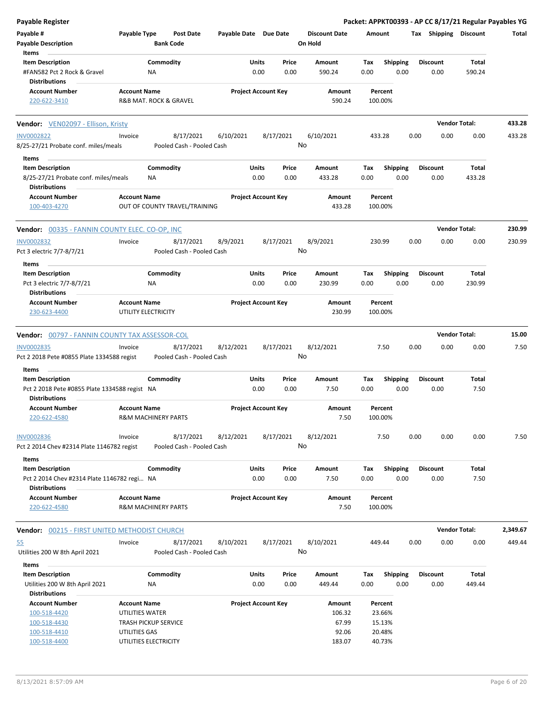| <b>Payable Register</b>                                                |                                                       |                                        |                       |                            |               |                      |             |                         |      |                         | Packet: APPKT00393 - AP CC 8/17/21 Regular Payables YG |          |
|------------------------------------------------------------------------|-------------------------------------------------------|----------------------------------------|-----------------------|----------------------------|---------------|----------------------|-------------|-------------------------|------|-------------------------|--------------------------------------------------------|----------|
| Payable #                                                              | Payable Type                                          | <b>Post Date</b>                       | Payable Date Due Date |                            |               | <b>Discount Date</b> | Amount      |                         |      | Tax Shipping Discount   |                                                        | Total    |
| <b>Payable Description</b>                                             |                                                       | <b>Bank Code</b>                       |                       |                            |               | On Hold              |             |                         |      |                         |                                                        |          |
| Items                                                                  |                                                       |                                        |                       |                            |               |                      |             |                         |      |                         |                                                        |          |
| <b>Item Description</b>                                                |                                                       | Commodity                              |                       | Units                      | Price         | Amount               | Tax         | <b>Shipping</b>         |      | <b>Discount</b>         | Total                                                  |          |
| #FAN582 Pct 2 Rock & Gravel<br><b>Distributions</b>                    | ΝA                                                    |                                        |                       | 0.00                       | 0.00          | 590.24               | 0.00        | 0.00                    |      | 0.00                    | 590.24                                                 |          |
| <b>Account Number</b>                                                  | <b>Account Name</b>                                   |                                        |                       | <b>Project Account Key</b> |               | Amount               |             | Percent                 |      |                         |                                                        |          |
| 220-622-3410                                                           | R&B MAT. ROCK & GRAVEL                                |                                        |                       |                            |               | 590.24               |             | 100.00%                 |      |                         |                                                        |          |
| <b>Vendor:</b> VEN02097 - Ellison, Kristy                              |                                                       |                                        |                       |                            |               |                      |             |                         |      | <b>Vendor Total:</b>    |                                                        | 433.28   |
| <b>INV0002822</b>                                                      | Invoice                                               | 8/17/2021                              | 6/10/2021             | 8/17/2021                  |               | 6/10/2021            |             | 433.28                  | 0.00 | 0.00                    | 0.00                                                   | 433.28   |
| 8/25-27/21 Probate conf. miles/meals                                   |                                                       | Pooled Cash - Pooled Cash              |                       |                            | No            |                      |             |                         |      |                         |                                                        |          |
| Items<br><b>Item Description</b>                                       |                                                       | Commodity                              |                       | Units                      | Price         | Amount               | Tax         | <b>Shipping</b>         |      | <b>Discount</b>         | Total                                                  |          |
| 8/25-27/21 Probate conf. miles/meals<br><b>Distributions</b>           | ΝA                                                    |                                        |                       | 0.00                       | 0.00          | 433.28               | 0.00        | 0.00                    |      | 0.00                    | 433.28                                                 |          |
| <b>Account Number</b>                                                  | <b>Account Name</b>                                   |                                        |                       | <b>Project Account Key</b> |               | Amount               |             | Percent                 |      |                         |                                                        |          |
| 100-403-4270                                                           |                                                       | OUT OF COUNTY TRAVEL/TRAINING          |                       |                            |               | 433.28               |             | 100.00%                 |      |                         |                                                        |          |
| Vendor: 00335 - FANNIN COUNTY ELEC. CO-OP, INC                         |                                                       |                                        |                       |                            |               |                      |             |                         |      | <b>Vendor Total:</b>    |                                                        | 230.99   |
| <b>INV0002832</b>                                                      | Invoice                                               | 8/17/2021                              | 8/9/2021              | 8/17/2021                  |               | 8/9/2021             |             | 230.99                  | 0.00 | 0.00                    | 0.00                                                   | 230.99   |
| Pct 3 electric 7/7-8/7/21                                              |                                                       | Pooled Cash - Pooled Cash              |                       |                            | No            |                      |             |                         |      |                         |                                                        |          |
| Items                                                                  |                                                       |                                        |                       |                            |               |                      |             |                         |      |                         |                                                        |          |
| <b>Item Description</b>                                                |                                                       | Commodity                              |                       | Units                      | Price         | Amount               | Tax         | <b>Shipping</b>         |      | <b>Discount</b>         | Total                                                  |          |
| Pct 3 electric 7/7-8/7/21                                              | ΝA                                                    |                                        |                       | 0.00                       | 0.00          | 230.99               | 0.00        | 0.00                    |      | 0.00                    | 230.99                                                 |          |
| <b>Distributions</b>                                                   |                                                       |                                        |                       |                            |               |                      |             |                         |      |                         |                                                        |          |
| <b>Account Number</b><br>230-623-4400                                  | <b>Account Name</b><br>UTILITY ELECTRICITY            |                                        |                       | <b>Project Account Key</b> |               | Amount<br>230.99     |             | Percent<br>100.00%      |      |                         |                                                        |          |
| Vendor: 00797 - FANNIN COUNTY TAX ASSESSOR-COL                         |                                                       |                                        |                       |                            |               |                      |             |                         |      |                         | <b>Vendor Total:</b>                                   | 15.00    |
| INV0002835                                                             | Invoice                                               | 8/17/2021                              | 8/12/2021             | 8/17/2021                  |               | 8/12/2021            |             | 7.50                    | 0.00 | 0.00                    | 0.00                                                   | 7.50     |
| Pct 2 2018 Pete #0855 Plate 1334588 regist                             |                                                       | Pooled Cash - Pooled Cash              |                       |                            | No            |                      |             |                         |      |                         |                                                        |          |
|                                                                        |                                                       |                                        |                       |                            |               |                      |             |                         |      |                         |                                                        |          |
| Items<br><b>Item Description</b>                                       |                                                       | Commodity                              |                       | Units                      | Price         | Amount               | Tax         | <b>Shipping</b>         |      | <b>Discount</b>         | Total                                                  |          |
| Pct 2 2018 Pete #0855 Plate 1334588 regist NA                          |                                                       |                                        |                       | 0.00                       | 0.00          | 7.50                 | 0.00        | 0.00                    |      | 0.00                    | 7.50                                                   |          |
| <b>Distributions</b>                                                   |                                                       |                                        |                       |                            |               |                      |             |                         |      |                         |                                                        |          |
| <b>Account Number</b>                                                  | <b>Account Name</b>                                   |                                        |                       | <b>Project Account Key</b> |               | Amount               |             | Percent                 |      |                         |                                                        |          |
| 220-622-4580                                                           | <b>R&amp;M MACHINERY PARTS</b>                        |                                        |                       |                            |               | 7.50                 |             | 100.00%                 |      |                         |                                                        |          |
| <b>INV0002836</b>                                                      | Invoice                                               | 8/17/2021                              | 8/12/2021             | 8/17/2021                  |               | 8/12/2021            |             | 7.50                    | 0.00 | 0.00                    | 0.00                                                   | 7.50     |
| Pct 2 2014 Chev #2314 Plate 1146782 regist                             |                                                       | Pooled Cash - Pooled Cash              |                       |                            |               | No                   |             |                         |      |                         |                                                        |          |
| Items                                                                  |                                                       |                                        |                       |                            |               |                      |             |                         |      |                         |                                                        |          |
| <b>Item Description</b><br>Pct 2 2014 Chev #2314 Plate 1146782 regi NA |                                                       | Commodity                              |                       | <b>Units</b><br>0.00       | Price<br>0.00 | Amount<br>7.50       | Tax<br>0.00 | <b>Shipping</b><br>0.00 |      | <b>Discount</b><br>0.00 | Total<br>7.50                                          |          |
| <b>Distributions</b>                                                   |                                                       |                                        |                       |                            |               |                      |             |                         |      |                         |                                                        |          |
| <b>Account Number</b><br>220-622-4580                                  | <b>Account Name</b><br><b>R&amp;M MACHINERY PARTS</b> |                                        |                       | <b>Project Account Key</b> |               | Amount<br>7.50       |             | Percent<br>100.00%      |      |                         |                                                        |          |
|                                                                        |                                                       |                                        |                       |                            |               |                      |             |                         |      |                         | <b>Vendor Total:</b>                                   | 2,349.67 |
| <b>Vendor: 00215 - FIRST UNITED METHODIST CHURCH</b>                   |                                                       |                                        |                       |                            |               |                      |             |                         |      |                         |                                                        |          |
| 55<br>Utilities 200 W 8th April 2021                                   | Invoice                                               | 8/17/2021<br>Pooled Cash - Pooled Cash | 8/10/2021             | 8/17/2021                  |               | 8/10/2021<br>No      |             | 449.44                  | 0.00 | 0.00                    | 0.00                                                   | 449.44   |
|                                                                        |                                                       |                                        |                       |                            |               |                      |             |                         |      |                         |                                                        |          |
| Items                                                                  |                                                       |                                        |                       |                            |               |                      |             |                         |      |                         |                                                        |          |
| <b>Item Description</b>                                                | NA                                                    | Commodity                              |                       | <b>Units</b><br>0.00       | Price<br>0.00 | Amount<br>449.44     | Tax<br>0.00 | <b>Shipping</b><br>0.00 |      | <b>Discount</b><br>0.00 | Total<br>449.44                                        |          |
| Utilities 200 W 8th April 2021<br><b>Distributions</b>                 |                                                       |                                        |                       |                            |               |                      |             |                         |      |                         |                                                        |          |
| <b>Account Number</b>                                                  | <b>Account Name</b>                                   |                                        |                       | <b>Project Account Key</b> |               | Amount               |             | Percent                 |      |                         |                                                        |          |
| 100-518-4420                                                           | UTILITIES WATER                                       |                                        |                       |                            |               | 106.32               |             | 23.66%                  |      |                         |                                                        |          |
| 100-518-4430                                                           | <b>TRASH PICKUP SERVICE</b>                           |                                        |                       |                            |               | 67.99                |             | 15.13%                  |      |                         |                                                        |          |
| 100-518-4410                                                           | UTILITIES GAS                                         |                                        |                       |                            |               | 92.06                |             | 20.48%                  |      |                         |                                                        |          |
| 100-518-4400                                                           | UTILITIES ELECTRICITY                                 |                                        |                       |                            |               | 183.07               |             | 40.73%                  |      |                         |                                                        |          |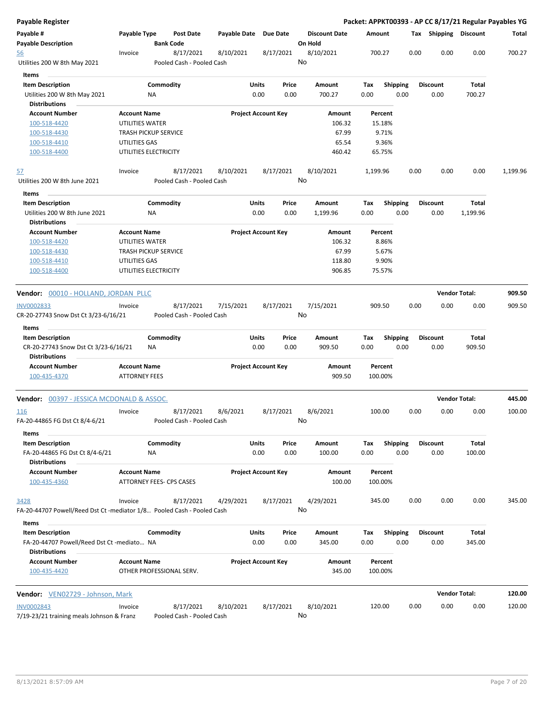| Payable Register                                                       |                      |                                        |                       |                                |                                 | Packet: APPKT00393 - AP CC 8/17/21 Regular Payables YG |                         |      |                         |                        |          |
|------------------------------------------------------------------------|----------------------|----------------------------------------|-----------------------|--------------------------------|---------------------------------|--------------------------------------------------------|-------------------------|------|-------------------------|------------------------|----------|
| Payable #<br><b>Payable Description</b>                                | Payable Type         | Post Date<br><b>Bank Code</b>          | Payable Date Due Date |                                | <b>Discount Date</b><br>On Hold | Amount                                                 |                         |      | Tax Shipping Discount   |                        | Total    |
| <u>56</u><br>Utilities 200 W 8th May 2021                              | Invoice              | 8/17/2021<br>Pooled Cash - Pooled Cash | 8/10/2021             | 8/17/2021                      | 8/10/2021<br>No                 | 700.27                                                 |                         | 0.00 | 0.00                    | 0.00                   | 700.27   |
| Items                                                                  |                      |                                        |                       |                                |                                 |                                                        |                         |      |                         |                        |          |
| <b>Item Description</b>                                                |                      | Commodity                              |                       | <b>Units</b><br>Price          | Amount                          | Tax                                                    | <b>Shipping</b>         |      | <b>Discount</b>         | Total                  |          |
| Utilities 200 W 8th May 2021                                           |                      | ΝA                                     |                       | 0.00<br>0.00                   | 700.27                          | 0.00                                                   | 0.00                    |      | 0.00                    | 700.27                 |          |
| <b>Distributions</b>                                                   |                      |                                        |                       |                                |                                 |                                                        |                         |      |                         |                        |          |
| <b>Account Number</b>                                                  | <b>Account Name</b>  |                                        |                       | <b>Project Account Key</b>     | Amount                          | Percent                                                |                         |      |                         |                        |          |
| 100-518-4420                                                           | UTILITIES WATER      |                                        |                       |                                | 106.32                          | 15.18%                                                 |                         |      |                         |                        |          |
| 100-518-4430                                                           |                      | <b>TRASH PICKUP SERVICE</b>            |                       |                                | 67.99                           | 9.71%                                                  |                         |      |                         |                        |          |
| 100-518-4410                                                           | UTILITIES GAS        |                                        |                       |                                | 65.54                           | 9.36%                                                  |                         |      |                         |                        |          |
| 100-518-4400                                                           |                      | UTILITIES ELECTRICITY                  |                       |                                | 460.42                          | 65.75%                                                 |                         |      |                         |                        |          |
| <u>57</u>                                                              | Invoice              | 8/17/2021                              | 8/10/2021             | 8/17/2021                      | 8/10/2021                       | 1,199.96                                               |                         | 0.00 | 0.00                    | 0.00                   | 1,199.96 |
| Utilities 200 W 8th June 2021                                          |                      | Pooled Cash - Pooled Cash              |                       |                                | No                              |                                                        |                         |      |                         |                        |          |
| Items                                                                  |                      |                                        |                       |                                |                                 |                                                        |                         |      |                         |                        |          |
| <b>Item Description</b>                                                |                      | Commodity                              |                       | Units<br>Price                 | <b>Amount</b>                   | Tax                                                    | <b>Shipping</b>         |      | <b>Discount</b>         | <b>Total</b>           |          |
| Utilities 200 W 8th June 2021                                          |                      | NA                                     |                       | 0.00<br>0.00                   | 1,199.96                        | 0.00                                                   | 0.00                    |      | 0.00                    | 1,199.96               |          |
| <b>Distributions</b>                                                   |                      |                                        |                       |                                |                                 |                                                        |                         |      |                         |                        |          |
| <b>Account Number</b>                                                  | <b>Account Name</b>  |                                        |                       | <b>Project Account Key</b>     | Amount                          | Percent                                                |                         |      |                         |                        |          |
| 100-518-4420                                                           | UTILITIES WATER      |                                        |                       |                                | 106.32                          | 8.86%                                                  |                         |      |                         |                        |          |
| 100-518-4430                                                           |                      | <b>TRASH PICKUP SERVICE</b>            |                       |                                | 67.99                           | 5.67%                                                  |                         |      |                         |                        |          |
| 100-518-4410                                                           | UTILITIES GAS        |                                        |                       |                                | 118.80                          | 9.90%                                                  |                         |      |                         |                        |          |
| 100-518-4400                                                           |                      | UTILITIES ELECTRICITY                  |                       |                                | 906.85                          | 75.57%                                                 |                         |      |                         |                        |          |
| Vendor: 00010 - HOLLAND, JORDAN PLLC                                   |                      |                                        |                       |                                |                                 |                                                        |                         |      |                         | <b>Vendor Total:</b>   | 909.50   |
|                                                                        |                      | 8/17/2021                              |                       |                                | 7/15/2021                       |                                                        |                         | 0.00 | 0.00                    |                        | 909.50   |
| INV0002833<br>CR-20-27743 Snow Dst Ct 3/23-6/16/21                     | Invoice              | Pooled Cash - Pooled Cash              | 7/15/2021             | 8/17/2021                      | No                              | 909.50                                                 |                         |      |                         | 0.00                   |          |
| Items                                                                  |                      |                                        |                       |                                |                                 |                                                        |                         |      |                         |                        |          |
| <b>Item Description</b><br>CR-20-27743 Snow Dst Ct 3/23-6/16/21        |                      | Commodity<br>ΝA                        |                       | Units<br>Price<br>0.00<br>0.00 | Amount<br>909.50                | Tax<br>0.00                                            | <b>Shipping</b><br>0.00 |      | <b>Discount</b><br>0.00 | <b>Total</b><br>909.50 |          |
| <b>Distributions</b>                                                   |                      |                                        |                       |                                |                                 |                                                        |                         |      |                         |                        |          |
| <b>Account Number</b>                                                  | <b>Account Name</b>  |                                        |                       | <b>Project Account Key</b>     | Amount                          | Percent                                                |                         |      |                         |                        |          |
| 100-435-4370                                                           | <b>ATTORNEY FEES</b> |                                        |                       |                                | 909.50                          | 100.00%                                                |                         |      |                         |                        |          |
| <b>Vendor:</b> 00397 - JESSICA MCDONALD & ASSOC.                       |                      |                                        |                       |                                |                                 |                                                        |                         |      |                         | <b>Vendor Total:</b>   | 445.00   |
| 116                                                                    | Invoice              | 8/17/2021                              | 8/6/2021              | 8/17/2021                      | 8/6/2021                        | 100.00                                                 |                         | 0.00 | 0.00                    | 0.00                   | 100.00   |
| FA-20-44865 FG Dst Ct 8/4-6/21                                         |                      | Pooled Cash - Pooled Cash              |                       |                                | No                              |                                                        |                         |      |                         |                        |          |
| Items                                                                  |                      |                                        |                       |                                |                                 |                                                        |                         |      |                         |                        |          |
| <b>Item Description</b>                                                |                      | Commodity                              |                       | Units<br>Price                 | Amount                          | Tax                                                    | <b>Shipping</b>         |      | <b>Discount</b>         | Total                  |          |
| FA-20-44865 FG Dst Ct 8/4-6/21                                         |                      | NA                                     |                       | 0.00<br>0.00                   | 100.00                          | 0.00                                                   | 0.00                    |      | 0.00                    | 100.00                 |          |
| <b>Distributions</b>                                                   |                      |                                        |                       |                                |                                 |                                                        |                         |      |                         |                        |          |
| <b>Account Number</b>                                                  | <b>Account Name</b>  |                                        |                       | <b>Project Account Key</b>     | Amount                          | Percent                                                |                         |      |                         |                        |          |
| 100-435-4360                                                           |                      | ATTORNEY FEES- CPS CASES               |                       |                                | 100.00                          | 100.00%                                                |                         |      |                         |                        |          |
| 3428                                                                   | Invoice              | 8/17/2021                              | 4/29/2021             | 8/17/2021                      | 4/29/2021                       | 345.00                                                 |                         | 0.00 | 0.00                    | 0.00                   | 345.00   |
| FA-20-44707 Powell/Reed Dst Ct -mediator 1/8 Pooled Cash - Pooled Cash |                      |                                        |                       |                                | No                              |                                                        |                         |      |                         |                        |          |
| Items                                                                  |                      |                                        |                       |                                |                                 |                                                        |                         |      |                         |                        |          |
| <b>Item Description</b>                                                |                      | Commodity                              |                       | Units<br>Price                 | Amount                          | Tax                                                    | <b>Shipping</b>         |      | <b>Discount</b>         | Total                  |          |
| FA-20-44707 Powell/Reed Dst Ct -mediato NA                             |                      |                                        |                       | 0.00<br>0.00                   | 345.00                          | 0.00                                                   | 0.00                    |      | 0.00                    | 345.00                 |          |
| <b>Distributions</b>                                                   |                      |                                        |                       |                                |                                 |                                                        |                         |      |                         |                        |          |
| <b>Account Number</b>                                                  | <b>Account Name</b>  |                                        |                       | <b>Project Account Key</b>     | Amount                          | Percent                                                |                         |      |                         |                        |          |
| 100-435-4420                                                           |                      | OTHER PROFESSIONAL SERV.               |                       |                                | 345.00                          | 100.00%                                                |                         |      |                         |                        |          |
|                                                                        |                      |                                        |                       |                                |                                 |                                                        |                         |      |                         |                        |          |
| Vendor: VEN02729 - Johnson, Mark                                       |                      |                                        |                       |                                |                                 |                                                        |                         |      |                         | <b>Vendor Total:</b>   | 120.00   |
| INV0002843                                                             | Invoice              | 8/17/2021                              | 8/10/2021             | 8/17/2021                      | 8/10/2021                       | 120.00                                                 |                         | 0.00 | 0.00                    | 0.00                   | 120.00   |
| 7/19-23/21 training meals Johnson & Franz                              |                      | Pooled Cash - Pooled Cash              |                       |                                | No                              |                                                        |                         |      |                         |                        |          |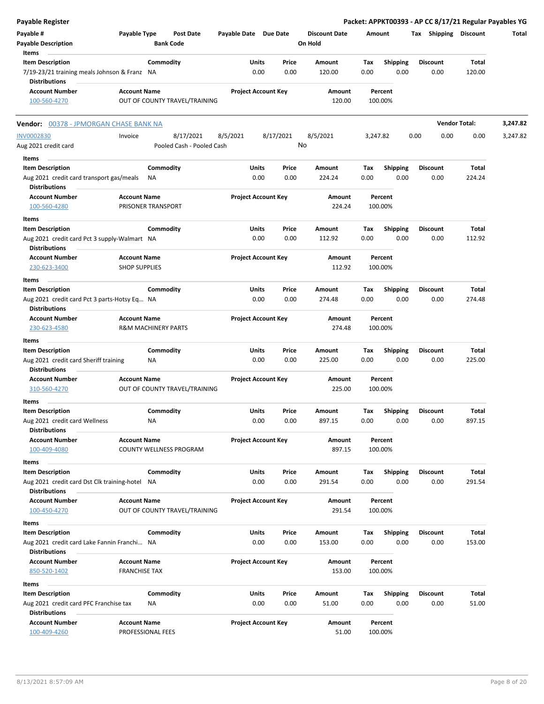| Payable Register                                                                            |                                             |                                      |                       |                                    |                                 |             |                         | Packet: APPKT00393 - AP CC 8/17/21 Regular Payables YG |                      |          |
|---------------------------------------------------------------------------------------------|---------------------------------------------|--------------------------------------|-----------------------|------------------------------------|---------------------------------|-------------|-------------------------|--------------------------------------------------------|----------------------|----------|
| Payable #<br><b>Payable Description</b>                                                     | Payable Type                                | <b>Post Date</b><br><b>Bank Code</b> | Payable Date Due Date |                                    | <b>Discount Date</b><br>On Hold | Amount      |                         | Tax Shipping Discount                                  |                      | Total    |
| Items<br><b>Item Description</b>                                                            |                                             | Commodity                            | Units                 | Price                              | Amount                          | Tax         | <b>Shipping</b>         | <b>Discount</b>                                        | Total                |          |
| 7/19-23/21 training meals Johnson & Franz NA<br><b>Distributions</b>                        |                                             |                                      |                       | 0.00<br>0.00                       | 120.00                          | 0.00        | 0.00                    | 0.00                                                   | 120.00               |          |
| <b>Account Number</b><br>100-560-4270                                                       | <b>Account Name</b>                         | OUT OF COUNTY TRAVEL/TRAINING        |                       | <b>Project Account Key</b>         | Amount<br>120.00                |             | Percent<br>100.00%      |                                                        |                      |          |
| Vendor: 00378 - JPMORGAN CHASE BANK NA                                                      |                                             |                                      |                       |                                    |                                 |             |                         |                                                        | <b>Vendor Total:</b> | 3,247.82 |
| <b>INV0002830</b>                                                                           | Invoice                                     | 8/17/2021                            | 8/5/2021              | 8/17/2021                          | 8/5/2021                        | 3,247.82    |                         | 0.00<br>0.00                                           | 0.00                 | 3,247.82 |
| Aug 2021 credit card                                                                        |                                             | Pooled Cash - Pooled Cash            |                       |                                    | No                              |             |                         |                                                        |                      |          |
| Items                                                                                       |                                             |                                      |                       |                                    |                                 |             |                         |                                                        |                      |          |
| <b>Item Description</b><br>Aug 2021 credit card transport gas/meals<br><b>Distributions</b> |                                             | Commodity<br>ΝA                      | Units                 | Price<br>0.00<br>0.00              | Amount<br>224.24                | Tax<br>0.00 | <b>Shipping</b><br>0.00 | <b>Discount</b><br>0.00                                | Total<br>224.24      |          |
| <b>Account Number</b><br>100-560-4280                                                       | <b>Account Name</b>                         | PRISONER TRANSPORT                   |                       | <b>Project Account Key</b>         | Amount<br>224.24                |             | Percent<br>100.00%      |                                                        |                      |          |
| Items                                                                                       |                                             |                                      |                       |                                    |                                 |             |                         |                                                        |                      |          |
| <b>Item Description</b><br>Aug 2021 credit card Pct 3 supply-Walmart NA                     |                                             | Commodity                            |                       | Units<br>Price<br>0.00<br>0.00     | Amount<br>112.92                | Tax<br>0.00 | <b>Shipping</b><br>0.00 | <b>Discount</b><br>0.00                                | Total<br>112.92      |          |
| <b>Distributions</b><br><b>Account Number</b><br>230-623-3400                               | <b>Account Name</b><br><b>SHOP SUPPLIES</b> |                                      |                       | <b>Project Account Key</b>         | Amount<br>112.92                |             | Percent<br>100.00%      |                                                        |                      |          |
| Items                                                                                       |                                             |                                      |                       |                                    |                                 |             |                         |                                                        |                      |          |
| <b>Item Description</b>                                                                     |                                             | Commodity                            |                       | Units<br>Price                     | Amount                          | Tax         | <b>Shipping</b>         | <b>Discount</b>                                        | Total                |          |
| Aug 2021 credit card Pct 3 parts-Hotsy Eq NA<br><b>Distributions</b>                        |                                             |                                      |                       | 0.00<br>0.00                       | 274.48                          | 0.00        | 0.00                    | 0.00                                                   | 274.48               |          |
| <b>Account Number</b><br>230-623-4580                                                       | <b>Account Name</b>                         | <b>R&amp;M MACHINERY PARTS</b>       |                       | <b>Project Account Key</b>         | Amount<br>274.48                |             | Percent<br>100.00%      |                                                        |                      |          |
| Items<br><b>Item Description</b>                                                            |                                             | Commodity                            | Units                 | Price                              | Amount                          | Tax         |                         | <b>Discount</b>                                        | Total                |          |
| Aug 2021 credit card Sheriff training<br><b>Distributions</b>                               |                                             | NA.                                  |                       | 0.00<br>0.00                       | 225.00                          | 0.00        | <b>Shipping</b><br>0.00 | 0.00                                                   | 225.00               |          |
| <b>Account Number</b><br>310-560-4270                                                       | <b>Account Name</b>                         | OUT OF COUNTY TRAVEL/TRAINING        |                       | <b>Project Account Key</b>         | Amount<br>225.00                |             | Percent<br>100.00%      |                                                        |                      |          |
| Items                                                                                       |                                             |                                      |                       |                                    |                                 |             |                         |                                                        |                      |          |
| <b>Item Description</b><br>Aug 2021 credit card Wellness<br><b>Distributions</b>            |                                             | Commodity<br>ΝA                      | Units                 | Price<br>0.00<br>0.00              | <b>Amount</b><br>897.15         | Tax<br>0.00 | Shipping<br>0.00        | <b>Discount</b><br>0.00                                | Total<br>897.15      |          |
| <b>Account Number</b><br>100-409-4080                                                       | <b>Account Name</b>                         | COUNTY WELLNESS PROGRAM              |                       | <b>Project Account Key</b>         | Amount<br>897.15                |             | Percent<br>100.00%      |                                                        |                      |          |
| Items<br><b>Item Description</b><br>Aug 2021 credit card Dst Clk training-hotel NA          |                                             | Commodity                            |                       | Units<br>Price<br>0.00             | Amount                          | Tax         | <b>Shipping</b>         | <b>Discount</b><br>0.00                                | Total                |          |
| <b>Distributions</b><br><b>Account Number</b>                                               | <b>Account Name</b>                         |                                      |                       | 0.00<br><b>Project Account Key</b> | 291.54<br>Amount                | 0.00        | 0.00<br>Percent         |                                                        | 291.54               |          |
| 100-450-4270                                                                                |                                             | OUT OF COUNTY TRAVEL/TRAINING        |                       |                                    | 291.54                          |             | 100.00%                 |                                                        |                      |          |
| Items<br><b>Item Description</b>                                                            |                                             | Commodity                            |                       | Units<br>Price                     | Amount                          | Tax         | Shipping                | <b>Discount</b>                                        | Total                |          |
| Aug 2021 credit card Lake Fannin Franchi NA<br><b>Distributions</b>                         |                                             |                                      |                       | 0.00<br>0.00                       | 153.00                          | 0.00        | 0.00                    | 0.00                                                   | 153.00               |          |
| <b>Account Number</b><br>850-520-1402                                                       | <b>Account Name</b><br><b>FRANCHISE TAX</b> |                                      |                       | <b>Project Account Key</b>         | Amount<br>153.00                |             | Percent<br>100.00%      |                                                        |                      |          |
| Items                                                                                       |                                             |                                      |                       |                                    |                                 |             |                         |                                                        |                      |          |
| <b>Item Description</b><br>Aug 2021 credit card PFC Franchise tax<br><b>Distributions</b>   |                                             | Commodity<br>NA                      |                       | Units<br>Price<br>0.00<br>0.00     | Amount<br>51.00                 | Tax<br>0.00 | Shipping<br>0.00        | <b>Discount</b><br>0.00                                | Total<br>51.00       |          |
| <b>Account Number</b><br>100-409-4260                                                       | <b>Account Name</b>                         | PROFESSIONAL FEES                    |                       | <b>Project Account Key</b>         | Amount<br>51.00                 |             | Percent<br>100.00%      |                                                        |                      |          |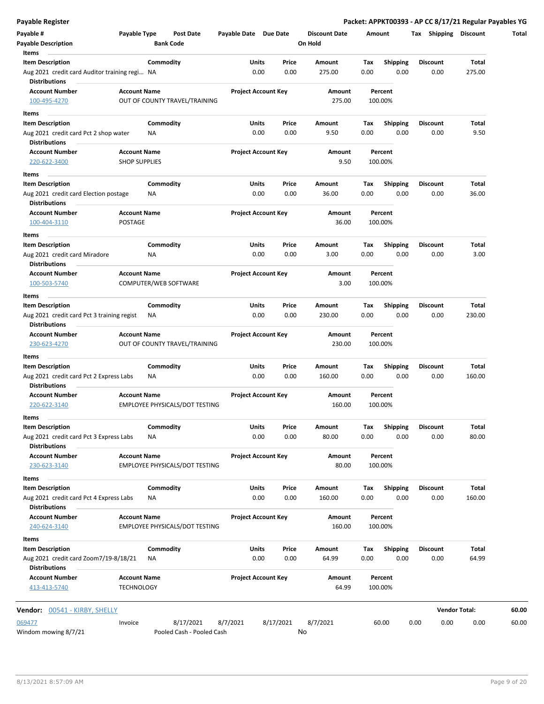**Payable Register Packet: APPKT00393 - AP CC 8/17/21 Regular Payables YG**

| <b>Payable Description</b><br>Items                                   |                                             |                 | <b>Bank Code</b>                       |                            |                            |               | On Hold          |             |                         |                         |                      |
|-----------------------------------------------------------------------|---------------------------------------------|-----------------|----------------------------------------|----------------------------|----------------------------|---------------|------------------|-------------|-------------------------|-------------------------|----------------------|
| <b>Item Description</b>                                               |                                             | Commodity       |                                        | Units                      |                            | Price         | Amount           | Tax         | <b>Shipping</b>         | <b>Discount</b>         | Total                |
| Aug 2021 credit card Auditor training regi NA<br><b>Distributions</b> |                                             |                 |                                        | 0.00                       |                            | 0.00          | 275.00           | 0.00        | 0.00                    | 0.00                    | 275.00               |
| <b>Account Number</b><br>100-495-4270                                 | <b>Account Name</b>                         |                 | OUT OF COUNTY TRAVEL/TRAINING          | <b>Project Account Key</b> |                            |               | Amount<br>275.00 |             | Percent<br>100.00%      |                         |                      |
| Items                                                                 |                                             |                 |                                        |                            |                            |               |                  |             |                         |                         |                      |
| <b>Item Description</b>                                               |                                             | Commodity       |                                        | Units                      |                            | Price         | Amount           | Tax         | <b>Shipping</b>         | <b>Discount</b>         | Total                |
| Aug 2021 credit card Pct 2 shop water<br>Distributions                |                                             | ΝA              |                                        | 0.00                       |                            | 0.00          | 9.50             | 0.00        | 0.00                    | 0.00                    | 9.50                 |
| <b>Account Number</b><br>220-622-3400                                 | <b>Account Name</b><br><b>SHOP SUPPLIES</b> |                 |                                        | <b>Project Account Key</b> |                            |               | Amount<br>9.50   |             | Percent<br>100.00%      |                         |                      |
| Items                                                                 |                                             |                 |                                        |                            |                            |               |                  |             |                         |                         |                      |
| <b>Item Description</b><br>Aug 2021 credit card Election postage      |                                             | Commodity<br>ΝA |                                        | Units<br>0.00              |                            | Price<br>0.00 | Amount<br>36.00  | Tax<br>0.00 | <b>Shipping</b><br>0.00 | <b>Discount</b><br>0.00 | Total<br>36.00       |
| <b>Distributions</b><br><b>Account Number</b>                         | <b>Account Name</b>                         |                 |                                        |                            | <b>Project Account Key</b> |               | Amount           |             | Percent                 |                         |                      |
| 100-404-3110                                                          | POSTAGE                                     |                 |                                        |                            |                            |               | 36.00            |             | 100.00%                 |                         |                      |
| Items                                                                 |                                             |                 |                                        |                            |                            |               |                  |             |                         |                         |                      |
| <b>Item Description</b><br>Aug 2021 credit card Miradore              |                                             | Commodity<br>ΝA |                                        | Units<br>0.00              |                            | Price<br>0.00 | Amount<br>3.00   | Tax<br>0.00 | <b>Shipping</b><br>0.00 | <b>Discount</b><br>0.00 | Total<br>3.00        |
| <b>Distributions</b><br><b>Account Number</b>                         | <b>Account Name</b>                         |                 |                                        | <b>Project Account Key</b> |                            |               | Amount           |             | Percent                 |                         |                      |
| 100-503-5740                                                          |                                             |                 | COMPUTER/WEB SOFTWARE                  |                            |                            |               | 3.00             |             | 100.00%                 |                         |                      |
| Items<br><b>Item Description</b>                                      |                                             | Commodity       |                                        | Units                      |                            | Price         | Amount           | Tax         | <b>Shipping</b>         | <b>Discount</b>         | Total                |
| Aug 2021 credit card Pct 3 training regist<br><b>Distributions</b>    |                                             | ΝA              |                                        | 0.00                       |                            | 0.00          | 230.00           | 0.00        | 0.00                    | 0.00                    | 230.00               |
| <b>Account Number</b>                                                 | <b>Account Name</b>                         |                 |                                        | <b>Project Account Key</b> |                            |               | Amount           |             | Percent                 |                         |                      |
| 230-623-4270                                                          |                                             |                 | OUT OF COUNTY TRAVEL/TRAINING          |                            |                            |               | 230.00           |             | 100.00%                 |                         |                      |
| <b>Items</b><br><b>Item Description</b>                               |                                             | Commodity       |                                        | Units                      |                            | Price         | Amount           | Tax         | <b>Shipping</b>         | <b>Discount</b>         | Total                |
| Aug 2021 credit card Pct 2 Express Labs<br><b>Distributions</b>       |                                             | NA              |                                        | 0.00                       |                            | 0.00          | 160.00           | 0.00        | 0.00                    | 0.00                    | 160.00               |
| <b>Account Number</b>                                                 | <b>Account Name</b>                         |                 |                                        | <b>Project Account Key</b> |                            |               | Amount           |             | Percent                 |                         |                      |
| 220-622-3140                                                          |                                             |                 | EMPLOYEE PHYSICALS/DOT TESTING         |                            |                            |               | 160.00           |             | 100.00%                 |                         |                      |
| Items                                                                 |                                             |                 |                                        |                            |                            |               |                  |             |                         |                         |                      |
| Item Description                                                      |                                             | Commodity       |                                        | Units                      |                            | Price         | Amount           | Тах         | Shipping                | Discount                | Total                |
| Aug 2021 credit card Pct 3 Express Labs<br><b>Distributions</b>       |                                             | ΝA              |                                        | 0.00                       |                            | 0.00          | 80.00            | 0.00        | 0.00                    | 0.00                    | 80.00                |
| <b>Account Number</b>                                                 | <b>Account Name</b>                         |                 |                                        | <b>Project Account Key</b> |                            |               | Amount           |             | Percent                 |                         |                      |
| 230-623-3140                                                          |                                             |                 | EMPLOYEE PHYSICALS/DOT TESTING         |                            |                            |               | 80.00            |             | 100.00%                 |                         |                      |
| Items                                                                 |                                             |                 |                                        |                            |                            |               |                  |             |                         |                         |                      |
| <b>Item Description</b>                                               |                                             | Commodity       |                                        | Units                      |                            | Price         | Amount           | Tax         | <b>Shipping</b>         | <b>Discount</b>         | Total                |
| Aug 2021 credit card Pct 4 Express Labs<br><b>Distributions</b>       |                                             | ΝA              |                                        | 0.00                       |                            | 0.00          | 160.00           | 0.00        | 0.00                    | 0.00                    | 160.00               |
| <b>Account Number</b>                                                 | <b>Account Name</b>                         |                 |                                        |                            | <b>Project Account Key</b> |               | Amount           |             | Percent                 |                         |                      |
| 240-624-3140                                                          |                                             |                 | EMPLOYEE PHYSICALS/DOT TESTING         |                            |                            |               | 160.00           |             | 100.00%                 |                         |                      |
| Items                                                                 |                                             |                 |                                        |                            |                            |               |                  |             |                         |                         |                      |
| <b>Item Description</b><br>Aug 2021 credit card Zoom7/19-8/18/21      |                                             | Commodity<br>ΝA |                                        | Units<br>0.00              |                            | Price<br>0.00 | Amount<br>64.99  | Tax<br>0.00 | Shipping<br>0.00        | <b>Discount</b><br>0.00 | Total<br>64.99       |
| <b>Distributions</b><br><b>Account Number</b>                         | <b>Account Name</b>                         |                 |                                        | <b>Project Account Key</b> |                            |               | Amount           |             | Percent                 |                         |                      |
| 413-413-5740                                                          | <b>TECHNOLOGY</b>                           |                 |                                        |                            |                            |               | 64.99            |             | 100.00%                 |                         |                      |
| <b>Vendor:</b> 00541 - KIRBY, SHELLY                                  |                                             |                 |                                        |                            |                            |               |                  |             |                         |                         | <b>Vendor Total:</b> |
| 069477<br>Windom mowing 8/7/21                                        | Invoice                                     |                 | 8/17/2021<br>Pooled Cash - Pooled Cash | 8/7/2021                   | 8/17/2021                  |               | 8/7/2021<br>No   |             | 60.00                   | 0.00<br>0.00            | 0.00                 |

 $\qquad \qquad$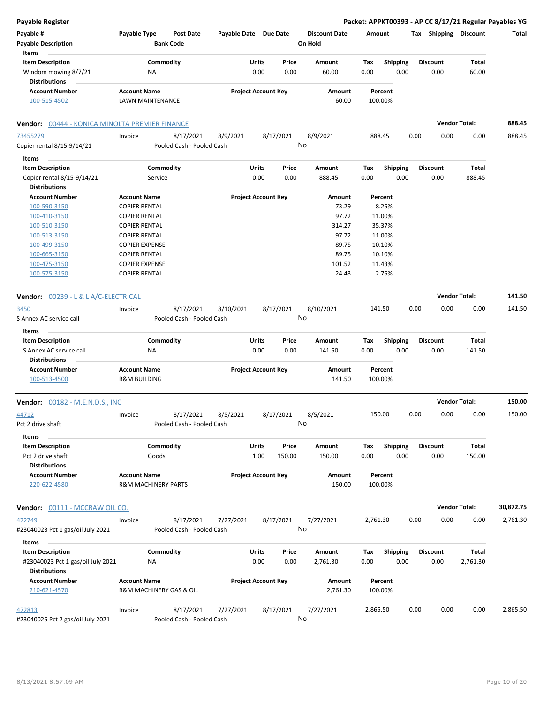| Payable Register                               |                                                       |                                      |                            |       |           |                                 |          |                    |      |                       |                      | Packet: APPKT00393 - AP CC 8/17/21 Regular Payables YG |
|------------------------------------------------|-------------------------------------------------------|--------------------------------------|----------------------------|-------|-----------|---------------------------------|----------|--------------------|------|-----------------------|----------------------|--------------------------------------------------------|
| Payable #<br><b>Payable Description</b>        | Payable Type                                          | <b>Post Date</b><br><b>Bank Code</b> | Payable Date Due Date      |       |           | <b>Discount Date</b><br>On Hold | Amount   |                    |      | Tax Shipping Discount |                      | Total                                                  |
| Items<br><b>Item Description</b>               |                                                       | Commodity                            |                            | Units | Price     | Amount                          | Tax      | <b>Shipping</b>    |      | <b>Discount</b>       | Total                |                                                        |
| Windom mowing 8/7/21<br><b>Distributions</b>   | NA                                                    |                                      |                            | 0.00  | 0.00      | 60.00                           | 0.00     | 0.00               |      | 0.00                  | 60.00                |                                                        |
| <b>Account Number</b>                          | <b>Account Name</b>                                   |                                      | <b>Project Account Key</b> |       |           | Amount                          |          | Percent            |      |                       |                      |                                                        |
| 100-515-4502                                   | LAWN MAINTENANCE                                      |                                      |                            |       |           | 60.00                           |          | 100.00%            |      |                       |                      |                                                        |
| Vendor: 00444 - KONICA MINOLTA PREMIER FINANCE |                                                       |                                      |                            |       |           |                                 |          |                    |      |                       | <b>Vendor Total:</b> | 888.45                                                 |
| 73455279                                       | Invoice                                               | 8/17/2021                            | 8/9/2021                   |       | 8/17/2021 | 8/9/2021                        |          | 888.45             | 0.00 | 0.00                  | 0.00                 | 888.45                                                 |
| Copier rental 8/15-9/14/21                     |                                                       | Pooled Cash - Pooled Cash            |                            |       |           | No                              |          |                    |      |                       |                      |                                                        |
| Items                                          |                                                       |                                      |                            |       |           |                                 |          |                    |      |                       |                      |                                                        |
| <b>Item Description</b>                        |                                                       | Commodity                            |                            | Units | Price     | Amount                          | Tax      | <b>Shipping</b>    |      | <b>Discount</b>       | <b>Total</b>         |                                                        |
| Copier rental 8/15-9/14/21                     | Service                                               |                                      |                            | 0.00  | 0.00      | 888.45                          | 0.00     | 0.00               |      | 0.00                  | 888.45               |                                                        |
| <b>Distributions</b>                           |                                                       |                                      |                            |       |           |                                 |          |                    |      |                       |                      |                                                        |
| <b>Account Number</b>                          | <b>Account Name</b>                                   |                                      | <b>Project Account Key</b> |       |           | <b>Amount</b>                   |          | Percent            |      |                       |                      |                                                        |
| 100-590-3150                                   | <b>COPIER RENTAL</b>                                  |                                      |                            |       |           | 73.29<br>97.72                  |          | 8.25%              |      |                       |                      |                                                        |
| 100-410-3150<br>100-510-3150                   | <b>COPIER RENTAL</b><br><b>COPIER RENTAL</b>          |                                      |                            |       |           | 314.27                          |          | 11.00%<br>35.37%   |      |                       |                      |                                                        |
| 100-513-3150                                   | <b>COPIER RENTAL</b>                                  |                                      |                            |       |           | 97.72                           |          | 11.00%             |      |                       |                      |                                                        |
| 100-499-3150                                   | <b>COPIER EXPENSE</b>                                 |                                      |                            |       |           | 89.75                           |          | 10.10%             |      |                       |                      |                                                        |
| 100-665-3150                                   | <b>COPIER RENTAL</b>                                  |                                      |                            |       |           | 89.75                           |          | 10.10%             |      |                       |                      |                                                        |
| 100-475-3150                                   | <b>COPIER EXPENSE</b>                                 |                                      |                            |       |           | 101.52                          |          | 11.43%             |      |                       |                      |                                                        |
| 100-575-3150                                   | <b>COPIER RENTAL</b>                                  |                                      |                            |       |           | 24.43                           |          | 2.75%              |      |                       |                      |                                                        |
| Vendor: 00239 - L & L A/C-ELECTRICAL           |                                                       |                                      |                            |       |           |                                 |          |                    |      |                       | <b>Vendor Total:</b> | 141.50                                                 |
| 3450                                           | Invoice                                               | 8/17/2021                            | 8/10/2021                  |       | 8/17/2021 | 8/10/2021                       |          | 141.50             | 0.00 | 0.00                  | 0.00                 | 141.50                                                 |
| S Annex AC service call                        |                                                       | Pooled Cash - Pooled Cash            |                            |       |           | No                              |          |                    |      |                       |                      |                                                        |
| Items                                          |                                                       |                                      |                            |       |           |                                 |          |                    |      |                       |                      |                                                        |
| <b>Item Description</b>                        |                                                       | Commodity                            |                            | Units | Price     | Amount                          | Tax      | <b>Shipping</b>    |      | <b>Discount</b>       | <b>Total</b>         |                                                        |
| S Annex AC service call                        | NA                                                    |                                      |                            | 0.00  | 0.00      | 141.50                          | 0.00     | 0.00               |      | 0.00                  | 141.50               |                                                        |
| <b>Distributions</b>                           |                                                       |                                      |                            |       |           |                                 |          |                    |      |                       |                      |                                                        |
| <b>Account Number</b>                          | <b>Account Name</b>                                   |                                      | <b>Project Account Key</b> |       |           | Amount                          |          | Percent            |      |                       |                      |                                                        |
| 100-513-4500                                   | <b>R&amp;M BUILDING</b>                               |                                      |                            |       |           | 141.50                          |          | 100.00%            |      |                       |                      |                                                        |
| <b>Vendor: 00182 - M.E.N.D.S., INC</b>         |                                                       |                                      |                            |       |           |                                 |          |                    |      |                       | <b>Vendor Total:</b> | 150.00                                                 |
| 44712                                          | Invoice                                               | 8/17/2021                            | 8/5/2021                   |       | 8/17/2021 | 8/5/2021                        |          | 150.00             | 0.00 | 0.00                  | 0.00                 | 150.00                                                 |
| Pct 2 drive shaft                              |                                                       | Pooled Cash - Pooled Cash            |                            |       |           | No                              |          |                    |      |                       |                      |                                                        |
| Items                                          |                                                       |                                      |                            |       |           |                                 |          |                    |      |                       |                      |                                                        |
| <b>Item Description</b>                        |                                                       | Commodity                            |                            | Units | Price     | Amount                          | Tax      | <b>Shipping</b>    |      | <b>Discount</b>       | Total                |                                                        |
| Pct 2 drive shaft                              | Goods                                                 |                                      |                            | 1.00  | 150.00    | 150.00                          | 0.00     | 0.00               |      | 0.00                  | 150.00               |                                                        |
| <b>Distributions</b>                           |                                                       |                                      |                            |       |           |                                 |          |                    |      |                       |                      |                                                        |
| <b>Account Number</b><br>220-622-4580          | <b>Account Name</b><br><b>R&amp;M MACHINERY PARTS</b> |                                      | <b>Project Account Key</b> |       |           | Amount<br>150.00                |          | Percent<br>100.00% |      |                       |                      |                                                        |
| Vendor: 00111 - MCCRAW OIL CO.                 |                                                       |                                      |                            |       |           |                                 |          |                    |      |                       | <b>Vendor Total:</b> | 30,872.75                                              |
| 472749                                         | Invoice                                               | 8/17/2021                            | 7/27/2021                  |       | 8/17/2021 | 7/27/2021                       | 2,761.30 |                    | 0.00 | 0.00                  | 0.00                 | 2,761.30                                               |
| #23040023 Pct 1 gas/oil July 2021              |                                                       | Pooled Cash - Pooled Cash            |                            |       |           | No                              |          |                    |      |                       |                      |                                                        |
| Items                                          |                                                       |                                      |                            |       |           |                                 |          |                    |      |                       |                      |                                                        |
| <b>Item Description</b>                        |                                                       | Commodity                            |                            | Units | Price     | Amount                          | Tax      | <b>Shipping</b>    |      | <b>Discount</b>       | Total                |                                                        |
| #23040023 Pct 1 gas/oil July 2021              | ΝA                                                    |                                      |                            | 0.00  | 0.00      | 2,761.30                        | 0.00     | 0.00               |      | 0.00                  | 2,761.30             |                                                        |
| <b>Distributions</b>                           |                                                       |                                      |                            |       |           |                                 |          |                    |      |                       |                      |                                                        |
| <b>Account Number</b>                          | <b>Account Name</b>                                   |                                      | <b>Project Account Key</b> |       |           | Amount                          |          | Percent            |      |                       |                      |                                                        |
| 210-621-4570                                   | R&M MACHINERY GAS & OIL                               |                                      |                            |       |           | 2,761.30                        |          | 100.00%            |      |                       |                      |                                                        |
| 472813                                         | Invoice                                               | 8/17/2021                            | 7/27/2021                  |       | 8/17/2021 | 7/27/2021                       | 2,865.50 |                    | 0.00 | 0.00                  | 0.00                 | 2,865.50                                               |
| #23040025 Pct 2 gas/oil July 2021              |                                                       | Pooled Cash - Pooled Cash            |                            |       |           | No                              |          |                    |      |                       |                      |                                                        |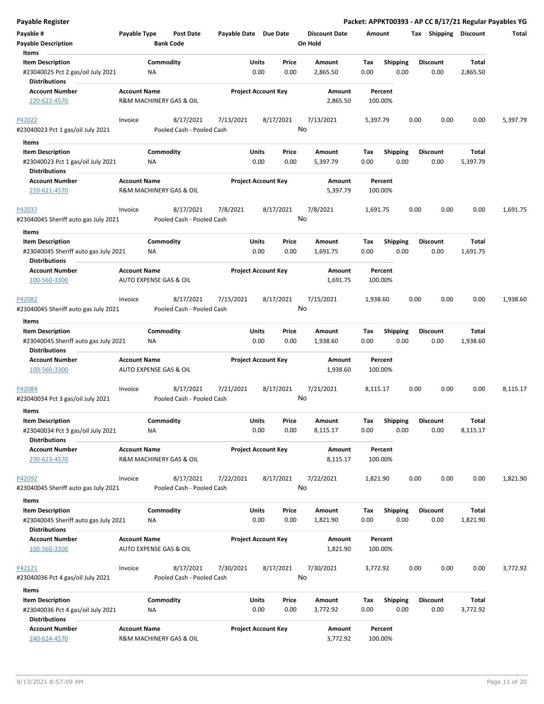| Payable #<br>Payable Type<br>Payable Date Due Date<br><b>Discount Date</b><br>Tax Shipping Discount<br><b>Post Date</b><br>Amount<br>Total<br><b>Bank Code</b><br>On Hold<br><b>Payable Description</b><br>Items<br><b>Item Description</b><br>Commodity<br>Units<br>Amount<br><b>Shipping</b><br><b>Discount</b><br>Total<br>Price<br>Tax<br>0.00<br>0.00<br>#23040025 Pct 2 gas/oil July 2021<br><b>NA</b><br>0.00<br>2,865.50<br>0.00<br>0.00<br>2,865.50<br><b>Distributions</b><br><b>Account Name</b><br><b>Project Account Key</b><br><b>Account Number</b><br>Amount<br>Percent<br>R&M MACHINERY GAS & OIL<br>2,865.50<br>220-622-4570<br>100.00%<br>P42022<br>8/17/2021<br>7/13/2021<br>8/17/2021<br>7/13/2021<br>0.00<br>0.00<br>0.00<br>5,397.79<br>Invoice<br>5,397.79<br>No<br>#23040023 Pct 1 gas/oil July 2021<br>Pooled Cash - Pooled Cash<br>Items<br>Commodity<br>Units<br><b>Shipping</b><br><b>Discount</b><br>Total<br><b>Item Description</b><br>Price<br>Amount<br>Tax<br>#23040023 Pct 1 gas/oil July 2021<br>0.00<br>0.00<br>5,397.79<br>0.00<br>0.00<br>0.00<br>5,397.79<br>NA<br><b>Distributions</b><br><b>Account Name</b><br><b>Project Account Key</b><br><b>Account Number</b><br>Amount<br>Percent<br>R&M MACHINERY GAS & OIL<br>5,397.79<br>100.00%<br>210-621-4570<br>8/17/2021<br>0.00<br>8/17/2021<br>7/8/2021<br>7/8/2021<br>0.00<br>0.00<br>1,691.75<br>P42037<br>Invoice<br>1,691.75<br>No<br>#23040045 Sheriff auto gas July 2021<br>Pooled Cash - Pooled Cash<br>Items<br>Commodity<br>Units<br><b>Shipping</b><br>Total<br><b>Item Description</b><br>Price<br>Amount<br>Tax<br><b>Discount</b><br>#23040045 Sheriff auto gas July 2021<br>0.00<br>0.00<br>0.00<br>0.00<br>0.00<br>1,691.75<br>ΝA<br>1,691.75<br><b>Distributions</b><br><b>Project Account Key</b><br><b>Account Number</b><br><b>Account Name</b><br>Amount<br>Percent<br>100-560-3300<br>AUTO EXPENSE GAS & OIL<br>1,691.75<br>100.00%<br>8/17/2021<br>7/15/2021<br>8/17/2021<br>7/15/2021<br>0.00<br>0.00<br>0.00<br>1,938.60<br>P42082<br>Invoice<br>1,938.60<br>No<br>#23040045 Sheriff auto gas July 2021<br>Pooled Cash - Pooled Cash<br>Items<br>Commodity<br><b>Item Description</b><br>Units<br><b>Shipping</b><br><b>Discount</b><br>Price<br>Amount<br>Tax<br>Total<br>0.00<br>0.00<br>0.00<br>0.00<br>0.00<br>1,938.60<br>#23040045 Sheriff auto gas July 2021<br>NA<br>1,938.60<br><b>Distributions</b><br><b>Account Number</b><br><b>Account Name</b><br><b>Project Account Key</b><br>Amount<br>Percent<br>100-560-3300<br>AUTO EXPENSE GAS & OIL<br>1,938.60<br>100.00%<br>0.00<br>0.00<br>0.00<br>8,115.17<br>8/17/2021<br>7/21/2021<br>8/17/2021<br>7/21/2021<br>8,115.17<br>P42084<br>Invoice<br>No<br>#23040034 Pct 3 gas/oil July 2021<br>Pooled Cash - Pooled Cash<br>Items<br><b>Item Description</b><br>Commodity<br>Units<br>Price<br><b>Shipping</b><br><b>Discount</b><br>Total<br>Amount<br>Tax<br>#23040034 Pct 3 gas/oil July 2021<br><b>NA</b><br>0.00<br>0.00<br>8,115.17<br>0.00<br>0.00<br>0.00<br>8,115.17<br><b>Distributions</b><br><b>Account Number</b><br><b>Account Name</b><br><b>Project Account Key</b><br>Amount<br>Percent<br>R&M MACHINERY GAS & OIL<br>8,115.17<br>230-623-4570<br>100.00%<br>8/17/2021<br>7/22/2021<br>8/17/2021<br>7/22/2021<br>0.00<br>0.00<br>0.00<br>1,821.90<br>P42092<br>Invoice<br>1,821.90<br>No<br>#23040045 Sheriff auto gas July 2021<br>Pooled Cash - Pooled Cash<br>Items<br>Commodity<br>Units<br><b>Shipping</b><br><b>Discount</b><br>Total<br><b>Item Description</b><br>Price<br>Amount<br>Tax<br>0.00<br>#23040045 Sheriff auto gas July 2021<br>NA<br>0.00<br>1,821.90<br>0.00<br>0.00<br>0.00<br>1,821.90<br><b>Distributions</b><br><b>Account Number</b><br><b>Project Account Key</b><br><b>Account Name</b><br>Amount<br>Percent<br>AUTO EXPENSE GAS & OIL<br>1,821.90<br>100.00%<br>100-560-3300<br>7/30/2021<br>P42121<br>8/17/2021<br>7/30/2021<br>8/17/2021<br>3,772.92<br>0.00<br>0.00<br>0.00<br>3,772.92<br>Invoice<br>No<br>#23040036 Pct 4 gas/oil July 2021<br>Pooled Cash - Pooled Cash<br>Items<br><b>Item Description</b><br>Commodity<br>Units<br>Price<br>Amount<br><b>Discount</b><br>Total<br>Tax<br><b>Shipping</b><br>#23040036 Pct 4 gas/oil July 2021<br>0.00<br>0.00<br>3,772.92<br>0.00<br>0.00<br>0.00<br>3,772.92<br>ΝA<br><b>Distributions</b><br><b>Account Name</b><br><b>Project Account Key</b><br><b>Account Number</b><br>Amount<br>Percent<br>240-624-4570<br>R&M MACHINERY GAS & OIL<br>3,772.92<br>100.00% | <b>Payable Register</b> |  |  |  |  |  | Packet: APPKT00393 - AP CC 8/17/21 Regular Payables YG |
|-------------------------------------------------------------------------------------------------------------------------------------------------------------------------------------------------------------------------------------------------------------------------------------------------------------------------------------------------------------------------------------------------------------------------------------------------------------------------------------------------------------------------------------------------------------------------------------------------------------------------------------------------------------------------------------------------------------------------------------------------------------------------------------------------------------------------------------------------------------------------------------------------------------------------------------------------------------------------------------------------------------------------------------------------------------------------------------------------------------------------------------------------------------------------------------------------------------------------------------------------------------------------------------------------------------------------------------------------------------------------------------------------------------------------------------------------------------------------------------------------------------------------------------------------------------------------------------------------------------------------------------------------------------------------------------------------------------------------------------------------------------------------------------------------------------------------------------------------------------------------------------------------------------------------------------------------------------------------------------------------------------------------------------------------------------------------------------------------------------------------------------------------------------------------------------------------------------------------------------------------------------------------------------------------------------------------------------------------------------------------------------------------------------------------------------------------------------------------------------------------------------------------------------------------------------------------------------------------------------------------------------------------------------------------------------------------------------------------------------------------------------------------------------------------------------------------------------------------------------------------------------------------------------------------------------------------------------------------------------------------------------------------------------------------------------------------------------------------------------------------------------------------------------------------------------------------------------------------------------------------------------------------------------------------------------------------------------------------------------------------------------------------------------------------------------------------------------------------------------------------------------------------------------------------------------------------------------------------------------------------------------------------------------------------------------------------------------------------------------------------------------------------------------------------------------------------------------------------------------------------------------------------------------------------------------------------------------------------------------------------------------------------------------------------------------------------------------------------------------------------------------------------------------------------------------------------------------------------------------------------------------------------------------------------------------------------------------------------------------------------------------------------------------------------------------------------------------------------------------------------------------------------------------------------------|-------------------------|--|--|--|--|--|--------------------------------------------------------|
|                                                                                                                                                                                                                                                                                                                                                                                                                                                                                                                                                                                                                                                                                                                                                                                                                                                                                                                                                                                                                                                                                                                                                                                                                                                                                                                                                                                                                                                                                                                                                                                                                                                                                                                                                                                                                                                                                                                                                                                                                                                                                                                                                                                                                                                                                                                                                                                                                                                                                                                                                                                                                                                                                                                                                                                                                                                                                                                                                                                                                                                                                                                                                                                                                                                                                                                                                                                                                                                                                                                                                                                                                                                                                                                                                                                                                                                                                                                                                                                                                                                                                                                                                                                                                                                                                                                                                                                                                                                                                                                                                       |                         |  |  |  |  |  |                                                        |
|                                                                                                                                                                                                                                                                                                                                                                                                                                                                                                                                                                                                                                                                                                                                                                                                                                                                                                                                                                                                                                                                                                                                                                                                                                                                                                                                                                                                                                                                                                                                                                                                                                                                                                                                                                                                                                                                                                                                                                                                                                                                                                                                                                                                                                                                                                                                                                                                                                                                                                                                                                                                                                                                                                                                                                                                                                                                                                                                                                                                                                                                                                                                                                                                                                                                                                                                                                                                                                                                                                                                                                                                                                                                                                                                                                                                                                                                                                                                                                                                                                                                                                                                                                                                                                                                                                                                                                                                                                                                                                                                                       |                         |  |  |  |  |  |                                                        |
|                                                                                                                                                                                                                                                                                                                                                                                                                                                                                                                                                                                                                                                                                                                                                                                                                                                                                                                                                                                                                                                                                                                                                                                                                                                                                                                                                                                                                                                                                                                                                                                                                                                                                                                                                                                                                                                                                                                                                                                                                                                                                                                                                                                                                                                                                                                                                                                                                                                                                                                                                                                                                                                                                                                                                                                                                                                                                                                                                                                                                                                                                                                                                                                                                                                                                                                                                                                                                                                                                                                                                                                                                                                                                                                                                                                                                                                                                                                                                                                                                                                                                                                                                                                                                                                                                                                                                                                                                                                                                                                                                       |                         |  |  |  |  |  |                                                        |
|                                                                                                                                                                                                                                                                                                                                                                                                                                                                                                                                                                                                                                                                                                                                                                                                                                                                                                                                                                                                                                                                                                                                                                                                                                                                                                                                                                                                                                                                                                                                                                                                                                                                                                                                                                                                                                                                                                                                                                                                                                                                                                                                                                                                                                                                                                                                                                                                                                                                                                                                                                                                                                                                                                                                                                                                                                                                                                                                                                                                                                                                                                                                                                                                                                                                                                                                                                                                                                                                                                                                                                                                                                                                                                                                                                                                                                                                                                                                                                                                                                                                                                                                                                                                                                                                                                                                                                                                                                                                                                                                                       |                         |  |  |  |  |  |                                                        |
|                                                                                                                                                                                                                                                                                                                                                                                                                                                                                                                                                                                                                                                                                                                                                                                                                                                                                                                                                                                                                                                                                                                                                                                                                                                                                                                                                                                                                                                                                                                                                                                                                                                                                                                                                                                                                                                                                                                                                                                                                                                                                                                                                                                                                                                                                                                                                                                                                                                                                                                                                                                                                                                                                                                                                                                                                                                                                                                                                                                                                                                                                                                                                                                                                                                                                                                                                                                                                                                                                                                                                                                                                                                                                                                                                                                                                                                                                                                                                                                                                                                                                                                                                                                                                                                                                                                                                                                                                                                                                                                                                       |                         |  |  |  |  |  |                                                        |
|                                                                                                                                                                                                                                                                                                                                                                                                                                                                                                                                                                                                                                                                                                                                                                                                                                                                                                                                                                                                                                                                                                                                                                                                                                                                                                                                                                                                                                                                                                                                                                                                                                                                                                                                                                                                                                                                                                                                                                                                                                                                                                                                                                                                                                                                                                                                                                                                                                                                                                                                                                                                                                                                                                                                                                                                                                                                                                                                                                                                                                                                                                                                                                                                                                                                                                                                                                                                                                                                                                                                                                                                                                                                                                                                                                                                                                                                                                                                                                                                                                                                                                                                                                                                                                                                                                                                                                                                                                                                                                                                                       |                         |  |  |  |  |  |                                                        |
|                                                                                                                                                                                                                                                                                                                                                                                                                                                                                                                                                                                                                                                                                                                                                                                                                                                                                                                                                                                                                                                                                                                                                                                                                                                                                                                                                                                                                                                                                                                                                                                                                                                                                                                                                                                                                                                                                                                                                                                                                                                                                                                                                                                                                                                                                                                                                                                                                                                                                                                                                                                                                                                                                                                                                                                                                                                                                                                                                                                                                                                                                                                                                                                                                                                                                                                                                                                                                                                                                                                                                                                                                                                                                                                                                                                                                                                                                                                                                                                                                                                                                                                                                                                                                                                                                                                                                                                                                                                                                                                                                       |                         |  |  |  |  |  |                                                        |
|                                                                                                                                                                                                                                                                                                                                                                                                                                                                                                                                                                                                                                                                                                                                                                                                                                                                                                                                                                                                                                                                                                                                                                                                                                                                                                                                                                                                                                                                                                                                                                                                                                                                                                                                                                                                                                                                                                                                                                                                                                                                                                                                                                                                                                                                                                                                                                                                                                                                                                                                                                                                                                                                                                                                                                                                                                                                                                                                                                                                                                                                                                                                                                                                                                                                                                                                                                                                                                                                                                                                                                                                                                                                                                                                                                                                                                                                                                                                                                                                                                                                                                                                                                                                                                                                                                                                                                                                                                                                                                                                                       |                         |  |  |  |  |  |                                                        |
|                                                                                                                                                                                                                                                                                                                                                                                                                                                                                                                                                                                                                                                                                                                                                                                                                                                                                                                                                                                                                                                                                                                                                                                                                                                                                                                                                                                                                                                                                                                                                                                                                                                                                                                                                                                                                                                                                                                                                                                                                                                                                                                                                                                                                                                                                                                                                                                                                                                                                                                                                                                                                                                                                                                                                                                                                                                                                                                                                                                                                                                                                                                                                                                                                                                                                                                                                                                                                                                                                                                                                                                                                                                                                                                                                                                                                                                                                                                                                                                                                                                                                                                                                                                                                                                                                                                                                                                                                                                                                                                                                       |                         |  |  |  |  |  |                                                        |
|                                                                                                                                                                                                                                                                                                                                                                                                                                                                                                                                                                                                                                                                                                                                                                                                                                                                                                                                                                                                                                                                                                                                                                                                                                                                                                                                                                                                                                                                                                                                                                                                                                                                                                                                                                                                                                                                                                                                                                                                                                                                                                                                                                                                                                                                                                                                                                                                                                                                                                                                                                                                                                                                                                                                                                                                                                                                                                                                                                                                                                                                                                                                                                                                                                                                                                                                                                                                                                                                                                                                                                                                                                                                                                                                                                                                                                                                                                                                                                                                                                                                                                                                                                                                                                                                                                                                                                                                                                                                                                                                                       |                         |  |  |  |  |  |                                                        |
|                                                                                                                                                                                                                                                                                                                                                                                                                                                                                                                                                                                                                                                                                                                                                                                                                                                                                                                                                                                                                                                                                                                                                                                                                                                                                                                                                                                                                                                                                                                                                                                                                                                                                                                                                                                                                                                                                                                                                                                                                                                                                                                                                                                                                                                                                                                                                                                                                                                                                                                                                                                                                                                                                                                                                                                                                                                                                                                                                                                                                                                                                                                                                                                                                                                                                                                                                                                                                                                                                                                                                                                                                                                                                                                                                                                                                                                                                                                                                                                                                                                                                                                                                                                                                                                                                                                                                                                                                                                                                                                                                       |                         |  |  |  |  |  |                                                        |
|                                                                                                                                                                                                                                                                                                                                                                                                                                                                                                                                                                                                                                                                                                                                                                                                                                                                                                                                                                                                                                                                                                                                                                                                                                                                                                                                                                                                                                                                                                                                                                                                                                                                                                                                                                                                                                                                                                                                                                                                                                                                                                                                                                                                                                                                                                                                                                                                                                                                                                                                                                                                                                                                                                                                                                                                                                                                                                                                                                                                                                                                                                                                                                                                                                                                                                                                                                                                                                                                                                                                                                                                                                                                                                                                                                                                                                                                                                                                                                                                                                                                                                                                                                                                                                                                                                                                                                                                                                                                                                                                                       |                         |  |  |  |  |  |                                                        |
|                                                                                                                                                                                                                                                                                                                                                                                                                                                                                                                                                                                                                                                                                                                                                                                                                                                                                                                                                                                                                                                                                                                                                                                                                                                                                                                                                                                                                                                                                                                                                                                                                                                                                                                                                                                                                                                                                                                                                                                                                                                                                                                                                                                                                                                                                                                                                                                                                                                                                                                                                                                                                                                                                                                                                                                                                                                                                                                                                                                                                                                                                                                                                                                                                                                                                                                                                                                                                                                                                                                                                                                                                                                                                                                                                                                                                                                                                                                                                                                                                                                                                                                                                                                                                                                                                                                                                                                                                                                                                                                                                       |                         |  |  |  |  |  |                                                        |
|                                                                                                                                                                                                                                                                                                                                                                                                                                                                                                                                                                                                                                                                                                                                                                                                                                                                                                                                                                                                                                                                                                                                                                                                                                                                                                                                                                                                                                                                                                                                                                                                                                                                                                                                                                                                                                                                                                                                                                                                                                                                                                                                                                                                                                                                                                                                                                                                                                                                                                                                                                                                                                                                                                                                                                                                                                                                                                                                                                                                                                                                                                                                                                                                                                                                                                                                                                                                                                                                                                                                                                                                                                                                                                                                                                                                                                                                                                                                                                                                                                                                                                                                                                                                                                                                                                                                                                                                                                                                                                                                                       |                         |  |  |  |  |  |                                                        |
|                                                                                                                                                                                                                                                                                                                                                                                                                                                                                                                                                                                                                                                                                                                                                                                                                                                                                                                                                                                                                                                                                                                                                                                                                                                                                                                                                                                                                                                                                                                                                                                                                                                                                                                                                                                                                                                                                                                                                                                                                                                                                                                                                                                                                                                                                                                                                                                                                                                                                                                                                                                                                                                                                                                                                                                                                                                                                                                                                                                                                                                                                                                                                                                                                                                                                                                                                                                                                                                                                                                                                                                                                                                                                                                                                                                                                                                                                                                                                                                                                                                                                                                                                                                                                                                                                                                                                                                                                                                                                                                                                       |                         |  |  |  |  |  |                                                        |
|                                                                                                                                                                                                                                                                                                                                                                                                                                                                                                                                                                                                                                                                                                                                                                                                                                                                                                                                                                                                                                                                                                                                                                                                                                                                                                                                                                                                                                                                                                                                                                                                                                                                                                                                                                                                                                                                                                                                                                                                                                                                                                                                                                                                                                                                                                                                                                                                                                                                                                                                                                                                                                                                                                                                                                                                                                                                                                                                                                                                                                                                                                                                                                                                                                                                                                                                                                                                                                                                                                                                                                                                                                                                                                                                                                                                                                                                                                                                                                                                                                                                                                                                                                                                                                                                                                                                                                                                                                                                                                                                                       |                         |  |  |  |  |  |                                                        |
|                                                                                                                                                                                                                                                                                                                                                                                                                                                                                                                                                                                                                                                                                                                                                                                                                                                                                                                                                                                                                                                                                                                                                                                                                                                                                                                                                                                                                                                                                                                                                                                                                                                                                                                                                                                                                                                                                                                                                                                                                                                                                                                                                                                                                                                                                                                                                                                                                                                                                                                                                                                                                                                                                                                                                                                                                                                                                                                                                                                                                                                                                                                                                                                                                                                                                                                                                                                                                                                                                                                                                                                                                                                                                                                                                                                                                                                                                                                                                                                                                                                                                                                                                                                                                                                                                                                                                                                                                                                                                                                                                       |                         |  |  |  |  |  |                                                        |
|                                                                                                                                                                                                                                                                                                                                                                                                                                                                                                                                                                                                                                                                                                                                                                                                                                                                                                                                                                                                                                                                                                                                                                                                                                                                                                                                                                                                                                                                                                                                                                                                                                                                                                                                                                                                                                                                                                                                                                                                                                                                                                                                                                                                                                                                                                                                                                                                                                                                                                                                                                                                                                                                                                                                                                                                                                                                                                                                                                                                                                                                                                                                                                                                                                                                                                                                                                                                                                                                                                                                                                                                                                                                                                                                                                                                                                                                                                                                                                                                                                                                                                                                                                                                                                                                                                                                                                                                                                                                                                                                                       |                         |  |  |  |  |  |                                                        |
|                                                                                                                                                                                                                                                                                                                                                                                                                                                                                                                                                                                                                                                                                                                                                                                                                                                                                                                                                                                                                                                                                                                                                                                                                                                                                                                                                                                                                                                                                                                                                                                                                                                                                                                                                                                                                                                                                                                                                                                                                                                                                                                                                                                                                                                                                                                                                                                                                                                                                                                                                                                                                                                                                                                                                                                                                                                                                                                                                                                                                                                                                                                                                                                                                                                                                                                                                                                                                                                                                                                                                                                                                                                                                                                                                                                                                                                                                                                                                                                                                                                                                                                                                                                                                                                                                                                                                                                                                                                                                                                                                       |                         |  |  |  |  |  |                                                        |
|                                                                                                                                                                                                                                                                                                                                                                                                                                                                                                                                                                                                                                                                                                                                                                                                                                                                                                                                                                                                                                                                                                                                                                                                                                                                                                                                                                                                                                                                                                                                                                                                                                                                                                                                                                                                                                                                                                                                                                                                                                                                                                                                                                                                                                                                                                                                                                                                                                                                                                                                                                                                                                                                                                                                                                                                                                                                                                                                                                                                                                                                                                                                                                                                                                                                                                                                                                                                                                                                                                                                                                                                                                                                                                                                                                                                                                                                                                                                                                                                                                                                                                                                                                                                                                                                                                                                                                                                                                                                                                                                                       |                         |  |  |  |  |  |                                                        |
|                                                                                                                                                                                                                                                                                                                                                                                                                                                                                                                                                                                                                                                                                                                                                                                                                                                                                                                                                                                                                                                                                                                                                                                                                                                                                                                                                                                                                                                                                                                                                                                                                                                                                                                                                                                                                                                                                                                                                                                                                                                                                                                                                                                                                                                                                                                                                                                                                                                                                                                                                                                                                                                                                                                                                                                                                                                                                                                                                                                                                                                                                                                                                                                                                                                                                                                                                                                                                                                                                                                                                                                                                                                                                                                                                                                                                                                                                                                                                                                                                                                                                                                                                                                                                                                                                                                                                                                                                                                                                                                                                       |                         |  |  |  |  |  |                                                        |
|                                                                                                                                                                                                                                                                                                                                                                                                                                                                                                                                                                                                                                                                                                                                                                                                                                                                                                                                                                                                                                                                                                                                                                                                                                                                                                                                                                                                                                                                                                                                                                                                                                                                                                                                                                                                                                                                                                                                                                                                                                                                                                                                                                                                                                                                                                                                                                                                                                                                                                                                                                                                                                                                                                                                                                                                                                                                                                                                                                                                                                                                                                                                                                                                                                                                                                                                                                                                                                                                                                                                                                                                                                                                                                                                                                                                                                                                                                                                                                                                                                                                                                                                                                                                                                                                                                                                                                                                                                                                                                                                                       |                         |  |  |  |  |  |                                                        |
|                                                                                                                                                                                                                                                                                                                                                                                                                                                                                                                                                                                                                                                                                                                                                                                                                                                                                                                                                                                                                                                                                                                                                                                                                                                                                                                                                                                                                                                                                                                                                                                                                                                                                                                                                                                                                                                                                                                                                                                                                                                                                                                                                                                                                                                                                                                                                                                                                                                                                                                                                                                                                                                                                                                                                                                                                                                                                                                                                                                                                                                                                                                                                                                                                                                                                                                                                                                                                                                                                                                                                                                                                                                                                                                                                                                                                                                                                                                                                                                                                                                                                                                                                                                                                                                                                                                                                                                                                                                                                                                                                       |                         |  |  |  |  |  |                                                        |
|                                                                                                                                                                                                                                                                                                                                                                                                                                                                                                                                                                                                                                                                                                                                                                                                                                                                                                                                                                                                                                                                                                                                                                                                                                                                                                                                                                                                                                                                                                                                                                                                                                                                                                                                                                                                                                                                                                                                                                                                                                                                                                                                                                                                                                                                                                                                                                                                                                                                                                                                                                                                                                                                                                                                                                                                                                                                                                                                                                                                                                                                                                                                                                                                                                                                                                                                                                                                                                                                                                                                                                                                                                                                                                                                                                                                                                                                                                                                                                                                                                                                                                                                                                                                                                                                                                                                                                                                                                                                                                                                                       |                         |  |  |  |  |  |                                                        |
|                                                                                                                                                                                                                                                                                                                                                                                                                                                                                                                                                                                                                                                                                                                                                                                                                                                                                                                                                                                                                                                                                                                                                                                                                                                                                                                                                                                                                                                                                                                                                                                                                                                                                                                                                                                                                                                                                                                                                                                                                                                                                                                                                                                                                                                                                                                                                                                                                                                                                                                                                                                                                                                                                                                                                                                                                                                                                                                                                                                                                                                                                                                                                                                                                                                                                                                                                                                                                                                                                                                                                                                                                                                                                                                                                                                                                                                                                                                                                                                                                                                                                                                                                                                                                                                                                                                                                                                                                                                                                                                                                       |                         |  |  |  |  |  |                                                        |
|                                                                                                                                                                                                                                                                                                                                                                                                                                                                                                                                                                                                                                                                                                                                                                                                                                                                                                                                                                                                                                                                                                                                                                                                                                                                                                                                                                                                                                                                                                                                                                                                                                                                                                                                                                                                                                                                                                                                                                                                                                                                                                                                                                                                                                                                                                                                                                                                                                                                                                                                                                                                                                                                                                                                                                                                                                                                                                                                                                                                                                                                                                                                                                                                                                                                                                                                                                                                                                                                                                                                                                                                                                                                                                                                                                                                                                                                                                                                                                                                                                                                                                                                                                                                                                                                                                                                                                                                                                                                                                                                                       |                         |  |  |  |  |  |                                                        |
|                                                                                                                                                                                                                                                                                                                                                                                                                                                                                                                                                                                                                                                                                                                                                                                                                                                                                                                                                                                                                                                                                                                                                                                                                                                                                                                                                                                                                                                                                                                                                                                                                                                                                                                                                                                                                                                                                                                                                                                                                                                                                                                                                                                                                                                                                                                                                                                                                                                                                                                                                                                                                                                                                                                                                                                                                                                                                                                                                                                                                                                                                                                                                                                                                                                                                                                                                                                                                                                                                                                                                                                                                                                                                                                                                                                                                                                                                                                                                                                                                                                                                                                                                                                                                                                                                                                                                                                                                                                                                                                                                       |                         |  |  |  |  |  |                                                        |
|                                                                                                                                                                                                                                                                                                                                                                                                                                                                                                                                                                                                                                                                                                                                                                                                                                                                                                                                                                                                                                                                                                                                                                                                                                                                                                                                                                                                                                                                                                                                                                                                                                                                                                                                                                                                                                                                                                                                                                                                                                                                                                                                                                                                                                                                                                                                                                                                                                                                                                                                                                                                                                                                                                                                                                                                                                                                                                                                                                                                                                                                                                                                                                                                                                                                                                                                                                                                                                                                                                                                                                                                                                                                                                                                                                                                                                                                                                                                                                                                                                                                                                                                                                                                                                                                                                                                                                                                                                                                                                                                                       |                         |  |  |  |  |  |                                                        |
|                                                                                                                                                                                                                                                                                                                                                                                                                                                                                                                                                                                                                                                                                                                                                                                                                                                                                                                                                                                                                                                                                                                                                                                                                                                                                                                                                                                                                                                                                                                                                                                                                                                                                                                                                                                                                                                                                                                                                                                                                                                                                                                                                                                                                                                                                                                                                                                                                                                                                                                                                                                                                                                                                                                                                                                                                                                                                                                                                                                                                                                                                                                                                                                                                                                                                                                                                                                                                                                                                                                                                                                                                                                                                                                                                                                                                                                                                                                                                                                                                                                                                                                                                                                                                                                                                                                                                                                                                                                                                                                                                       |                         |  |  |  |  |  |                                                        |
|                                                                                                                                                                                                                                                                                                                                                                                                                                                                                                                                                                                                                                                                                                                                                                                                                                                                                                                                                                                                                                                                                                                                                                                                                                                                                                                                                                                                                                                                                                                                                                                                                                                                                                                                                                                                                                                                                                                                                                                                                                                                                                                                                                                                                                                                                                                                                                                                                                                                                                                                                                                                                                                                                                                                                                                                                                                                                                                                                                                                                                                                                                                                                                                                                                                                                                                                                                                                                                                                                                                                                                                                                                                                                                                                                                                                                                                                                                                                                                                                                                                                                                                                                                                                                                                                                                                                                                                                                                                                                                                                                       |                         |  |  |  |  |  |                                                        |
|                                                                                                                                                                                                                                                                                                                                                                                                                                                                                                                                                                                                                                                                                                                                                                                                                                                                                                                                                                                                                                                                                                                                                                                                                                                                                                                                                                                                                                                                                                                                                                                                                                                                                                                                                                                                                                                                                                                                                                                                                                                                                                                                                                                                                                                                                                                                                                                                                                                                                                                                                                                                                                                                                                                                                                                                                                                                                                                                                                                                                                                                                                                                                                                                                                                                                                                                                                                                                                                                                                                                                                                                                                                                                                                                                                                                                                                                                                                                                                                                                                                                                                                                                                                                                                                                                                                                                                                                                                                                                                                                                       |                         |  |  |  |  |  |                                                        |
|                                                                                                                                                                                                                                                                                                                                                                                                                                                                                                                                                                                                                                                                                                                                                                                                                                                                                                                                                                                                                                                                                                                                                                                                                                                                                                                                                                                                                                                                                                                                                                                                                                                                                                                                                                                                                                                                                                                                                                                                                                                                                                                                                                                                                                                                                                                                                                                                                                                                                                                                                                                                                                                                                                                                                                                                                                                                                                                                                                                                                                                                                                                                                                                                                                                                                                                                                                                                                                                                                                                                                                                                                                                                                                                                                                                                                                                                                                                                                                                                                                                                                                                                                                                                                                                                                                                                                                                                                                                                                                                                                       |                         |  |  |  |  |  |                                                        |
|                                                                                                                                                                                                                                                                                                                                                                                                                                                                                                                                                                                                                                                                                                                                                                                                                                                                                                                                                                                                                                                                                                                                                                                                                                                                                                                                                                                                                                                                                                                                                                                                                                                                                                                                                                                                                                                                                                                                                                                                                                                                                                                                                                                                                                                                                                                                                                                                                                                                                                                                                                                                                                                                                                                                                                                                                                                                                                                                                                                                                                                                                                                                                                                                                                                                                                                                                                                                                                                                                                                                                                                                                                                                                                                                                                                                                                                                                                                                                                                                                                                                                                                                                                                                                                                                                                                                                                                                                                                                                                                                                       |                         |  |  |  |  |  |                                                        |
|                                                                                                                                                                                                                                                                                                                                                                                                                                                                                                                                                                                                                                                                                                                                                                                                                                                                                                                                                                                                                                                                                                                                                                                                                                                                                                                                                                                                                                                                                                                                                                                                                                                                                                                                                                                                                                                                                                                                                                                                                                                                                                                                                                                                                                                                                                                                                                                                                                                                                                                                                                                                                                                                                                                                                                                                                                                                                                                                                                                                                                                                                                                                                                                                                                                                                                                                                                                                                                                                                                                                                                                                                                                                                                                                                                                                                                                                                                                                                                                                                                                                                                                                                                                                                                                                                                                                                                                                                                                                                                                                                       |                         |  |  |  |  |  |                                                        |
|                                                                                                                                                                                                                                                                                                                                                                                                                                                                                                                                                                                                                                                                                                                                                                                                                                                                                                                                                                                                                                                                                                                                                                                                                                                                                                                                                                                                                                                                                                                                                                                                                                                                                                                                                                                                                                                                                                                                                                                                                                                                                                                                                                                                                                                                                                                                                                                                                                                                                                                                                                                                                                                                                                                                                                                                                                                                                                                                                                                                                                                                                                                                                                                                                                                                                                                                                                                                                                                                                                                                                                                                                                                                                                                                                                                                                                                                                                                                                                                                                                                                                                                                                                                                                                                                                                                                                                                                                                                                                                                                                       |                         |  |  |  |  |  |                                                        |
|                                                                                                                                                                                                                                                                                                                                                                                                                                                                                                                                                                                                                                                                                                                                                                                                                                                                                                                                                                                                                                                                                                                                                                                                                                                                                                                                                                                                                                                                                                                                                                                                                                                                                                                                                                                                                                                                                                                                                                                                                                                                                                                                                                                                                                                                                                                                                                                                                                                                                                                                                                                                                                                                                                                                                                                                                                                                                                                                                                                                                                                                                                                                                                                                                                                                                                                                                                                                                                                                                                                                                                                                                                                                                                                                                                                                                                                                                                                                                                                                                                                                                                                                                                                                                                                                                                                                                                                                                                                                                                                                                       |                         |  |  |  |  |  |                                                        |
|                                                                                                                                                                                                                                                                                                                                                                                                                                                                                                                                                                                                                                                                                                                                                                                                                                                                                                                                                                                                                                                                                                                                                                                                                                                                                                                                                                                                                                                                                                                                                                                                                                                                                                                                                                                                                                                                                                                                                                                                                                                                                                                                                                                                                                                                                                                                                                                                                                                                                                                                                                                                                                                                                                                                                                                                                                                                                                                                                                                                                                                                                                                                                                                                                                                                                                                                                                                                                                                                                                                                                                                                                                                                                                                                                                                                                                                                                                                                                                                                                                                                                                                                                                                                                                                                                                                                                                                                                                                                                                                                                       |                         |  |  |  |  |  |                                                        |
|                                                                                                                                                                                                                                                                                                                                                                                                                                                                                                                                                                                                                                                                                                                                                                                                                                                                                                                                                                                                                                                                                                                                                                                                                                                                                                                                                                                                                                                                                                                                                                                                                                                                                                                                                                                                                                                                                                                                                                                                                                                                                                                                                                                                                                                                                                                                                                                                                                                                                                                                                                                                                                                                                                                                                                                                                                                                                                                                                                                                                                                                                                                                                                                                                                                                                                                                                                                                                                                                                                                                                                                                                                                                                                                                                                                                                                                                                                                                                                                                                                                                                                                                                                                                                                                                                                                                                                                                                                                                                                                                                       |                         |  |  |  |  |  |                                                        |
|                                                                                                                                                                                                                                                                                                                                                                                                                                                                                                                                                                                                                                                                                                                                                                                                                                                                                                                                                                                                                                                                                                                                                                                                                                                                                                                                                                                                                                                                                                                                                                                                                                                                                                                                                                                                                                                                                                                                                                                                                                                                                                                                                                                                                                                                                                                                                                                                                                                                                                                                                                                                                                                                                                                                                                                                                                                                                                                                                                                                                                                                                                                                                                                                                                                                                                                                                                                                                                                                                                                                                                                                                                                                                                                                                                                                                                                                                                                                                                                                                                                                                                                                                                                                                                                                                                                                                                                                                                                                                                                                                       |                         |  |  |  |  |  |                                                        |
|                                                                                                                                                                                                                                                                                                                                                                                                                                                                                                                                                                                                                                                                                                                                                                                                                                                                                                                                                                                                                                                                                                                                                                                                                                                                                                                                                                                                                                                                                                                                                                                                                                                                                                                                                                                                                                                                                                                                                                                                                                                                                                                                                                                                                                                                                                                                                                                                                                                                                                                                                                                                                                                                                                                                                                                                                                                                                                                                                                                                                                                                                                                                                                                                                                                                                                                                                                                                                                                                                                                                                                                                                                                                                                                                                                                                                                                                                                                                                                                                                                                                                                                                                                                                                                                                                                                                                                                                                                                                                                                                                       |                         |  |  |  |  |  |                                                        |
|                                                                                                                                                                                                                                                                                                                                                                                                                                                                                                                                                                                                                                                                                                                                                                                                                                                                                                                                                                                                                                                                                                                                                                                                                                                                                                                                                                                                                                                                                                                                                                                                                                                                                                                                                                                                                                                                                                                                                                                                                                                                                                                                                                                                                                                                                                                                                                                                                                                                                                                                                                                                                                                                                                                                                                                                                                                                                                                                                                                                                                                                                                                                                                                                                                                                                                                                                                                                                                                                                                                                                                                                                                                                                                                                                                                                                                                                                                                                                                                                                                                                                                                                                                                                                                                                                                                                                                                                                                                                                                                                                       |                         |  |  |  |  |  |                                                        |
|                                                                                                                                                                                                                                                                                                                                                                                                                                                                                                                                                                                                                                                                                                                                                                                                                                                                                                                                                                                                                                                                                                                                                                                                                                                                                                                                                                                                                                                                                                                                                                                                                                                                                                                                                                                                                                                                                                                                                                                                                                                                                                                                                                                                                                                                                                                                                                                                                                                                                                                                                                                                                                                                                                                                                                                                                                                                                                                                                                                                                                                                                                                                                                                                                                                                                                                                                                                                                                                                                                                                                                                                                                                                                                                                                                                                                                                                                                                                                                                                                                                                                                                                                                                                                                                                                                                                                                                                                                                                                                                                                       |                         |  |  |  |  |  |                                                        |
|                                                                                                                                                                                                                                                                                                                                                                                                                                                                                                                                                                                                                                                                                                                                                                                                                                                                                                                                                                                                                                                                                                                                                                                                                                                                                                                                                                                                                                                                                                                                                                                                                                                                                                                                                                                                                                                                                                                                                                                                                                                                                                                                                                                                                                                                                                                                                                                                                                                                                                                                                                                                                                                                                                                                                                                                                                                                                                                                                                                                                                                                                                                                                                                                                                                                                                                                                                                                                                                                                                                                                                                                                                                                                                                                                                                                                                                                                                                                                                                                                                                                                                                                                                                                                                                                                                                                                                                                                                                                                                                                                       |                         |  |  |  |  |  |                                                        |
|                                                                                                                                                                                                                                                                                                                                                                                                                                                                                                                                                                                                                                                                                                                                                                                                                                                                                                                                                                                                                                                                                                                                                                                                                                                                                                                                                                                                                                                                                                                                                                                                                                                                                                                                                                                                                                                                                                                                                                                                                                                                                                                                                                                                                                                                                                                                                                                                                                                                                                                                                                                                                                                                                                                                                                                                                                                                                                                                                                                                                                                                                                                                                                                                                                                                                                                                                                                                                                                                                                                                                                                                                                                                                                                                                                                                                                                                                                                                                                                                                                                                                                                                                                                                                                                                                                                                                                                                                                                                                                                                                       |                         |  |  |  |  |  |                                                        |
|                                                                                                                                                                                                                                                                                                                                                                                                                                                                                                                                                                                                                                                                                                                                                                                                                                                                                                                                                                                                                                                                                                                                                                                                                                                                                                                                                                                                                                                                                                                                                                                                                                                                                                                                                                                                                                                                                                                                                                                                                                                                                                                                                                                                                                                                                                                                                                                                                                                                                                                                                                                                                                                                                                                                                                                                                                                                                                                                                                                                                                                                                                                                                                                                                                                                                                                                                                                                                                                                                                                                                                                                                                                                                                                                                                                                                                                                                                                                                                                                                                                                                                                                                                                                                                                                                                                                                                                                                                                                                                                                                       |                         |  |  |  |  |  |                                                        |
|                                                                                                                                                                                                                                                                                                                                                                                                                                                                                                                                                                                                                                                                                                                                                                                                                                                                                                                                                                                                                                                                                                                                                                                                                                                                                                                                                                                                                                                                                                                                                                                                                                                                                                                                                                                                                                                                                                                                                                                                                                                                                                                                                                                                                                                                                                                                                                                                                                                                                                                                                                                                                                                                                                                                                                                                                                                                                                                                                                                                                                                                                                                                                                                                                                                                                                                                                                                                                                                                                                                                                                                                                                                                                                                                                                                                                                                                                                                                                                                                                                                                                                                                                                                                                                                                                                                                                                                                                                                                                                                                                       |                         |  |  |  |  |  |                                                        |
|                                                                                                                                                                                                                                                                                                                                                                                                                                                                                                                                                                                                                                                                                                                                                                                                                                                                                                                                                                                                                                                                                                                                                                                                                                                                                                                                                                                                                                                                                                                                                                                                                                                                                                                                                                                                                                                                                                                                                                                                                                                                                                                                                                                                                                                                                                                                                                                                                                                                                                                                                                                                                                                                                                                                                                                                                                                                                                                                                                                                                                                                                                                                                                                                                                                                                                                                                                                                                                                                                                                                                                                                                                                                                                                                                                                                                                                                                                                                                                                                                                                                                                                                                                                                                                                                                                                                                                                                                                                                                                                                                       |                         |  |  |  |  |  |                                                        |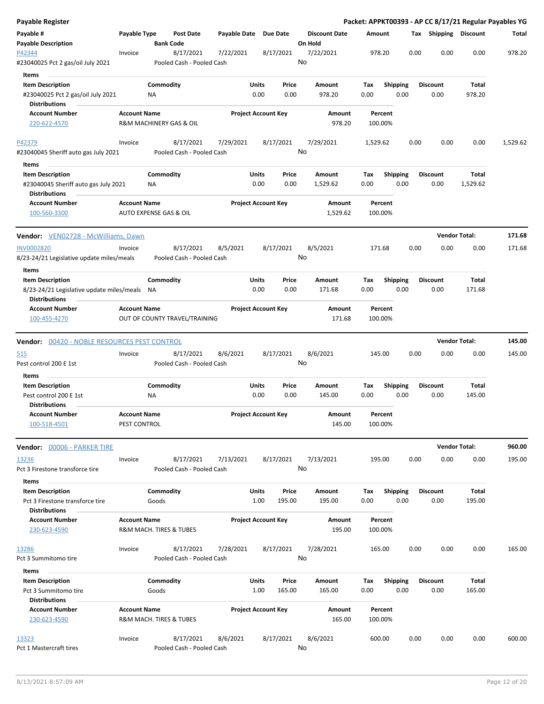| <b>Payable Register</b>                                                              |                                                |                    |                                        |                       |                            |                 |                                 |             |                         |      |                         | Packet: APPKT00393 - AP CC 8/17/21 Regular Payables YG |          |
|--------------------------------------------------------------------------------------|------------------------------------------------|--------------------|----------------------------------------|-----------------------|----------------------------|-----------------|---------------------------------|-------------|-------------------------|------|-------------------------|--------------------------------------------------------|----------|
| Payable #<br><b>Payable Description</b>                                              | Payable Type                                   | <b>Bank Code</b>   | Post Date                              | Payable Date Due Date |                            |                 | <b>Discount Date</b><br>On Hold | Amount      |                         |      | Tax Shipping Discount   |                                                        | Total    |
| P42344<br>#23040025 Pct 2 gas/oil July 2021                                          | Invoice                                        |                    | 8/17/2021<br>Pooled Cash - Pooled Cash | 7/22/2021             |                            | 8/17/2021       | 7/22/2021<br>No                 |             | 978.20                  | 0.00 | 0.00                    | 0.00                                                   | 978.20   |
|                                                                                      |                                                |                    |                                        |                       |                            |                 |                                 |             |                         |      |                         |                                                        |          |
| Items                                                                                |                                                |                    |                                        |                       |                            |                 |                                 |             |                         |      |                         |                                                        |          |
| <b>Item Description</b><br>#23040025 Pct 2 gas/oil July 2021<br><b>Distributions</b> |                                                | Commodity<br>ΝA    |                                        |                       | Units<br>0.00              | Price<br>0.00   | Amount<br>978.20                | Tax<br>0.00 | <b>Shipping</b><br>0.00 |      | <b>Discount</b><br>0.00 | Total<br>978.20                                        |          |
| <b>Account Number</b>                                                                | <b>Account Name</b>                            |                    |                                        |                       | <b>Project Account Key</b> |                 | Amount                          |             | Percent                 |      |                         |                                                        |          |
| 220-622-4570                                                                         |                                                |                    | R&M MACHINERY GAS & OIL                |                       |                            |                 | 978.20                          |             | 100.00%                 |      |                         |                                                        |          |
| P42379                                                                               | Invoice                                        |                    | 8/17/2021                              | 7/29/2021             |                            | 8/17/2021       | 7/29/2021<br>No                 | 1,529.62    |                         | 0.00 | 0.00                    | 0.00                                                   | 1,529.62 |
| #23040045 Sheriff auto gas July 2021                                                 |                                                |                    | Pooled Cash - Pooled Cash              |                       |                            |                 |                                 |             |                         |      |                         |                                                        |          |
| Items                                                                                |                                                |                    |                                        |                       |                            |                 |                                 |             |                         |      |                         |                                                        |          |
| <b>Item Description</b><br>#23040045 Sheriff auto gas July 2021                      |                                                | Commodity<br>ΝA    |                                        |                       | Units<br>0.00              | Price<br>0.00   | Amount<br>1,529.62              | Tax<br>0.00 | Shipping<br>0.00        |      | <b>Discount</b><br>0.00 | Total<br>1,529.62                                      |          |
| <b>Distributions</b><br><b>Account Number</b><br>100-560-3300                        | <b>Account Name</b><br>AUTO EXPENSE GAS & OIL  |                    |                                        |                       | <b>Project Account Key</b> |                 | Amount<br>1,529.62              |             | Percent<br>100.00%      |      |                         |                                                        |          |
| Vendor: VEN02728 - McWilliams, Dawn                                                  |                                                |                    |                                        |                       |                            |                 |                                 |             |                         |      | <b>Vendor Total:</b>    |                                                        | 171.68   |
|                                                                                      |                                                |                    | 8/17/2021                              |                       |                            |                 |                                 |             |                         |      |                         |                                                        |          |
| <b>INV0002820</b><br>8/23-24/21 Legislative update miles/meals                       | Invoice                                        |                    | Pooled Cash - Pooled Cash              | 8/5/2021              |                            | 8/17/2021       | 8/5/2021<br>No                  |             | 171.68                  | 0.00 | 0.00                    | 0.00                                                   | 171.68   |
| Items<br><b>Item Description</b>                                                     |                                                | Commodity          |                                        |                       | Units                      | Price           | Amount                          | Tax         | <b>Shipping</b>         |      | <b>Discount</b>         | Total                                                  |          |
| 8/23-24/21 Legislative update miles/meals NA<br><b>Distributions</b>                 |                                                |                    |                                        |                       | 0.00                       | 0.00            | 171.68                          | 0.00        | 0.00                    |      | 0.00                    | 171.68                                                 |          |
| <b>Account Number</b>                                                                | <b>Account Name</b>                            |                    |                                        |                       | <b>Project Account Key</b> |                 | Amount                          |             | Percent                 |      |                         |                                                        |          |
| 100-455-4270                                                                         |                                                |                    | OUT OF COUNTY TRAVEL/TRAINING          |                       |                            |                 | 171.68                          |             | 100.00%                 |      |                         |                                                        |          |
| Vendor: 00420 - NOBLE RESOURCES PEST CONTROL                                         |                                                |                    |                                        |                       |                            |                 |                                 |             |                         |      |                         | <b>Vendor Total:</b>                                   | 145.00   |
| 515                                                                                  | Invoice                                        |                    | 8/17/2021                              | 8/6/2021              |                            | 8/17/2021       | 8/6/2021                        |             | 145.00                  | 0.00 | 0.00                    | 0.00                                                   | 145.00   |
| Pest control 200 E 1st                                                               |                                                |                    | Pooled Cash - Pooled Cash              |                       |                            |                 | No                              |             |                         |      |                         |                                                        |          |
| Items<br><b>Item Description</b>                                                     |                                                | Commodity          |                                        |                       | Units                      | Price           | Amount                          | Тах         | <b>Shipping</b>         |      | Discount                | Total                                                  |          |
| Pest control 200 E 1st                                                               |                                                | ΝA                 |                                        |                       | 0.00                       | 0.00            | 145.00                          | 0.00        | 0.00                    |      | 0.00                    | 145.00                                                 |          |
| <b>Distributions</b>                                                                 |                                                |                    |                                        |                       |                            |                 |                                 |             |                         |      |                         |                                                        |          |
| <b>Account Number</b>                                                                | <b>Account Name</b>                            |                    |                                        |                       | Project Account Key        |                 | Amount                          |             | Percent                 |      |                         |                                                        |          |
| 100-518-4501                                                                         | PEST CONTROL                                   |                    |                                        |                       |                            |                 | 145.00                          |             | 100.00%                 |      |                         |                                                        |          |
| Vendor: 00006 - PARKER TIRE                                                          |                                                |                    |                                        |                       |                            |                 |                                 |             |                         |      |                         | <b>Vendor Total:</b>                                   | 960.00   |
| <u> 13236</u>                                                                        | Invoice                                        |                    | 8/17/2021                              | 7/13/2021             |                            | 8/17/2021       | 7/13/2021                       |             | 195.00                  | 0.00 | 0.00                    | 0.00                                                   | 195.00   |
| Pct 3 Firestone transforce tire                                                      |                                                |                    | Pooled Cash - Pooled Cash              |                       |                            |                 | No                              |             |                         |      |                         |                                                        |          |
| Items<br><b>Item Description</b>                                                     |                                                | Commodity          |                                        |                       | Units                      | Price           | Amount                          | Tax         | <b>Shipping</b>         |      | <b>Discount</b>         | Total                                                  |          |
| Pct 3 Firestone transforce tire<br><b>Distributions</b>                              |                                                | Goods              |                                        |                       | 1.00                       | 195.00          | 195.00                          | 0.00        | 0.00                    |      | 0.00                    | 195.00                                                 |          |
| <b>Account Number</b><br>230-623-4590                                                | <b>Account Name</b><br>R&M MACH. TIRES & TUBES |                    |                                        |                       | <b>Project Account Key</b> |                 | Amount<br>195.00                |             | Percent<br>100.00%      |      |                         |                                                        |          |
| 13286<br>Pct 3 Summitomo tire                                                        | Invoice                                        |                    | 8/17/2021<br>Pooled Cash - Pooled Cash | 7/28/2021             |                            | 8/17/2021       | 7/28/2021<br>No                 |             | 165.00                  | 0.00 | 0.00                    | 0.00                                                   | 165.00   |
| Items                                                                                |                                                |                    |                                        |                       |                            |                 |                                 |             |                         |      |                         |                                                        |          |
| <b>Item Description</b><br>Pct 3 Summitomo tire                                      |                                                | Commodity<br>Goods |                                        |                       | Units<br>1.00              | Price<br>165.00 | Amount<br>165.00                | Tax<br>0.00 | <b>Shipping</b><br>0.00 |      | <b>Discount</b><br>0.00 | Total<br>165.00                                        |          |
| <b>Distributions</b>                                                                 |                                                |                    |                                        |                       |                            |                 |                                 |             |                         |      |                         |                                                        |          |
| <b>Account Number</b><br>230-623-4590                                                | <b>Account Name</b>                            |                    | R&M MACH. TIRES & TUBES                |                       | <b>Project Account Key</b> |                 | Amount<br>165.00                |             | Percent<br>100.00%      |      |                         |                                                        |          |
| 13323<br>Pct 1 Mastercraft tires                                                     | Invoice                                        |                    | 8/17/2021<br>Pooled Cash - Pooled Cash | 8/6/2021              |                            | 8/17/2021       | 8/6/2021<br>No                  |             | 600.00                  | 0.00 | 0.00                    | 0.00                                                   | 600.00   |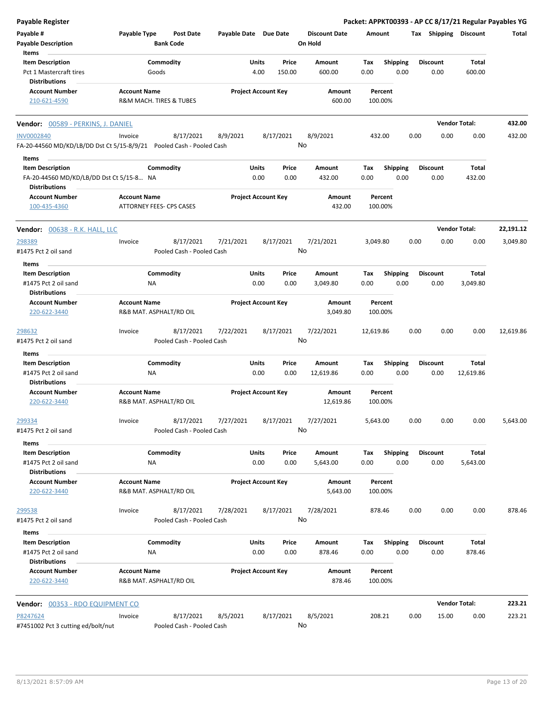| <b>Payable Register</b>                                              |                     |                                        |                            |       |           |                                 |           |                    |      |                       |                      | Packet: APPKT00393 - AP CC 8/17/21 Regular Payables YG |
|----------------------------------------------------------------------|---------------------|----------------------------------------|----------------------------|-------|-----------|---------------------------------|-----------|--------------------|------|-----------------------|----------------------|--------------------------------------------------------|
| Payable #<br><b>Payable Description</b>                              | Payable Type        | <b>Post Date</b><br><b>Bank Code</b>   | Payable Date Due Date      |       |           | <b>Discount Date</b><br>On Hold | Amount    |                    |      | Tax Shipping Discount |                      | Total                                                  |
| Items<br><b>Item Description</b>                                     |                     | Commodity                              |                            | Units | Price     | Amount                          | Tax       | <b>Shipping</b>    |      | <b>Discount</b>       | Total                |                                                        |
| Pct 1 Mastercraft tires                                              |                     | Goods                                  |                            | 4.00  | 150.00    | 600.00                          | 0.00      | 0.00               |      | 0.00                  | 600.00               |                                                        |
| <b>Distributions</b>                                                 |                     |                                        |                            |       |           |                                 |           |                    |      |                       |                      |                                                        |
| <b>Account Number</b>                                                | <b>Account Name</b> |                                        | <b>Project Account Key</b> |       |           | Amount                          |           | Percent            |      |                       |                      |                                                        |
| 210-621-4590                                                         |                     | <b>R&amp;M MACH. TIRES &amp; TUBES</b> |                            |       |           | 600.00                          |           | 100.00%            |      |                       |                      |                                                        |
| Vendor: 00589 - PERKINS, J. DANIEL                                   |                     |                                        |                            |       |           |                                 |           |                    |      |                       | <b>Vendor Total:</b> | 432.00                                                 |
| <b>INV0002840</b>                                                    | Invoice             | 8/17/2021                              | 8/9/2021                   |       | 8/17/2021 | 8/9/2021                        |           | 432.00             | 0.00 | 0.00                  | 0.00                 | 432.00                                                 |
| FA-20-44560 MD/KD/LB/DD Dst Ct 5/15-8/9/21 Pooled Cash - Pooled Cash |                     |                                        |                            |       |           | No                              |           |                    |      |                       |                      |                                                        |
| Items                                                                |                     |                                        |                            |       |           |                                 |           |                    |      |                       |                      |                                                        |
| <b>Item Description</b>                                              |                     | Commodity                              |                            | Units | Price     | Amount                          | Tax       | <b>Shipping</b>    |      | <b>Discount</b>       | Total                |                                                        |
| FA-20-44560 MD/KD/LB/DD Dst Ct 5/15-8 NA<br><b>Distributions</b>     |                     |                                        |                            | 0.00  | 0.00      | 432.00                          | 0.00      | 0.00               |      | 0.00                  | 432.00               |                                                        |
| <b>Account Number</b>                                                | <b>Account Name</b> |                                        | <b>Project Account Key</b> |       |           | Amount                          |           | Percent            |      |                       |                      |                                                        |
| 100-435-4360                                                         |                     | ATTORNEY FEES- CPS CASES               |                            |       |           | 432.00                          |           | 100.00%            |      |                       |                      |                                                        |
| <b>Vendor:</b> 00638 - R.K. HALL, LLC                                |                     |                                        |                            |       |           |                                 |           |                    |      |                       | <b>Vendor Total:</b> | 22,191.12                                              |
| 298389                                                               | Invoice             | 8/17/2021                              | 7/21/2021                  |       | 8/17/2021 | 7/21/2021                       | 3,049.80  |                    | 0.00 | 0.00                  | 0.00                 | 3,049.80                                               |
| #1475 Pct 2 oil sand                                                 |                     | Pooled Cash - Pooled Cash              |                            |       |           | No                              |           |                    |      |                       |                      |                                                        |
| Items                                                                |                     |                                        |                            |       |           |                                 |           |                    |      |                       |                      |                                                        |
| <b>Item Description</b>                                              |                     | Commodity                              |                            | Units | Price     | Amount                          | Tax       | <b>Shipping</b>    |      | <b>Discount</b>       | Total                |                                                        |
| #1475 Pct 2 oil sand                                                 |                     | ΝA                                     |                            | 0.00  | 0.00      | 3,049.80                        | 0.00      | 0.00               |      | 0.00                  | 3,049.80             |                                                        |
| Distributions                                                        |                     |                                        |                            |       |           |                                 |           |                    |      |                       |                      |                                                        |
| <b>Account Number</b><br>220-622-3440                                | <b>Account Name</b> | R&B MAT. ASPHALT/RD OIL                | <b>Project Account Key</b> |       |           | Amount<br>3,049.80              |           | Percent<br>100.00% |      |                       |                      |                                                        |
|                                                                      |                     |                                        |                            |       |           |                                 |           |                    |      |                       |                      |                                                        |
| 298632                                                               | Invoice             | 8/17/2021                              | 7/22/2021                  |       | 8/17/2021 | 7/22/2021                       | 12,619.86 |                    | 0.00 | 0.00                  | 0.00                 | 12,619.86                                              |
| #1475 Pct 2 oil sand                                                 |                     | Pooled Cash - Pooled Cash              |                            |       |           | No                              |           |                    |      |                       |                      |                                                        |
| Items                                                                |                     |                                        |                            |       |           |                                 |           |                    |      |                       |                      |                                                        |
| <b>Item Description</b>                                              |                     | Commodity                              |                            | Units | Price     | Amount                          | Tax       | <b>Shipping</b>    |      | <b>Discount</b>       | Total                |                                                        |
| #1475 Pct 2 oil sand                                                 |                     | NA                                     |                            | 0.00  | 0.00      | 12,619.86                       | 0.00      | 0.00               |      | 0.00                  | 12,619.86            |                                                        |
| <b>Distributions</b>                                                 |                     |                                        |                            |       |           |                                 |           |                    |      |                       |                      |                                                        |
| <b>Account Number</b><br>220-622-3440                                | <b>Account Name</b> | R&B MAT. ASPHALT/RD OIL                | <b>Project Account Key</b> |       |           | Amount<br>12,619.86             |           | Percent<br>100.00% |      |                       |                      |                                                        |
|                                                                      |                     |                                        |                            |       |           |                                 |           |                    | 0.00 |                       | 0.00                 |                                                        |
| 299334<br>#1475 Pct 2 oil sand                                       | Invoice             | 8/17/2021<br>Pooled Cash - Pooled Cash | 7/27/2021                  |       | 8/17/2021 | 7/27/2021<br>No                 | 5,643.00  |                    |      | 0.00                  |                      | 5,643.00                                               |
| Items                                                                |                     |                                        |                            |       |           |                                 |           |                    |      |                       |                      |                                                        |
| <b>Item Description</b>                                              |                     | Commodity                              |                            | Units | Price     | Amount                          | Tax       | <b>Shipping</b>    |      | <b>Discount</b>       | Total                |                                                        |
| #1475 Pct 2 oil sand                                                 |                     | NA                                     |                            | 0.00  | 0.00      | 5,643.00                        | 0.00      | 0.00               |      | 0.00                  | 5,643.00             |                                                        |
| <b>Distributions</b>                                                 |                     |                                        |                            |       |           |                                 |           |                    |      |                       |                      |                                                        |
| <b>Account Number</b>                                                | <b>Account Name</b> |                                        | <b>Project Account Key</b> |       |           | Amount                          |           | Percent            |      |                       |                      |                                                        |
| 220-622-3440                                                         |                     | R&B MAT. ASPHALT/RD OIL                |                            |       |           | 5,643.00                        |           | 100.00%            |      |                       |                      |                                                        |
| 299538                                                               | Invoice             | 8/17/2021                              | 7/28/2021                  |       | 8/17/2021 | 7/28/2021                       | 878.46    |                    | 0.00 | 0.00                  | 0.00                 | 878.46                                                 |
| #1475 Pct 2 oil sand                                                 |                     | Pooled Cash - Pooled Cash              |                            |       |           | No                              |           |                    |      |                       |                      |                                                        |
| Items                                                                |                     |                                        |                            |       |           |                                 |           |                    |      |                       |                      |                                                        |
| <b>Item Description</b>                                              |                     | Commodity                              |                            | Units | Price     | Amount                          | Tax       | <b>Shipping</b>    |      | <b>Discount</b>       | Total                |                                                        |
| #1475 Pct 2 oil sand<br><b>Distributions</b>                         |                     | NA                                     |                            | 0.00  | 0.00      | 878.46                          | 0.00      | 0.00               |      | 0.00                  | 878.46               |                                                        |
| <b>Account Number</b>                                                | <b>Account Name</b> |                                        | <b>Project Account Key</b> |       |           | Amount                          |           | Percent            |      |                       |                      |                                                        |
| 220-622-3440                                                         |                     | R&B MAT. ASPHALT/RD OIL                |                            |       |           | 878.46                          |           | 100.00%            |      |                       |                      |                                                        |
| Vendor: 00353 - RDO EQUIPMENT CO                                     |                     |                                        |                            |       |           |                                 |           |                    |      |                       | <b>Vendor Total:</b> | 223.21                                                 |
| P8247624                                                             | Invoice             | 8/17/2021                              | 8/5/2021                   |       | 8/17/2021 | 8/5/2021                        |           | 208.21             | 0.00 | 15.00                 | 0.00                 | 223.21                                                 |
| #7451002 Pct 3 cutting ed/bolt/nut                                   |                     | Pooled Cash - Pooled Cash              |                            |       |           | No                              |           |                    |      |                       |                      |                                                        |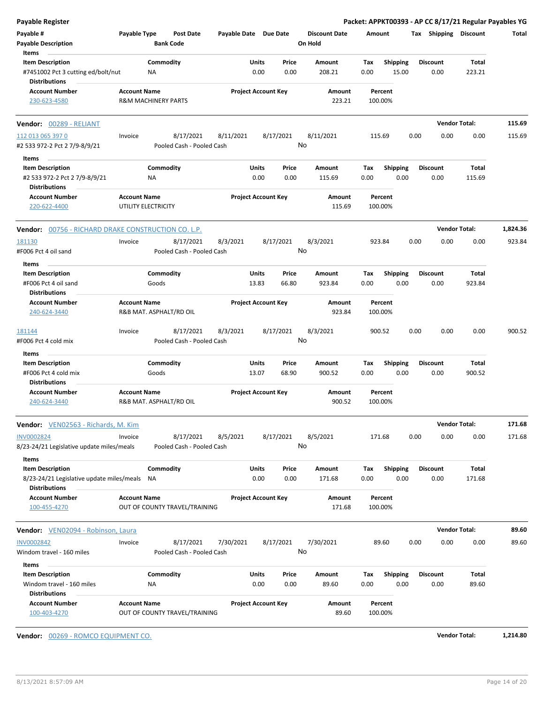| Payable Register                                                                      |                                            |                                        |                       |                            |                 |                                 |             |                          |      |                         | Packet: APPKT00393 - AP CC 8/17/21 Regular Payables YG |          |
|---------------------------------------------------------------------------------------|--------------------------------------------|----------------------------------------|-----------------------|----------------------------|-----------------|---------------------------------|-------------|--------------------------|------|-------------------------|--------------------------------------------------------|----------|
| Payable #<br><b>Payable Description</b>                                               | Payable Type                               | Post Date<br><b>Bank Code</b>          | Payable Date Due Date |                            |                 | <b>Discount Date</b><br>On Hold | Amount      |                          |      | Tax Shipping Discount   |                                                        | Total    |
| Items                                                                                 |                                            |                                        |                       |                            |                 |                                 |             |                          |      |                         |                                                        |          |
| <b>Item Description</b><br>#7451002 Pct 3 cutting ed/bolt/nut<br><b>Distributions</b> |                                            | Commodity<br>ΝA                        |                       | Units<br>0.00              | Price<br>0.00   | Amount<br>208.21                | Tax<br>0.00 | <b>Shipping</b><br>15.00 |      | <b>Discount</b><br>0.00 | <b>Total</b><br>223.21                                 |          |
| <b>Account Number</b>                                                                 | <b>Account Name</b>                        |                                        |                       | <b>Project Account Key</b> |                 | Amount                          |             | Percent                  |      |                         |                                                        |          |
| 230-623-4580                                                                          |                                            | <b>R&amp;M MACHINERY PARTS</b>         |                       |                            |                 | 223.21                          | 100.00%     |                          |      |                         |                                                        |          |
| Vendor: 00289 - RELIANT                                                               |                                            |                                        |                       |                            |                 |                                 |             |                          |      |                         | <b>Vendor Total:</b>                                   | 115.69   |
| 112 013 065 397 0                                                                     | Invoice                                    | 8/17/2021                              | 8/11/2021             |                            | 8/17/2021       | 8/11/2021                       | 115.69      |                          | 0.00 | 0.00                    | 0.00                                                   | 115.69   |
| #2 533 972-2 Pct 2 7/9-8/9/21                                                         |                                            | Pooled Cash - Pooled Cash              |                       |                            | No              |                                 |             |                          |      |                         |                                                        |          |
| Items                                                                                 |                                            |                                        |                       |                            |                 |                                 |             |                          |      |                         |                                                        |          |
| <b>Item Description</b>                                                               |                                            | Commodity                              |                       | Units                      | Price           | Amount                          | Tax         | <b>Shipping</b>          |      | <b>Discount</b>         | Total                                                  |          |
| #2 533 972-2 Pct 2 7/9-8/9/21<br><b>Distributions</b>                                 |                                            | <b>NA</b>                              |                       | 0.00                       | 0.00            | 115.69                          | 0.00        | 0.00                     |      | 0.00                    | 115.69                                                 |          |
| <b>Account Number</b><br>220-622-4400                                                 | <b>Account Name</b><br>UTILITY ELECTRICITY |                                        |                       | <b>Project Account Key</b> |                 | Amount<br>115.69                | 100.00%     | Percent                  |      |                         |                                                        |          |
| <b>Vendor: 00756 - RICHARD DRAKE CONSTRUCTION CO. L.P.</b>                            |                                            |                                        |                       |                            |                 |                                 |             |                          |      |                         | <b>Vendor Total:</b>                                   | 1,824.36 |
| 181130                                                                                | Invoice                                    | 8/17/2021                              | 8/3/2021              |                            | 8/17/2021       | 8/3/2021                        | 923.84      |                          | 0.00 | 0.00                    | 0.00                                                   | 923.84   |
| #F006 Pct 4 oil sand                                                                  |                                            | Pooled Cash - Pooled Cash              |                       |                            | No              |                                 |             |                          |      |                         |                                                        |          |
| Items                                                                                 |                                            |                                        |                       |                            |                 |                                 |             |                          |      |                         |                                                        |          |
| <b>Item Description</b>                                                               |                                            | Commodity                              |                       | Units                      | Price           | Amount                          | Tax         | <b>Shipping</b>          |      | <b>Discount</b>         | Total                                                  |          |
| #F006 Pct 4 oil sand<br><b>Distributions</b>                                          |                                            | Goods                                  |                       | 13.83                      | 66.80           | 923.84                          | 0.00        | 0.00                     |      | 0.00                    | 923.84                                                 |          |
| <b>Account Number</b>                                                                 | <b>Account Name</b>                        |                                        |                       | <b>Project Account Key</b> |                 | Amount                          |             | Percent                  |      |                         |                                                        |          |
| 240-624-3440                                                                          |                                            | R&B MAT. ASPHALT/RD OIL                |                       |                            |                 | 923.84                          | 100.00%     |                          |      |                         |                                                        |          |
| 181144<br>#F006 Pct 4 cold mix                                                        | Invoice                                    | 8/17/2021<br>Pooled Cash - Pooled Cash | 8/3/2021              |                            | 8/17/2021<br>No | 8/3/2021                        | 900.52      |                          | 0.00 | 0.00                    | 0.00                                                   | 900.52   |
| Items                                                                                 |                                            |                                        |                       |                            |                 |                                 |             |                          |      |                         |                                                        |          |
| <b>Item Description</b><br>#F006 Pct 4 cold mix                                       |                                            | Commodity<br>Goods                     |                       | <b>Units</b><br>13.07      | Price<br>68.90  | Amount<br>900.52                | Tax<br>0.00 | <b>Shipping</b><br>0.00  |      | <b>Discount</b><br>0.00 | Total<br>900.52                                        |          |
| <b>Distributions</b>                                                                  |                                            |                                        |                       |                            |                 |                                 |             |                          |      |                         |                                                        |          |
| <b>Account Number</b><br>240-624-3440                                                 | <b>Account Name</b>                        | R&B MAT. ASPHALT/RD OIL                |                       | <b>Project Account Key</b> |                 | Amount<br>900.52                | 100.00%     | Percent                  |      |                         |                                                        |          |
| Vendor: VEN02563 - Richards, M. Kim                                                   |                                            |                                        |                       |                            |                 |                                 |             |                          |      |                         | <b>Vendor Total:</b>                                   | 171.68   |
| <b>INV0002824</b><br>8/23-24/21 Legislative update miles/meals                        | Invoice                                    | 8/17/2021<br>Pooled Cash - Pooled Cash | 8/5/2021              |                            | 8/17/2021       | 8/5/2021<br>No                  | 171.68      |                          | 0.00 | 0.00                    | 0.00                                                   | 171.68   |
| Items                                                                                 |                                            |                                        |                       |                            |                 |                                 |             |                          |      |                         |                                                        |          |
| <b>Item Description</b>                                                               |                                            | Commodity                              |                       | Units                      | Price           | Amount                          | Тах         | <b>Shipping</b>          |      | <b>Discount</b>         | Total                                                  |          |
| 8/23-24/21 Legislative update miles/meals<br><b>Distributions</b>                     |                                            | ΝA                                     |                       | 0.00                       | 0.00            | 171.68                          | 0.00        | 0.00                     |      | 0.00                    | 171.68                                                 |          |
| <b>Account Number</b>                                                                 | <b>Account Name</b>                        |                                        |                       | <b>Project Account Key</b> |                 | Amount                          |             | Percent                  |      |                         |                                                        |          |
| 100-455-4270                                                                          |                                            | OUT OF COUNTY TRAVEL/TRAINING          |                       |                            |                 | 171.68                          | 100.00%     |                          |      |                         |                                                        |          |
| <b>Vendor:</b> VEN02094 - Robinson, Laura                                             |                                            |                                        |                       |                            |                 |                                 |             |                          |      |                         | <b>Vendor Total:</b>                                   | 89.60    |
| <b>INV0002842</b>                                                                     | Invoice                                    | 8/17/2021                              | 7/30/2021             |                            | 8/17/2021       | 7/30/2021                       |             | 89.60                    | 0.00 | 0.00                    | 0.00                                                   | 89.60    |
| Windom travel - 160 miles                                                             |                                            | Pooled Cash - Pooled Cash              |                       |                            | No              |                                 |             |                          |      |                         |                                                        |          |
| Items                                                                                 |                                            |                                        |                       |                            |                 |                                 |             |                          |      |                         |                                                        |          |
| <b>Item Description</b>                                                               |                                            | Commodity                              |                       | Units                      | Price           | Amount                          | Tax         | <b>Shipping</b>          |      | <b>Discount</b>         | Total                                                  |          |
| Windom travel - 160 miles<br><b>Distributions</b>                                     |                                            | ΝA                                     |                       | 0.00                       | 0.00            | 89.60                           | 0.00        | 0.00                     |      | 0.00                    | 89.60                                                  |          |
| <b>Account Number</b><br>100-403-4270                                                 | <b>Account Name</b>                        | OUT OF COUNTY TRAVEL/TRAINING          |                       | <b>Project Account Key</b> |                 | Amount<br>89.60                 | 100.00%     | Percent                  |      |                         |                                                        |          |

**Vendor:** 00269 - ROMCO EQUIPMENT CO. **Vendor Total: 1,214.80**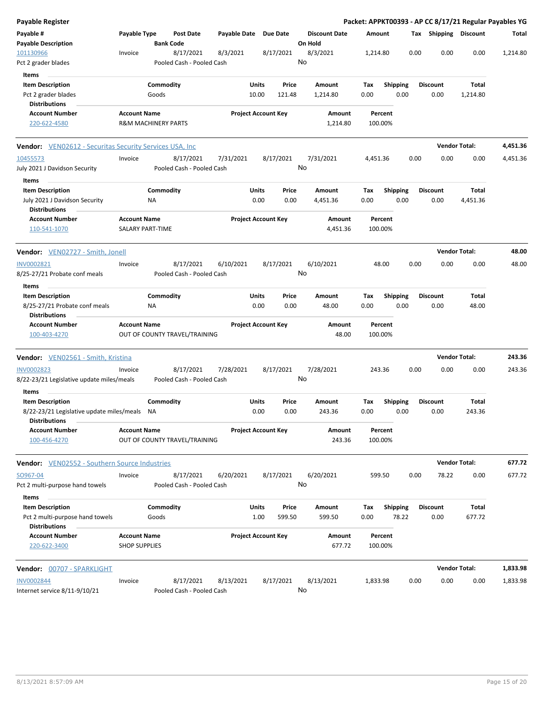| <b>Payable Register</b>                                           |                      |                                |                                        |                       |              |                            |                 |                      |          |                 |      |                       | Packet: APPKT00393 - AP CC 8/17/21 Regular Payables YG |          |
|-------------------------------------------------------------------|----------------------|--------------------------------|----------------------------------------|-----------------------|--------------|----------------------------|-----------------|----------------------|----------|-----------------|------|-----------------------|--------------------------------------------------------|----------|
| Payable #<br><b>Payable Description</b>                           | Payable Type         | <b>Bank Code</b>               | <b>Post Date</b>                       | Payable Date Due Date |              |                            | On Hold         | <b>Discount Date</b> | Amount   |                 |      | Tax Shipping Discount |                                                        | Total    |
| 101130966<br>Pct 2 grader blades                                  | Invoice              |                                | 8/17/2021<br>Pooled Cash - Pooled Cash | 8/3/2021              |              | 8/17/2021                  | 8/3/2021<br>No  |                      | 1,214.80 |                 | 0.00 | 0.00                  | 0.00                                                   | 1,214.80 |
| Items                                                             |                      |                                |                                        |                       |              |                            |                 |                      |          |                 |      |                       |                                                        |          |
| <b>Item Description</b>                                           |                      | Commodity                      |                                        |                       | <b>Units</b> | Price                      |                 | Amount               | Tax      | <b>Shipping</b> |      | <b>Discount</b>       | Total                                                  |          |
| Pct 2 grader blades                                               |                      | Goods                          |                                        |                       | 10.00        | 121.48                     |                 | 1,214.80             | 0.00     | 0.00            |      | 0.00                  | 1,214.80                                               |          |
| <b>Distributions</b>                                              |                      |                                |                                        |                       |              |                            |                 |                      |          |                 |      |                       |                                                        |          |
| Account Number                                                    | <b>Account Name</b>  |                                |                                        |                       |              | <b>Project Account Key</b> |                 | Amount               | Percent  |                 |      |                       |                                                        |          |
| 220-622-4580                                                      |                      | <b>R&amp;M MACHINERY PARTS</b> |                                        |                       |              |                            |                 | 1,214.80             | 100.00%  |                 |      |                       |                                                        |          |
| <b>Vendor:</b> VEN02612 - Securitas Security Services USA, Inc.   |                      |                                |                                        |                       |              |                            |                 |                      |          |                 |      |                       | <b>Vendor Total:</b>                                   | 4,451.36 |
| 10455573                                                          | Invoice              |                                | 8/17/2021                              | 7/31/2021             |              | 8/17/2021                  | 7/31/2021       |                      | 4,451.36 |                 | 0.00 | 0.00                  | 0.00                                                   | 4,451.36 |
| July 2021 J Davidson Security                                     |                      |                                | Pooled Cash - Pooled Cash              |                       |              |                            | No              |                      |          |                 |      |                       |                                                        |          |
| Items                                                             |                      |                                |                                        |                       |              |                            |                 |                      |          |                 |      |                       |                                                        |          |
| <b>Item Description</b>                                           |                      | Commodity                      |                                        |                       | Units        | Price                      |                 | Amount               | Tax      | <b>Shipping</b> |      | <b>Discount</b>       | Total                                                  |          |
| July 2021 J Davidson Security                                     |                      | ΝA                             |                                        |                       | 0.00         | 0.00                       |                 | 4,451.36             | 0.00     | 0.00            |      | 0.00                  | 4,451.36                                               |          |
| <b>Distributions</b>                                              |                      |                                |                                        |                       |              |                            |                 |                      |          |                 |      |                       |                                                        |          |
| <b>Account Number</b>                                             | <b>Account Name</b>  |                                |                                        |                       |              | <b>Project Account Key</b> |                 | Amount               | Percent  |                 |      |                       |                                                        |          |
| 110-541-1070                                                      |                      | SALARY PART-TIME               |                                        |                       |              |                            |                 | 4,451.36             | 100.00%  |                 |      |                       |                                                        |          |
| Vendor: VEN02727 - Smith, Jonell                                  |                      |                                |                                        |                       |              |                            |                 |                      |          |                 |      |                       | <b>Vendor Total:</b>                                   | 48.00    |
| INV0002821                                                        | Invoice              |                                | 8/17/2021                              | 6/10/2021             |              | 8/17/2021                  | 6/10/2021       |                      | 48.00    |                 | 0.00 | 0.00                  | 0.00                                                   | 48.00    |
| 8/25-27/21 Probate conf meals                                     |                      |                                | Pooled Cash - Pooled Cash              |                       |              |                            | No              |                      |          |                 |      |                       |                                                        |          |
| Items                                                             |                      |                                |                                        |                       |              |                            |                 |                      |          |                 |      |                       |                                                        |          |
| <b>Item Description</b>                                           |                      | Commodity                      |                                        |                       | Units        | Price                      |                 | Amount               | Tax      | <b>Shipping</b> |      | <b>Discount</b>       | Total                                                  |          |
| 8/25-27/21 Probate conf meals                                     |                      | ΝA                             |                                        |                       | 0.00         | 0.00                       |                 | 48.00                | 0.00     | 0.00            |      | 0.00                  | 48.00                                                  |          |
| <b>Distributions</b>                                              |                      |                                |                                        |                       |              |                            |                 |                      |          |                 |      |                       |                                                        |          |
| <b>Account Number</b>                                             | <b>Account Name</b>  |                                |                                        |                       |              | <b>Project Account Key</b> |                 | Amount               | Percent  |                 |      |                       |                                                        |          |
| 100-403-4270                                                      |                      |                                | OUT OF COUNTY TRAVEL/TRAINING          |                       |              |                            |                 | 48.00                | 100.00%  |                 |      |                       |                                                        |          |
| <b>Vendor:</b> VEN02561 - Smith, Kristina                         |                      |                                |                                        |                       |              |                            |                 |                      |          |                 |      |                       | <b>Vendor Total:</b>                                   | 243.36   |
| <b>INV0002823</b>                                                 | Invoice              |                                | 8/17/2021                              | 7/28/2021             |              | 8/17/2021                  | 7/28/2021       |                      | 243.36   |                 | 0.00 | 0.00                  | 0.00                                                   | 243.36   |
| 8/22-23/21 Legislative update miles/meals                         |                      |                                | Pooled Cash - Pooled Cash              |                       |              |                            | No              |                      |          |                 |      |                       |                                                        |          |
| Items                                                             |                      |                                |                                        |                       |              |                            |                 |                      |          |                 |      |                       |                                                        |          |
| <b>Item Description</b>                                           |                      | Commodity                      |                                        |                       | Units        | Price                      |                 | Amount               | Tax      | <b>Shipping</b> |      | <b>Discount</b>       | Total                                                  |          |
| 8/22-23/21 Legislative update miles/meals<br><b>Distributions</b> |                      | ΝA                             |                                        |                       | 0.00         | 0.00                       |                 | 243.36               | 0.00     | 0.00            |      | 0.00                  | 243.36                                                 |          |
| <b>Account Number</b>                                             | <b>Account Name</b>  |                                |                                        |                       |              | <b>Project Account Key</b> |                 | Amount               | Percent  |                 |      |                       |                                                        |          |
| 100-456-4270                                                      |                      |                                | OUT OF COUNTY TRAVEL/TRAINING          |                       |              |                            |                 | 243.36               | 100.00%  |                 |      |                       |                                                        |          |
| <b>Vendor:</b> VEN02552 - Southern Source Industries              |                      |                                |                                        |                       |              |                            |                 |                      |          |                 |      |                       | <b>Vendor Total:</b>                                   | 677.72   |
|                                                                   |                      |                                |                                        |                       |              |                            |                 |                      |          |                 |      |                       |                                                        |          |
| SO967-04<br>Pct 2 multi-purpose hand towels                       | Invoice              |                                | 8/17/2021<br>Pooled Cash - Pooled Cash | 6/20/2021             |              | 8/17/2021                  | 6/20/2021<br>No |                      | 599.50   |                 | 0.00 | 78.22                 | 0.00                                                   | 677.72   |
| Items                                                             |                      |                                |                                        |                       |              |                            |                 |                      |          |                 |      |                       |                                                        |          |
| <b>Item Description</b>                                           |                      | Commodity                      |                                        |                       | Units        | Price                      |                 | Amount               | Tax      | Shipping        |      | <b>Discount</b>       | Total                                                  |          |
| Pct 2 multi-purpose hand towels                                   |                      | Goods                          |                                        |                       | 1.00         | 599.50                     |                 | 599.50               | 0.00     | 78.22           |      | 0.00                  | 677.72                                                 |          |
| <b>Distributions</b>                                              |                      |                                |                                        |                       |              |                            |                 |                      |          |                 |      |                       |                                                        |          |
| <b>Account Number</b>                                             | <b>Account Name</b>  |                                |                                        |                       |              | <b>Project Account Key</b> |                 | Amount               | Percent  |                 |      |                       |                                                        |          |
| 220-622-3400                                                      | <b>SHOP SUPPLIES</b> |                                |                                        |                       |              |                            |                 | 677.72               | 100.00%  |                 |      |                       |                                                        |          |
| Vendor: 00707 - SPARKLIGHT                                        |                      |                                |                                        |                       |              |                            |                 |                      |          |                 |      |                       | <b>Vendor Total:</b>                                   | 1,833.98 |
| <b>INV0002844</b>                                                 | Invoice              |                                | 8/17/2021                              | 8/13/2021             |              | 8/17/2021                  | 8/13/2021       |                      | 1,833.98 |                 | 0.00 | 0.00                  | 0.00                                                   | 1,833.98 |
| Internet service 8/11-9/10/21                                     |                      |                                | Pooled Cash - Pooled Cash              |                       |              |                            | No              |                      |          |                 |      |                       |                                                        |          |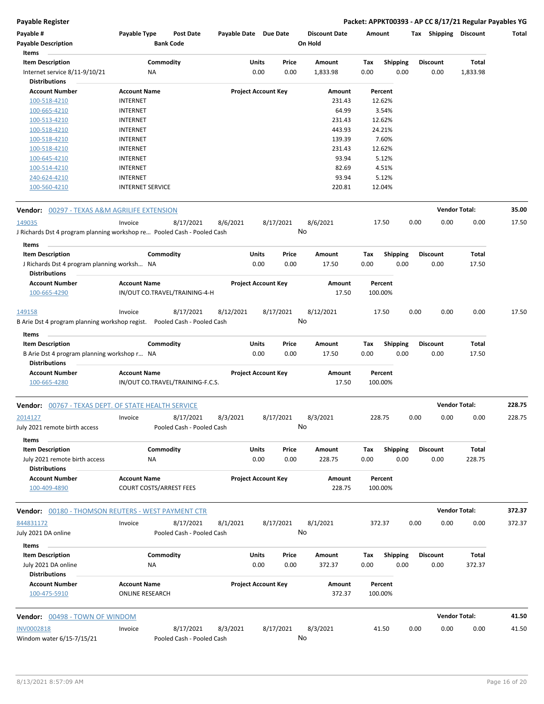### **Payable Register Packet: APPKT00393 - AP CC 8/17/21 Regular Payables YG**

| Payable #<br><b>Payable Description</b><br>Items                          | Payable Type                                          | <b>Post Date</b><br><b>Bank Code</b> | Payable Date Due Date      |       |           | <b>Discount Date</b><br>On Hold | Amount  |                 |      | Tax Shipping Discount |          | Total  |
|---------------------------------------------------------------------------|-------------------------------------------------------|--------------------------------------|----------------------------|-------|-----------|---------------------------------|---------|-----------------|------|-----------------------|----------|--------|
| <b>Item Description</b>                                                   |                                                       | Commodity                            |                            | Units | Price     | Amount                          | Tax     | <b>Shipping</b> |      | <b>Discount</b>       | Total    |        |
| Internet service 8/11-9/10/21                                             | ΝA                                                    |                                      |                            | 0.00  | 0.00      | 1,833.98                        | 0.00    | 0.00            |      | 0.00                  | 1,833.98 |        |
| <b>Distributions</b>                                                      |                                                       |                                      |                            |       |           |                                 |         |                 |      |                       |          |        |
| <b>Account Number</b>                                                     | <b>Account Name</b>                                   |                                      | <b>Project Account Key</b> |       |           | Amount                          |         | Percent         |      |                       |          |        |
| 100-518-4210                                                              | <b>INTERNET</b>                                       |                                      |                            |       |           | 231.43                          |         | 12.62%          |      |                       |          |        |
| 100-665-4210                                                              | <b>INTERNET</b>                                       |                                      |                            |       |           | 64.99                           |         | 3.54%           |      |                       |          |        |
| 100-513-4210                                                              | <b>INTERNET</b>                                       |                                      |                            |       |           | 231.43                          |         | 12.62%          |      |                       |          |        |
| 100-518-4210                                                              | <b>INTERNET</b>                                       |                                      |                            |       |           | 443.93                          |         | 24.21%          |      |                       |          |        |
| 100-518-4210                                                              | <b>INTERNET</b>                                       |                                      |                            |       |           | 139.39                          |         | 7.60%           |      |                       |          |        |
| 100-518-4210                                                              | <b>INTERNET</b>                                       |                                      |                            |       |           | 231.43                          |         | 12.62%          |      |                       |          |        |
| 100-645-4210                                                              | <b>INTERNET</b>                                       |                                      |                            |       |           | 93.94                           |         | 5.12%           |      |                       |          |        |
| 100-514-4210                                                              | <b>INTERNET</b>                                       |                                      |                            |       |           | 82.69                           |         | 4.51%           |      |                       |          |        |
| 240-624-4210                                                              | <b>INTERNET</b>                                       |                                      |                            |       |           | 93.94                           |         | 5.12%           |      |                       |          |        |
| 100-560-4210                                                              | <b>INTERNET SERVICE</b>                               |                                      |                            |       |           | 220.81                          |         | 12.04%          |      |                       |          |        |
| <b>Vendor:</b> 00297 - TEXAS A&M AGRILIFE EXTENSION                       |                                                       |                                      |                            |       |           |                                 |         |                 |      | <b>Vendor Total:</b>  |          | 35.00  |
| 149035                                                                    | Invoice                                               | 8/17/2021                            | 8/6/2021                   |       | 8/17/2021 | 8/6/2021                        |         | 17.50           | 0.00 | 0.00                  | 0.00     | 17.50  |
| J Richards Dst 4 program planning workshop re Pooled Cash - Pooled Cash   |                                                       |                                      |                            |       | No        |                                 |         |                 |      |                       |          |        |
| Items<br><b>Item Description</b>                                          |                                                       | Commodity                            |                            | Units | Price     | Amount                          | Tax     | <b>Shipping</b> |      | <b>Discount</b>       | Total    |        |
| J Richards Dst 4 program planning worksh NA                               |                                                       |                                      |                            | 0.00  | 0.00      | 17.50                           | 0.00    | 0.00            |      | 0.00                  | 17.50    |        |
| <b>Distributions</b>                                                      |                                                       |                                      |                            |       |           |                                 |         |                 |      |                       |          |        |
| <b>Account Number</b><br>100-665-4290                                     | <b>Account Name</b>                                   | IN/OUT CO.TRAVEL/TRAINING-4-H        | <b>Project Account Key</b> |       |           | Amount<br>17.50                 | 100.00% | Percent         |      |                       |          |        |
| 149158                                                                    | Invoice                                               | 8/17/2021                            | 8/12/2021                  |       | 8/17/2021 | 8/12/2021                       |         | 17.50           | 0.00 | 0.00                  | 0.00     | 17.50  |
| B Arie Dst 4 program planning workshop regist.  Pooled Cash - Pooled Cash |                                                       |                                      |                            |       | No        |                                 |         |                 |      |                       |          |        |
| Items                                                                     |                                                       |                                      |                            |       |           |                                 |         |                 |      |                       |          |        |
| <b>Item Description</b>                                                   |                                                       | Commodity                            |                            | Units | Price     | Amount                          | Tax     | <b>Shipping</b> |      | <b>Discount</b>       | Total    |        |
| B Arie Dst 4 program planning workshop r NA<br><b>Distributions</b>       |                                                       |                                      |                            | 0.00  | 0.00      | 17.50                           | 0.00    | 0.00            |      | 0.00                  | 17.50    |        |
| <b>Account Number</b>                                                     | <b>Account Name</b>                                   |                                      | <b>Project Account Key</b> |       |           | Amount                          |         | Percent         |      |                       |          |        |
| 100-665-4280                                                              |                                                       | IN/OUT CO.TRAVEL/TRAINING-F.C.S.     |                            |       |           | 17.50                           | 100.00% |                 |      |                       |          |        |
| <b>Vendor:</b> 00767 - TEXAS DEPT. OF STATE HEALTH SERVICE                |                                                       |                                      |                            |       |           |                                 |         |                 |      | <b>Vendor Total:</b>  |          | 228.75 |
| <u>2014127</u>                                                            | Invoice                                               | 8/17/2021                            | 8/3/2021                   |       | 8/17/2021 | 8/3/2021                        | 228.75  |                 | 0.00 | 0.00                  | 0.00     | 228.75 |
| July 2021 remote birth access                                             |                                                       | Pooled Cash - Pooled Cash            |                            |       |           | No                              |         |                 |      |                       |          |        |
| Items<br><b>Item Description</b>                                          |                                                       | Commodity                            |                            | Units | Price     | Amount                          | Tax     | Shipping        |      | <b>Discount</b>       | Total    |        |
| July 2021 remote birth access<br><b>Distributions</b>                     | <b>NA</b>                                             |                                      |                            | 0.00  | 0.00      | 228.75                          | 0.00    | 0.00            |      | 0.00                  | 228.75   |        |
| <b>Account Number</b><br>100-409-4890                                     | <b>Account Name</b><br><b>COURT COSTS/ARREST FEES</b> |                                      | <b>Project Account Key</b> |       |           | Amount<br>228.75                | 100.00% | Percent         |      |                       |          |        |
| <b>Vendor:</b> 00180 - THOMSON REUTERS - WEST PAYMENT CTR                 |                                                       |                                      |                            |       |           |                                 |         |                 |      | <b>Vendor Total:</b>  |          | 372.37 |
| 844831172                                                                 | Invoice                                               | 8/17/2021                            | 8/1/2021                   |       | 8/17/2021 | 8/1/2021                        | 372.37  |                 | 0.00 | 0.00                  | 0.00     | 372.37 |
| July 2021 DA online<br>Items                                              |                                                       | Pooled Cash - Pooled Cash            |                            |       |           | No                              |         |                 |      |                       |          |        |
| <b>Item Description</b>                                                   |                                                       | Commodity                            |                            | Units | Price     | Amount                          | Tax     | <b>Shipping</b> |      | <b>Discount</b>       | Total    |        |
| July 2021 DA online<br><b>Distributions</b>                               | ΝA                                                    |                                      |                            | 0.00  | 0.00      | 372.37                          | 0.00    | 0.00            |      | 0.00                  | 372.37   |        |
| <b>Account Number</b><br>100-475-5910                                     | <b>Account Name</b><br><b>ONLINE RESEARCH</b>         |                                      | <b>Project Account Key</b> |       |           | Amount<br>372.37                | 100.00% | Percent         |      |                       |          |        |
| Vendor: 00498 - TOWN OF WINDOM                                            |                                                       |                                      |                            |       |           |                                 |         |                 |      | <b>Vendor Total:</b>  |          | 41.50  |
| INV0002818                                                                | Invoice                                               | 8/17/2021                            | 8/3/2021                   |       | 8/17/2021 | 8/3/2021                        |         | 41.50           | 0.00 | 0.00                  | 0.00     | 41.50  |
| Windom water 6/15-7/15/21                                                 |                                                       | Pooled Cash - Pooled Cash            |                            |       |           | No                              |         |                 |      |                       |          |        |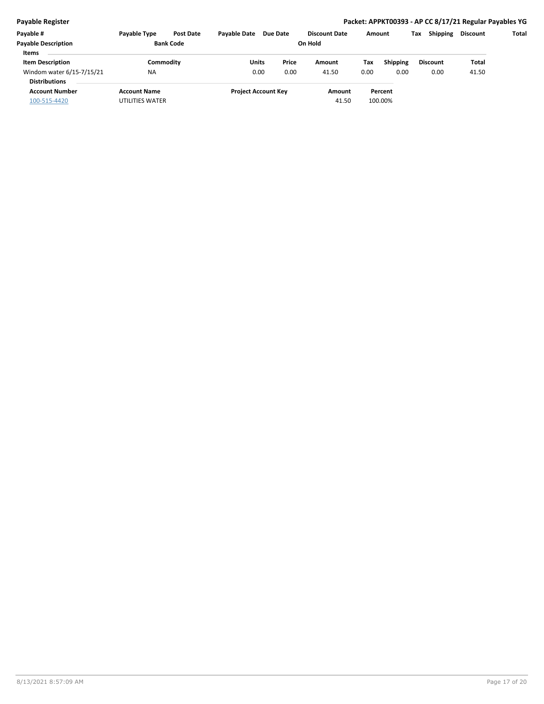### **Payable Register Packet: APPKT00393 - AP CC 8/17/21 Regular Payables YG**

| Payable #                                         | Payable Type        | <b>Post Date</b> | <b>Pavable Date</b> | Due Date                   | <b>Discount Date</b> |       | Amount                 | Tax | <b>Shipping</b> | <b>Discount</b> | Total |
|---------------------------------------------------|---------------------|------------------|---------------------|----------------------------|----------------------|-------|------------------------|-----|-----------------|-----------------|-------|
| <b>Pavable Description</b>                        | <b>Bank Code</b>    |                  |                     |                            |                      |       |                        |     |                 |                 |       |
| <b>Items</b><br><b>Item Description</b>           |                     | Commodity        | Units               | Price                      | Amount               |       | <b>Shipping</b><br>Tax |     | <b>Discount</b> | Total           |       |
| Windom water 6/15-7/15/21<br><b>Distributions</b> | <b>NA</b>           |                  | 0.00                | 0.00                       | 41.50                | 0.00  | 0.00                   |     | 0.00            | 41.50           |       |
| <b>Account Number</b>                             | <b>Account Name</b> |                  |                     | <b>Project Account Key</b> | Amount               |       | Percent                |     |                 |                 |       |
| 100-515-4420                                      | UTILITIES WATER     |                  |                     |                            |                      | 41.50 | 100.00%                |     |                 |                 |       |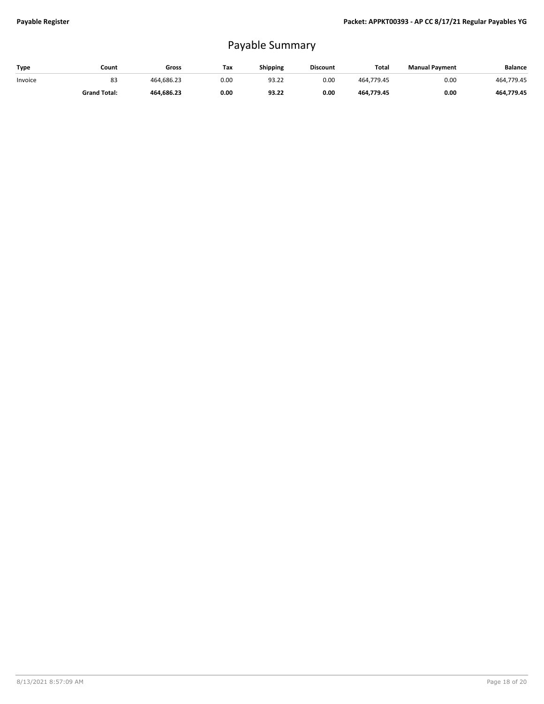## Payable Summary

| Type    | Count               | Gross      | Tax  | <b>Shipping</b> | <b>Discount</b> | <b>Total</b> | <b>Manual Payment</b> | <b>Balance</b> |
|---------|---------------------|------------|------|-----------------|-----------------|--------------|-----------------------|----------------|
| Invoice | 83                  | 464.686.23 | 0.00 | 93.22           | 0.00            | 464.779.45   | 0.00                  | 464.779.45     |
|         | <b>Grand Total:</b> | 464.686.23 | 0.00 | 93.22           | 0.00            | 464.779.45   | 0.00                  | 464.779.45     |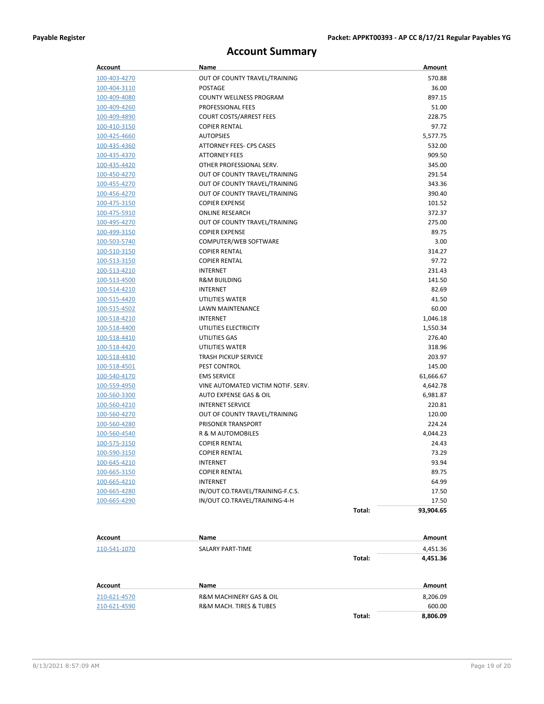## **Account Summary**

| <b>Account</b> | Name                               |        | Amount    |
|----------------|------------------------------------|--------|-----------|
| 100-403-4270   | OUT OF COUNTY TRAVEL/TRAINING      |        | 570.88    |
| 100-404-3110   | <b>POSTAGE</b>                     |        | 36.00     |
| 100-409-4080   | <b>COUNTY WELLNESS PROGRAM</b>     |        | 897.15    |
| 100-409-4260   | PROFESSIONAL FEES                  |        | 51.00     |
| 100-409-4890   | <b>COURT COSTS/ARREST FEES</b>     |        | 228.75    |
| 100-410-3150   | <b>COPIER RENTAL</b>               |        | 97.72     |
| 100-425-4660   | <b>AUTOPSIES</b>                   |        | 5,577.75  |
| 100-435-4360   | ATTORNEY FEES- CPS CASES           |        | 532.00    |
| 100-435-4370   | <b>ATTORNEY FEES</b>               |        | 909.50    |
| 100-435-4420   | OTHER PROFESSIONAL SERV.           |        | 345.00    |
| 100-450-4270   | OUT OF COUNTY TRAVEL/TRAINING      |        | 291.54    |
| 100-455-4270   | OUT OF COUNTY TRAVEL/TRAINING      |        | 343.36    |
| 100-456-4270   | OUT OF COUNTY TRAVEL/TRAINING      |        | 390.40    |
| 100-475-3150   | <b>COPIER EXPENSE</b>              |        | 101.52    |
| 100-475-5910   | <b>ONLINE RESEARCH</b>             |        | 372.37    |
| 100-495-4270   | OUT OF COUNTY TRAVEL/TRAINING      |        | 275.00    |
| 100-499-3150   | <b>COPIER EXPENSE</b>              |        | 89.75     |
| 100-503-5740   | COMPUTER/WEB SOFTWARE              |        | 3.00      |
| 100-510-3150   | <b>COPIER RENTAL</b>               |        | 314.27    |
| 100-513-3150   | <b>COPIER RENTAL</b>               |        | 97.72     |
| 100-513-4210   | <b>INTERNET</b>                    |        | 231.43    |
| 100-513-4500   | <b>R&amp;M BUILDING</b>            |        | 141.50    |
| 100-514-4210   | <b>INTERNET</b>                    |        | 82.69     |
| 100-515-4420   | UTILITIES WATER                    |        | 41.50     |
| 100-515-4502   | LAWN MAINTENANCE                   |        | 60.00     |
| 100-518-4210   | <b>INTERNET</b>                    |        | 1,046.18  |
| 100-518-4400   | UTILITIES ELECTRICITY              |        | 1,550.34  |
| 100-518-4410   | UTILITIES GAS                      |        | 276.40    |
| 100-518-4420   | UTILITIES WATER                    |        | 318.96    |
| 100-518-4430   | <b>TRASH PICKUP SERVICE</b>        |        | 203.97    |
| 100-518-4501   | PEST CONTROL                       |        | 145.00    |
| 100-540-4170   | <b>EMS SERVICE</b>                 |        | 61,666.67 |
| 100-559-4950   | VINE AUTOMATED VICTIM NOTIF. SERV. |        | 4,642.78  |
| 100-560-3300   | AUTO EXPENSE GAS & OIL             |        | 6,981.87  |
| 100-560-4210   | <b>INTERNET SERVICE</b>            |        | 220.81    |
| 100-560-4270   | OUT OF COUNTY TRAVEL/TRAINING      |        | 120.00    |
| 100-560-4280   | PRISONER TRANSPORT                 |        | 224.24    |
| 100-560-4540   | <b>R &amp; M AUTOMOBILES</b>       |        | 4,044.23  |
| 100-575-3150   | <b>COPIER RENTAL</b>               |        | 24.43     |
| 100-590-3150   | <b>COPIER RENTAL</b>               |        | 73.29     |
| 100-645-4210   | INTERNET                           |        | 93.94     |
| 100-665-3150   | <b>COPIER RENTAL</b>               |        | 89.75     |
| 100-665-4210   | <b>INTERNET</b>                    |        | 64.99     |
| 100-665-4280   | IN/OUT CO.TRAVEL/TRAINING-F.C.S.   |        | 17.50     |
| 100-665-4290   | IN/OUT CO.TRAVEL/TRAINING-4-H      |        | 17.50     |
|                |                                    | Total: | 93,904.65 |
|                |                                    |        |           |
| Account        | Name                               |        | Amount    |
| 110-541-1070   | SALARY PART-TIME                   |        | 4,451.36  |
|                |                                    | Total: | 4,451.36  |
| Account        | Name                               |        | Amount    |
| 210-621-4570   | R&M MACHINERY GAS & OIL            |        | 8,206.09  |
| 210-621-4590   | R&M MACH. TIRES & TUBES            |        | 600.00    |
|                |                                    | Total: | 8,806.09  |
|                |                                    |        |           |